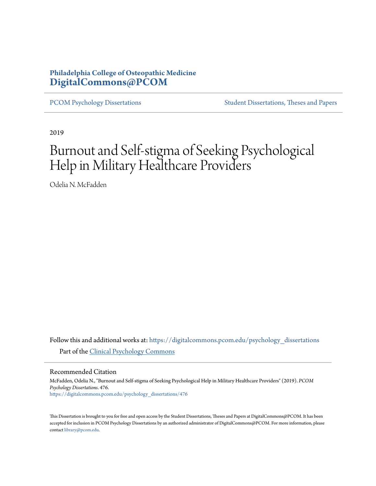## **Philadelphia College of Osteopathic Medicine [DigitalCommons@PCOM](https://digitalcommons.pcom.edu?utm_source=digitalcommons.pcom.edu%2Fpsychology_dissertations%2F476&utm_medium=PDF&utm_campaign=PDFCoverPages)**

[PCOM Psychology Dissertations](https://digitalcommons.pcom.edu/psychology_dissertations?utm_source=digitalcommons.pcom.edu%2Fpsychology_dissertations%2F476&utm_medium=PDF&utm_campaign=PDFCoverPages) [Student Dissertations, Theses and Papers](https://digitalcommons.pcom.edu/etds?utm_source=digitalcommons.pcom.edu%2Fpsychology_dissertations%2F476&utm_medium=PDF&utm_campaign=PDFCoverPages)

2019

# Burnout and Self-stigma of Seeking Psychological Help in Military Healthcare Providers

Odelia N. McFadden

Follow this and additional works at: [https://digitalcommons.pcom.edu/psychology\\_dissertations](https://digitalcommons.pcom.edu/psychology_dissertations?utm_source=digitalcommons.pcom.edu%2Fpsychology_dissertations%2F476&utm_medium=PDF&utm_campaign=PDFCoverPages) Part of the [Clinical Psychology Commons](http://network.bepress.com/hgg/discipline/406?utm_source=digitalcommons.pcom.edu%2Fpsychology_dissertations%2F476&utm_medium=PDF&utm_campaign=PDFCoverPages)

Recommended Citation

McFadden, Odelia N., "Burnout and Self-stigma of Seeking Psychological Help in Military Healthcare Providers" (2019). *PCOM Psychology Dissertations*. 476. [https://digitalcommons.pcom.edu/psychology\\_dissertations/476](https://digitalcommons.pcom.edu/psychology_dissertations/476?utm_source=digitalcommons.pcom.edu%2Fpsychology_dissertations%2F476&utm_medium=PDF&utm_campaign=PDFCoverPages)

This Dissertation is brought to you for free and open access by the Student Dissertations, Theses and Papers at DigitalCommons@PCOM. It has been accepted for inclusion in PCOM Psychology Dissertations by an authorized administrator of DigitalCommons@PCOM. For more information, please contact [library@pcom.edu.](mailto:library@pcom.edu)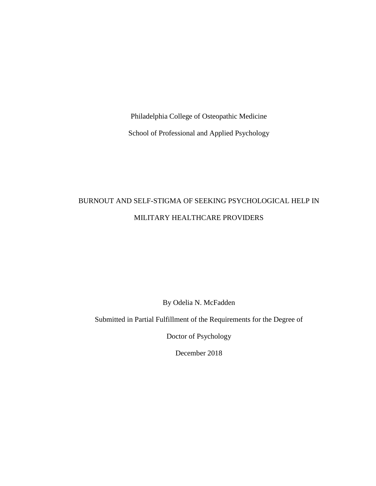Philadelphia College of Osteopathic Medicine School of Professional and Applied Psychology

## BURNOUT AND SELF-STIGMA OF SEEKING PSYCHOLOGICAL HELP IN MILITARY HEALTHCARE PROVIDERS

By Odelia N. McFadden

Submitted in Partial Fulfillment of the Requirements for the Degree of

Doctor of Psychology

December 2018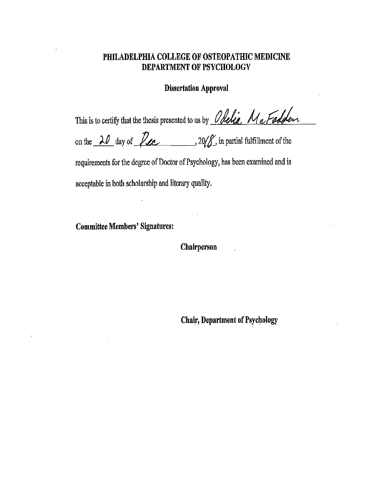## PHILADELPHIA COLLEGE OF OSTEOPATHIC MEDICINE DEPARTMENT OF PSYCHOLOGY

## **Dissertation Approval**

This is to certify that the thesis presented to us by Obelia MaFadden on the  $20$  day of  $20/8$ , in partial fulfillment of the requirements for the degree of Doctor of Psychology, has been examined and is

acceptable in both scholarship and literary quality.

**Committee Members' Signatures:** 

Chairperson

**Chair, Department of Psychology**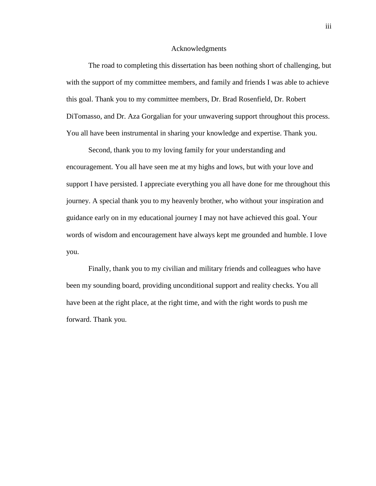#### Acknowledgments

The road to completing this dissertation has been nothing short of challenging, but with the support of my committee members, and family and friends I was able to achieve this goal. Thank you to my committee members, Dr. Brad Rosenfield, Dr. Robert DiTomasso, and Dr. Aza Gorgalian for your unwavering support throughout this process. You all have been instrumental in sharing your knowledge and expertise. Thank you.

Second, thank you to my loving family for your understanding and encouragement. You all have seen me at my highs and lows, but with your love and support I have persisted. I appreciate everything you all have done for me throughout this journey. A special thank you to my heavenly brother, who without your inspiration and guidance early on in my educational journey I may not have achieved this goal. Your words of wisdom and encouragement have always kept me grounded and humble. I love you.

Finally, thank you to my civilian and military friends and colleagues who have been my sounding board, providing unconditional support and reality checks. You all have been at the right place, at the right time, and with the right words to push me forward. Thank you.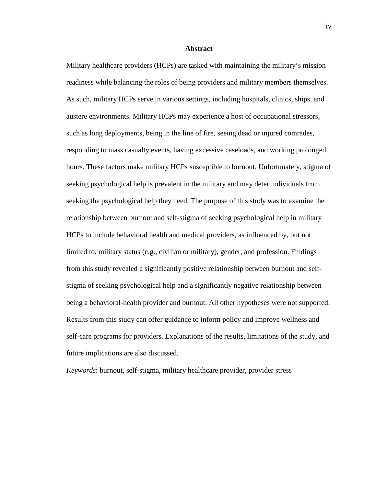#### **Abstract**

Military healthcare providers (HCPs) are tasked with maintaining the military's mission readiness while balancing the roles of being providers and military members themselves. As such, military HCPs serve in various settings, including hospitals, clinics, ships, and austere environments. Military HCPs may experience a host of occupational stressors, such as long deployments, being in the line of fire, seeing dead or injured comrades, responding to mass casualty events, having excessive caseloads, and working prolonged hours. These factors make military HCPs susceptible to burnout. Unfortunately, stigma of seeking psychological help is prevalent in the military and may deter individuals from seeking the psychological help they need. The purpose of this study was to examine the relationship between burnout and self-stigma of seeking psychological help in military HCPs to include behavioral health and medical providers, as influenced by, but not limited to, military status (e.g., civilian or military), gender, and profession. Findings from this study revealed a significantly positive relationship between burnout and selfstigma of seeking psychological help and a significantly negative relationship between being a behavioral-health provider and burnout. All other hypotheses were not supported. Results from this study can offer guidance to inform policy and improve wellness and self-care programs for providers. Explanations of the results, limitations of the study, and future implications are also discussed.

*Keywords*: burnout, self-stigma, military healthcare provider, provider stress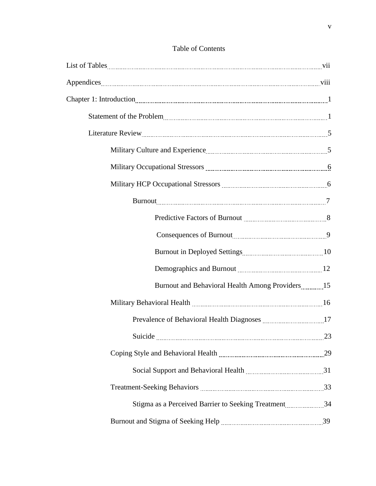| Military Occupational Stressors manufacturer and the stress of |    |
|----------------------------------------------------------------|----|
|                                                                |    |
|                                                                |    |
| Predictive Factors of Burnout <b>manually contained</b> and 8  |    |
|                                                                |    |
|                                                                |    |
|                                                                |    |
| Burnout and Behavioral Health Among Providers15                |    |
|                                                                |    |
|                                                                |    |
| Suicide                                                        | 23 |
|                                                                |    |
|                                                                |    |
|                                                                |    |
| Stigma as a Perceived Barrier to Seeking Treatment34           |    |
|                                                                |    |

## Table of Contents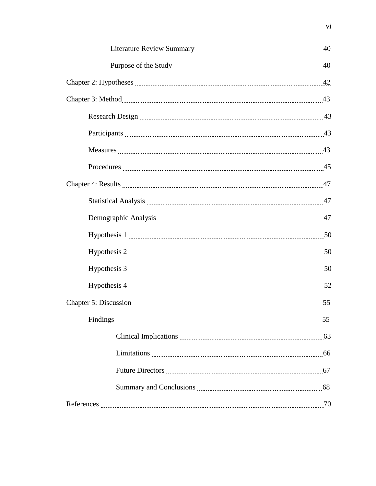| Participants 23 |  |
|-----------------|--|
|                 |  |
| Procedures 25   |  |
|                 |  |
|                 |  |
|                 |  |
|                 |  |
|                 |  |
|                 |  |
|                 |  |
|                 |  |
|                 |  |
|                 |  |
|                 |  |
|                 |  |
|                 |  |
|                 |  |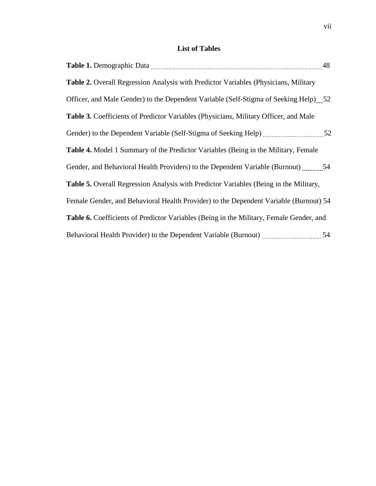## **List of Tables**

| <b>Table 2.</b> Overall Regression Analysis with Predictor Variables (Physicians, Military  |    |
|---------------------------------------------------------------------------------------------|----|
| Officer, and Male Gender) to the Dependent Variable (Self-Stigma of Seeking Help) 52        |    |
| <b>Table 3.</b> Coefficients of Predictor Variables (Physicians, Military Officer, and Male |    |
|                                                                                             |    |
| Table 4. Model 1 Summary of the Predictor Variables (Being in the Military, Female          |    |
| Gender, and Behavioral Health Providers) to the Dependent Variable (Burnout) 54             |    |
| Table 5. Overall Regression Analysis with Predictor Variables (Being in the Military,       |    |
| Female Gender, and Behavioral Health Provider) to the Dependent Variable (Burnout) 54       |    |
| Table 6. Coefficients of Predictor Variables (Being in the Military, Female Gender, and     |    |
|                                                                                             | 54 |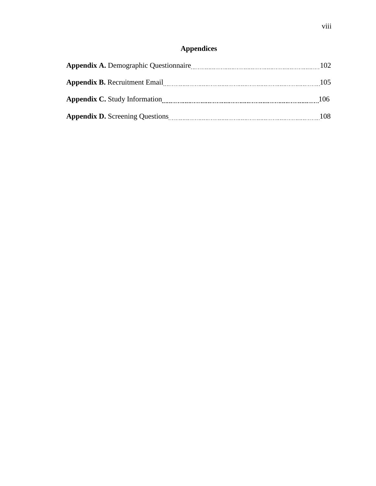## **Appendices**

| <b>Appendix A.</b> Demographic Questionnaire | 102 |
|----------------------------------------------|-----|
| <b>Appendix B.</b> Recruitment Email         | 105 |
| <b>Appendix C.</b> Study Information         | 106 |
| <b>Appendix D.</b> Screening Questions       | 108 |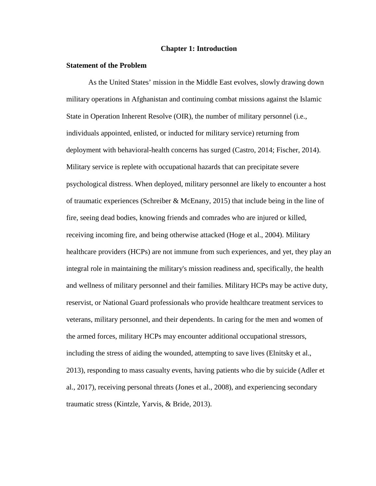#### **Chapter 1: Introduction**

#### **Statement of the Problem**

As the United States' mission in the Middle East evolves, slowly drawing down military operations in Afghanistan and continuing combat missions against the Islamic State in Operation Inherent Resolve (OIR), the number of military personnel (i.e., individuals appointed, enlisted, or inducted for military service) returning from deployment with behavioral-health concerns has surged (Castro, 2014; Fischer, 2014). Military service is replete with occupational hazards that can precipitate severe psychological distress. When deployed, military personnel are likely to encounter a host of traumatic experiences (Schreiber & McEnany, 2015) that include being in the line of fire, seeing dead bodies, knowing friends and comrades who are injured or killed, receiving incoming fire, and being otherwise attacked (Hoge et al., 2004). Military healthcare providers (HCPs) are not immune from such experiences, and yet, they play an integral role in maintaining the military's mission readiness and, specifically, the health and wellness of military personnel and their families. Military HCPs may be active duty, reservist, or National Guard professionals who provide healthcare treatment services to veterans, military personnel, and their dependents. In caring for the men and women of the armed forces, military HCPs may encounter additional occupational stressors, including the stress of aiding the wounded, attempting to save lives (Elnitsky et al., 2013), responding to mass casualty events, having patients who die by suicide (Adler et al., 2017), receiving personal threats (Jones et al., 2008), and experiencing secondary traumatic stress (Kintzle, Yarvis, & Bride, 2013).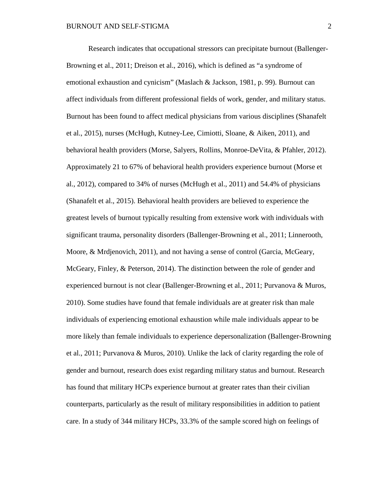Research indicates that occupational stressors can precipitate burnout (Ballenger-Browning et al., 2011; Dreison et al., 2016), which is defined as "a syndrome of emotional exhaustion and cynicism" (Maslach & Jackson, 1981, p. 99). Burnout can affect individuals from different professional fields of work, gender, and military status. Burnout has been found to affect medical physicians from various disciplines (Shanafelt et al., 2015), nurses (McHugh, Kutney-Lee, Cimiotti, Sloane, & Aiken, 2011), and behavioral health providers (Morse, Salyers, Rollins, Monroe-DeVita, & Pfahler, 2012). Approximately 21 to 67% of behavioral health providers experience burnout (Morse et al., 2012), compared to 34% of nurses (McHugh et al., 2011) and 54.4% of physicians (Shanafelt et al., 2015). Behavioral health providers are believed to experience the greatest levels of burnout typically resulting from extensive work with individuals with significant trauma, personality disorders (Ballenger-Browning et al., 2011; Linnerooth, Moore, & Mrdjenovich, 2011), and not having a sense of control (Garcia, McGeary, McGeary, Finley, & Peterson, 2014). The distinction between the role of gender and experienced burnout is not clear (Ballenger-Browning et al., 2011; Purvanova & Muros, 2010). Some studies have found that female individuals are at greater risk than male individuals of experiencing emotional exhaustion while male individuals appear to be more likely than female individuals to experience depersonalization (Ballenger-Browning et al., 2011; Purvanova & Muros, 2010). Unlike the lack of clarity regarding the role of gender and burnout, research does exist regarding military status and burnout. Research has found that military HCPs experience burnout at greater rates than their civilian counterparts, particularly as the result of military responsibilities in addition to patient care. In a study of 344 military HCPs, 33.3% of the sample scored high on feelings of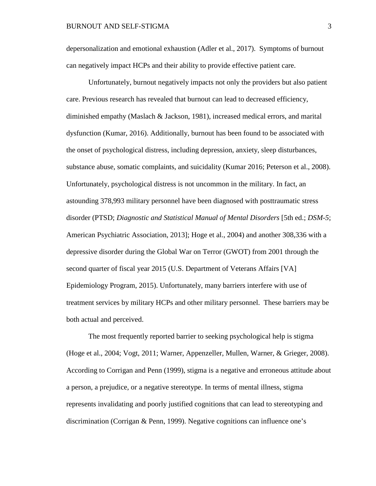depersonalization and emotional exhaustion (Adler et al., 2017). Symptoms of burnout can negatively impact HCPs and their ability to provide effective patient care.

Unfortunately, burnout negatively impacts not only the providers but also patient care. Previous research has revealed that burnout can lead to decreased efficiency, diminished empathy (Maslach & Jackson, 1981), increased medical errors, and marital dysfunction (Kumar, 2016). Additionally, burnout has been found to be associated with the onset of psychological distress, including depression, anxiety, sleep disturbances, substance abuse, somatic complaints, and suicidality (Kumar 2016; Peterson et al., 2008). Unfortunately, psychological distress is not uncommon in the military. In fact, an astounding 378,993 military personnel have been diagnosed with posttraumatic stress disorder (PTSD; *Diagnostic and Statistical Manual of Mental Disorders* [5th ed.; *DSM-5*; American Psychiatric Association, 2013]; Hoge et al., 2004) and another 308,336 with a depressive disorder during the Global War on Terror (GWOT) from 2001 through the second quarter of fiscal year 2015 (U.S. Department of Veterans Affairs [VA] Epidemiology Program, 2015). Unfortunately, many barriers interfere with use of treatment services by military HCPs and other military personnel. These barriers may be both actual and perceived.

The most frequently reported barrier to seeking psychological help is stigma (Hoge et al., 2004; Vogt, 2011; Warner, Appenzeller, Mullen, Warner, & Grieger, 2008). According to Corrigan and Penn (1999), stigma is a negative and erroneous attitude about a person, a prejudice, or a negative stereotype. In terms of mental illness, stigma represents invalidating and poorly justified cognitions that can lead to stereotyping and discrimination (Corrigan & Penn, 1999). Negative cognitions can influence one's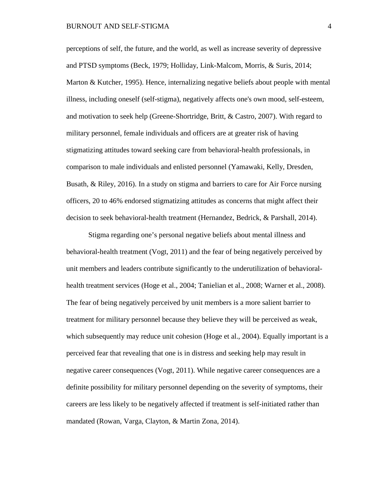perceptions of self, the future, and the world, as well as increase severity of depressive and PTSD symptoms (Beck, 1979; Holliday, Link-Malcom, Morris, & Suris, 2014; Marton & Kutcher, 1995). Hence, internalizing negative beliefs about people with mental illness, including oneself (self-stigma), negatively affects one's own mood, self-esteem, and motivation to seek help (Greene-Shortridge, Britt, & Castro, 2007). With regard to military personnel, female individuals and officers are at greater risk of having stigmatizing attitudes toward seeking care from behavioral-health professionals, in comparison to male individuals and enlisted personnel (Yamawaki, Kelly, Dresden, Busath, & Riley, 2016). In a study on stigma and barriers to care for Air Force nursing officers, 20 to 46% endorsed stigmatizing attitudes as concerns that might affect their decision to seek behavioral-health treatment (Hernandez, Bedrick, & Parshall, 2014).

Stigma regarding one's personal negative beliefs about mental illness and behavioral-health treatment (Vogt, 2011) and the fear of being negatively perceived by unit members and leaders contribute significantly to the underutilization of behavioralhealth treatment services (Hoge et al., 2004; Tanielian et al., 2008; Warner et al., 2008). The fear of being negatively perceived by unit members is a more salient barrier to treatment for military personnel because they believe they will be perceived as weak, which subsequently may reduce unit cohesion (Hoge et al., 2004). Equally important is a perceived fear that revealing that one is in distress and seeking help may result in negative career consequences (Vogt, 2011). While negative career consequences are a definite possibility for military personnel depending on the severity of symptoms, their careers are less likely to be negatively affected if treatment is self-initiated rather than mandated (Rowan, Varga, Clayton, & Martin Zona, 2014).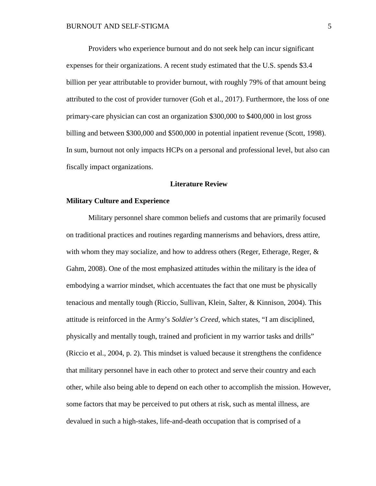Providers who experience burnout and do not seek help can incur significant expenses for their organizations. A recent study estimated that the U.S. spends \$3.4 billion per year attributable to provider burnout, with roughly 79% of that amount being attributed to the cost of provider turnover (Goh et al., 2017). Furthermore, the loss of one primary-care physician can cost an organization \$300,000 to \$400,000 in lost gross billing and between \$300,000 and \$500,000 in potential inpatient revenue (Scott, 1998). In sum, burnout not only impacts HCPs on a personal and professional level, but also can fiscally impact organizations.

#### **Literature Review**

#### **Military Culture and Experience**

Military personnel share common beliefs and customs that are primarily focused on traditional practices and routines regarding mannerisms and behaviors, dress attire, with whom they may socialize, and how to address others (Reger, Etherage, Reger,  $\&$ Gahm, 2008). One of the most emphasized attitudes within the military is the idea of embodying a warrior mindset, which accentuates the fact that one must be physically tenacious and mentally tough (Riccio, Sullivan, Klein, Salter, & Kinnison, 2004). This attitude is reinforced in the Army's *Soldier's Creed,* which states, "I am disciplined, physically and mentally tough, trained and proficient in my warrior tasks and drills" (Riccio et al., 2004, p. 2). This mindset is valued because it strengthens the confidence that military personnel have in each other to protect and serve their country and each other, while also being able to depend on each other to accomplish the mission. However, some factors that may be perceived to put others at risk, such as mental illness, are devalued in such a high-stakes, life-and-death occupation that is comprised of a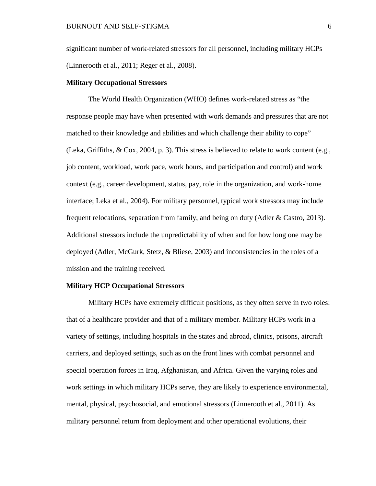significant number of work-related stressors for all personnel, including military HCPs (Linnerooth et al., 2011; Reger et al., 2008).

#### **Military Occupational Stressors**

The World Health Organization (WHO) defines work-related stress as "the response people may have when presented with work demands and pressures that are not matched to their knowledge and abilities and which challenge their ability to cope" (Leka, Griffiths, & Cox, 2004, p. 3). This stress is believed to relate to work content (e.g., job content, workload, work pace, work hours, and participation and control) and work context (e.g., career development, status, pay, role in the organization, and work-home interface; Leka et al., 2004). For military personnel, typical work stressors may include frequent relocations, separation from family, and being on duty (Adler & Castro, 2013). Additional stressors include the unpredictability of when and for how long one may be deployed (Adler, McGurk, Stetz, & Bliese, 2003) and inconsistencies in the roles of a mission and the training received.

#### **Military HCP Occupational Stressors**

Military HCPs have extremely difficult positions, as they often serve in two roles: that of a healthcare provider and that of a military member. Military HCPs work in a variety of settings, including hospitals in the states and abroad, clinics, prisons, aircraft carriers, and deployed settings, such as on the front lines with combat personnel and special operation forces in Iraq, Afghanistan, and Africa. Given the varying roles and work settings in which military HCPs serve, they are likely to experience environmental, mental, physical, psychosocial, and emotional stressors (Linnerooth et al., 2011). As military personnel return from deployment and other operational evolutions, their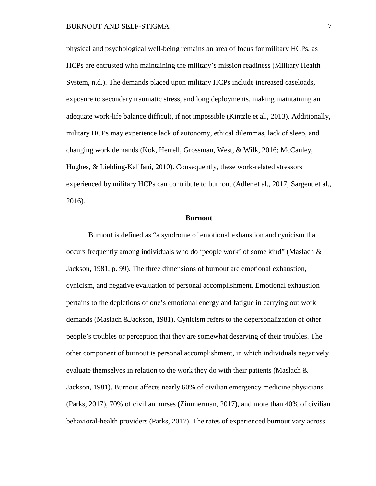physical and psychological well-being remains an area of focus for military HCPs, as HCPs are entrusted with maintaining the military's mission readiness (Military Health System, n.d.). The demands placed upon military HCPs include increased caseloads, exposure to secondary traumatic stress, and long deployments, making maintaining an adequate work-life balance difficult, if not impossible (Kintzle et al., 2013). Additionally, military HCPs may experience lack of autonomy, ethical dilemmas, lack of sleep, and changing work demands (Kok, Herrell, Grossman, West, & Wilk, 2016; McCauley, Hughes, & Liebling-Kalifani, 2010). Consequently, these work-related stressors experienced by military HCPs can contribute to burnout (Adler et al., 2017; Sargent et al., 2016).

#### **Burnout**

Burnout is defined as "a syndrome of emotional exhaustion and cynicism that occurs frequently among individuals who do 'people work' of some kind" (Maslach & Jackson, 1981, p. 99). The three dimensions of burnout are emotional exhaustion, cynicism, and negative evaluation of personal accomplishment. Emotional exhaustion pertains to the depletions of one's emotional energy and fatigue in carrying out work demands (Maslach &Jackson, 1981). Cynicism refers to the depersonalization of other people's troubles or perception that they are somewhat deserving of their troubles. The other component of burnout is personal accomplishment, in which individuals negatively evaluate themselves in relation to the work they do with their patients (Maslach  $\&$ Jackson, 1981). Burnout affects nearly 60% of civilian emergency medicine physicians (Parks, 2017), 70% of civilian nurses (Zimmerman, 2017), and more than 40% of civilian behavioral-health providers (Parks, 2017). The rates of experienced burnout vary across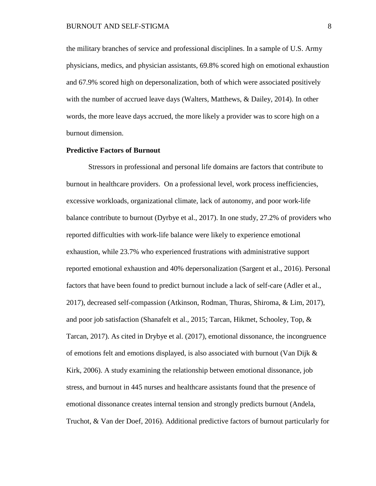the military branches of service and professional disciplines. In a sample of U.S. Army physicians, medics, and physician assistants, 69.8% scored high on emotional exhaustion and 67.9% scored high on depersonalization, both of which were associated positively with the number of accrued leave days (Walters, Matthews, & Dailey, 2014). In other words, the more leave days accrued, the more likely a provider was to score high on a burnout dimension.

#### **Predictive Factors of Burnout**

Stressors in professional and personal life domains are factors that contribute to burnout in healthcare providers. On a professional level, work process inefficiencies, excessive workloads, organizational climate, lack of autonomy, and poor work-life balance contribute to burnout (Dyrbye et al., 2017). In one study, 27.2% of providers who reported difficulties with work-life balance were likely to experience emotional exhaustion, while 23.7% who experienced frustrations with administrative support reported emotional exhaustion and 40% depersonalization (Sargent et al., 2016). Personal factors that have been found to predict burnout include a lack of self-care (Adler et al., 2017), decreased self-compassion (Atkinson, Rodman, Thuras, Shiroma, & Lim, 2017), and poor job satisfaction (Shanafelt et al., 2015; Tarcan, Hikmet, Schooley, Top, & Tarcan, 2017). As cited in Drybye et al. (2017), emotional dissonance, the incongruence of emotions felt and emotions displayed, is also associated with burnout (Van Dijk  $\&$ Kirk, 2006). A study examining the relationship between emotional dissonance, job stress, and burnout in 445 nurses and healthcare assistants found that the presence of emotional dissonance creates internal tension and strongly predicts burnout (Andela, Truchot, & Van der Doef, 2016). Additional predictive factors of burnout particularly for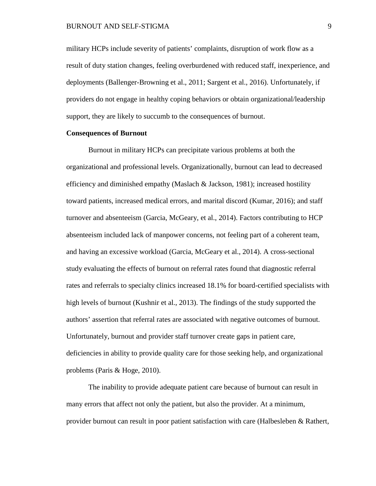#### BURNOUT AND SELF-STIGMA 9

military HCPs include severity of patients' complaints, disruption of work flow as a result of duty station changes, feeling overburdened with reduced staff, inexperience, and deployments (Ballenger-Browning et al., 2011; Sargent et al., 2016). Unfortunately, if providers do not engage in healthy coping behaviors or obtain organizational/leadership support, they are likely to succumb to the consequences of burnout.

#### **Consequences of Burnout**

Burnout in military HCPs can precipitate various problems at both the organizational and professional levels. Organizationally, burnout can lead to decreased efficiency and diminished empathy (Maslach  $\&$  Jackson, 1981); increased hostility toward patients, increased medical errors, and marital discord (Kumar, 2016); and staff turnover and absenteeism (Garcia, McGeary, et al., 2014). Factors contributing to HCP absenteeism included lack of manpower concerns, not feeling part of a coherent team, and having an excessive workload (Garcia, McGeary et al., 2014). A cross-sectional study evaluating the effects of burnout on referral rates found that diagnostic referral rates and referrals to specialty clinics increased 18.1% for board-certified specialists with high levels of burnout (Kushnir et al., 2013). The findings of the study supported the authors' assertion that referral rates are associated with negative outcomes of burnout. Unfortunately, burnout and provider staff turnover create gaps in patient care, deficiencies in ability to provide quality care for those seeking help, and organizational problems (Paris & Hoge, 2010).

The inability to provide adequate patient care because of burnout can result in many errors that affect not only the patient, but also the provider. At a minimum, provider burnout can result in poor patient satisfaction with care (Halbesleben & Rathert,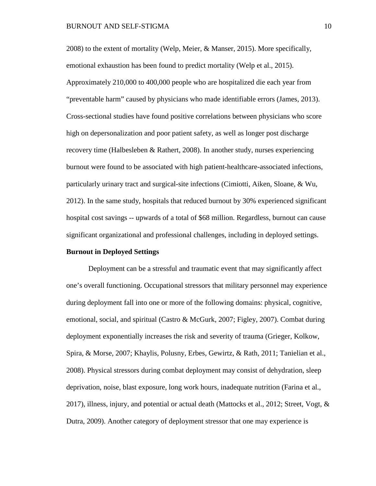2008) to the extent of mortality (Welp, Meier, & Manser, 2015). More specifically, emotional exhaustion has been found to predict mortality (Welp et al., 2015). Approximately 210,000 to 400,000 people who are hospitalized die each year from "preventable harm" caused by physicians who made identifiable errors (James, 2013). Cross-sectional studies have found positive correlations between physicians who score high on depersonalization and poor patient safety, as well as longer post discharge recovery time (Halbesleben & Rathert, 2008). In another study, nurses experiencing burnout were found to be associated with high patient-healthcare-associated infections, particularly urinary tract and surgical-site infections (Cimiotti, Aiken, Sloane, & Wu, 2012). In the same study, hospitals that reduced burnout by 30% experienced significant hospital cost savings -- upwards of a total of \$68 million. Regardless, burnout can cause significant organizational and professional challenges, including in deployed settings.

#### **Burnout in Deployed Settings**

Deployment can be a stressful and traumatic event that may significantly affect one's overall functioning. Occupational stressors that military personnel may experience during deployment fall into one or more of the following domains: physical, cognitive, emotional, social, and spiritual (Castro & McGurk, 2007; Figley, 2007). Combat during deployment exponentially increases the risk and severity of trauma (Grieger, Kolkow, Spira, & Morse, 2007; Khaylis, Polusny, Erbes, Gewirtz, & Rath, 2011; Tanielian et al., 2008). Physical stressors during combat deployment may consist of dehydration, sleep deprivation, noise, blast exposure, long work hours, inadequate nutrition (Farina et al., 2017), illness, injury, and potential or actual death (Mattocks et al., 2012; Street, Vogt,  $\&$ Dutra, 2009). Another category of deployment stressor that one may experience is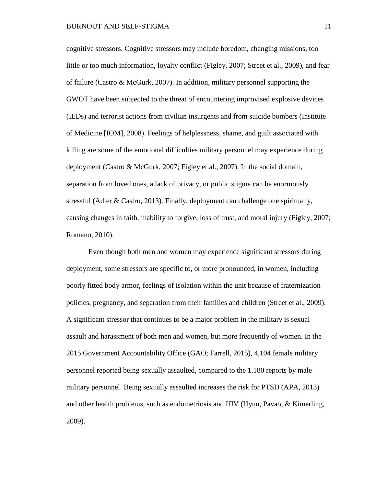cognitive stressors. Cognitive stressors may include boredom, changing missions, too little or too much information, loyalty conflict (Figley, 2007; Street et al., 2009), and fear of failure (Castro & McGurk, 2007). In addition, military personnel supporting the GWOT have been subjected to the threat of encountering improvised explosive devices (IEDs) and terrorist actions from civilian insurgents and from suicide bombers (Institute of Medicine [IOM], 2008). Feelings of helplessness, shame, and guilt associated with killing are some of the emotional difficulties military personnel may experience during deployment (Castro & McGurk, 2007; Figley et al., 2007). In the social domain, separation from loved ones, a lack of privacy, or public stigma can be enormously stressful (Adler & Castro, 2013). Finally, deployment can challenge one spiritually, causing changes in faith, inability to forgive, loss of trust, and moral injury (Figley, 2007; Romano, 2010).

Even though both men and women may experience significant stressors during deployment, some stressors are specific to, or more pronounced, in women, including poorly fitted body armor, feelings of isolation within the unit because of fraternization policies, pregnancy, and separation from their families and children (Street et al., 2009). A significant stressor that continues to be a major problem in the military is sexual assault and harassment of both men and women, but more frequently of women. In the 2015 Government Accountability Office (GAO; Farrell, 2015), 4,104 female military personnel reported being sexually assaulted, compared to the 1,180 reports by male military personnel. Being sexually assaulted increases the risk for PTSD (APA, 2013) and other health problems, such as endometriosis and HIV (Hyun, Pavao, & Kimerling, 2009).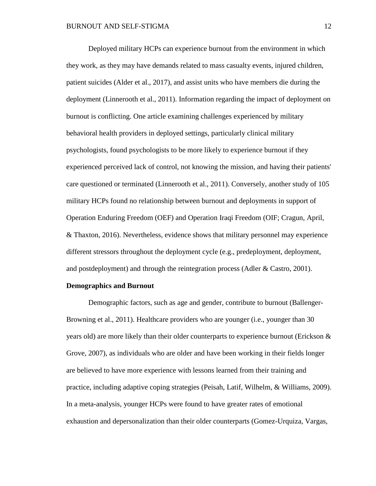Deployed military HCPs can experience burnout from the environment in which they work, as they may have demands related to mass casualty events, injured children, patient suicides (Alder et al., 2017), and assist units who have members die during the deployment (Linnerooth et al., 2011). Information regarding the impact of deployment on burnout is conflicting. One article examining challenges experienced by military behavioral health providers in deployed settings, particularly clinical military psychologists, found psychologists to be more likely to experience burnout if they experienced perceived lack of control, not knowing the mission, and having their patients' care questioned or terminated (Linnerooth et al., 2011). Conversely, another study of 105 military HCPs found no relationship between burnout and deployments in support of Operation Enduring Freedom (OEF) and Operation Iraqi Freedom (OIF; Cragun, April, & Thaxton, 2016). Nevertheless, evidence shows that military personnel may experience different stressors throughout the deployment cycle (e.g., predeployment, deployment, and postdeployment) and through the reintegration process (Adler & Castro, 2001).

#### **Demographics and Burnout**

Demographic factors, such as age and gender, contribute to burnout (Ballenger-Browning et al., 2011). Healthcare providers who are younger (i.e., younger than 30 years old) are more likely than their older counterparts to experience burnout (Erickson & Grove, 2007), as individuals who are older and have been working in their fields longer are believed to have more experience with lessons learned from their training and practice, including adaptive coping strategies (Peisah, Latif, Wilhelm, & Williams, 2009). In a meta-analysis, younger HCPs were found to have greater rates of emotional exhaustion and depersonalization than their older counterparts (Gomez-Urquiza, Vargas,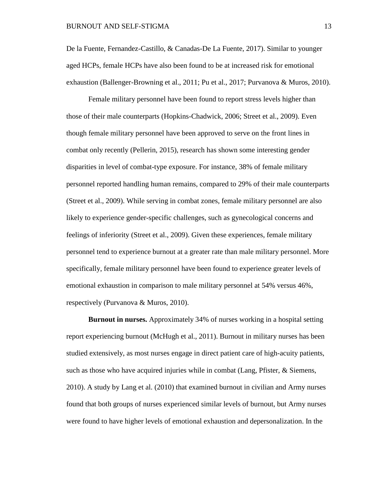De la Fuente, Fernandez-Castillo, & Canadas-De La Fuente, 2017). Similar to younger aged HCPs, female HCPs have also been found to be at increased risk for emotional exhaustion (Ballenger-Browning et al., 2011; Pu et al., 2017; Purvanova & Muros, 2010).

Female military personnel have been found to report stress levels higher than those of their male counterparts (Hopkins-Chadwick, 2006; Street et al., 2009). Even though female military personnel have been approved to serve on the front lines in combat only recently (Pellerin, 2015), research has shown some interesting gender disparities in level of combat-type exposure. For instance, 38% of female military personnel reported handling human remains, compared to 29% of their male counterparts (Street et al., 2009). While serving in combat zones, female military personnel are also likely to experience gender-specific challenges, such as gynecological concerns and feelings of inferiority (Street et al., 2009). Given these experiences, female military personnel tend to experience burnout at a greater rate than male military personnel. More specifically, female military personnel have been found to experience greater levels of emotional exhaustion in comparison to male military personnel at 54% versus 46%, respectively (Purvanova & Muros, 2010).

**Burnout in nurses.** Approximately 34% of nurses working in a hospital setting report experiencing burnout (McHugh et al., 2011). Burnout in military nurses has been studied extensively, as most nurses engage in direct patient care of high-acuity patients, such as those who have acquired injuries while in combat (Lang, Pfister, & Siemens, 2010). A study by Lang et al. (2010) that examined burnout in civilian and Army nurses found that both groups of nurses experienced similar levels of burnout, but Army nurses were found to have higher levels of emotional exhaustion and depersonalization. In the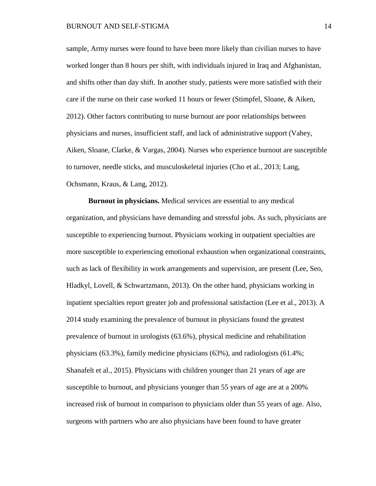sample, Army nurses were found to have been more likely than civilian nurses to have worked longer than 8 hours per shift, with individuals injured in Iraq and Afghanistan, and shifts other than day shift. In another study, patients were more satisfied with their care if the nurse on their case worked 11 hours or fewer (Stimpfel, Sloane, & Aiken, 2012). Other factors contributing to nurse burnout are poor relationships between physicians and nurses, insufficient staff, and lack of administrative support (Vahey, Aiken, Sloane, Clarke, & Vargas, 2004). Nurses who experience burnout are susceptible to turnover, needle sticks, and musculoskeletal injuries (Cho et al., 2013; Lang, Ochsmann, Kraus, & Lang, 2012).

**Burnout in physicians.** Medical services are essential to any medical organization, and physicians have demanding and stressful jobs. As such, physicians are susceptible to experiencing burnout. Physicians working in outpatient specialties are more susceptible to experiencing emotional exhaustion when organizational constraints, such as lack of flexibility in work arrangements and supervision, are present (Lee, Seo, Hladkyl, Lovell, & Schwartzmann, 2013). On the other hand, physicians working in inpatient specialties report greater job and professional satisfaction (Lee et al., 2013). A 2014 study examining the prevalence of burnout in physicians found the greatest prevalence of burnout in urologists (63.6%), physical medicine and rehabilitation physicians (63.3%), family medicine physicians (63%), and radiologists (61.4%; Shanafelt et al., 2015). Physicians with children younger than 21 years of age are susceptible to burnout, and physicians younger than 55 years of age are at a 200% increased risk of burnout in comparison to physicians older than 55 years of age. Also, surgeons with partners who are also physicians have been found to have greater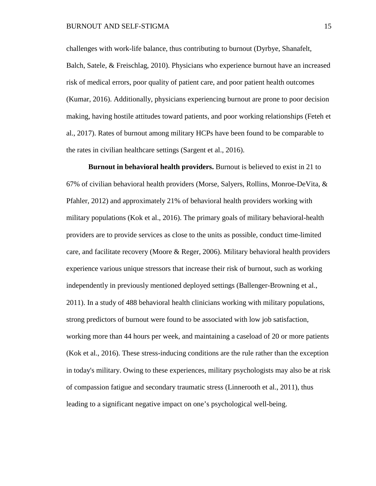challenges with work-life balance, thus contributing to burnout (Dyrbye, Shanafelt, Balch, Satele, & Freischlag, 2010). Physicians who experience burnout have an increased risk of medical errors, poor quality of patient care, and poor patient health outcomes (Kumar, 2016). Additionally, physicians experiencing burnout are prone to poor decision making, having hostile attitudes toward patients, and poor working relationships (Feteh et al., 2017). Rates of burnout among military HCPs have been found to be comparable to the rates in civilian healthcare settings (Sargent et al., 2016).

**Burnout in behavioral health providers.** Burnout is believed to exist in 21 to 67% of civilian behavioral health providers (Morse, Salyers, Rollins, Monroe-DeVita, & Pfahler, 2012) and approximately 21% of behavioral health providers working with military populations (Kok et al., 2016). The primary goals of military behavioral-health providers are to provide services as close to the units as possible, conduct time-limited care, and facilitate recovery (Moore & Reger, 2006). Military behavioral health providers experience various unique stressors that increase their risk of burnout, such as working independently in previously mentioned deployed settings (Ballenger-Browning et al., 2011). In a study of 488 behavioral health clinicians working with military populations, strong predictors of burnout were found to be associated with low job satisfaction, working more than 44 hours per week, and maintaining a caseload of 20 or more patients (Kok et al., 2016). These stress-inducing conditions are the rule rather than the exception in today's military. Owing to these experiences, military psychologists may also be at risk of compassion fatigue and secondary traumatic stress (Linnerooth et al., 2011), thus leading to a significant negative impact on one's psychological well-being.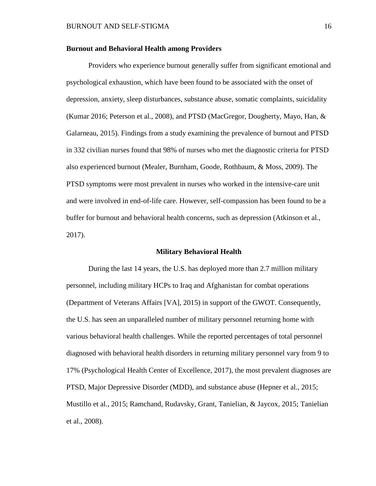#### **Burnout and Behavioral Health among Providers**

Providers who experience burnout generally suffer from significant emotional and psychological exhaustion, which have been found to be associated with the onset of depression, anxiety, sleep disturbances, substance abuse, somatic complaints, suicidality (Kumar 2016; Peterson et al., 2008), and PTSD (MacGregor, Dougherty, Mayo, Han, & Galarneau, 2015). Findings from a study examining the prevalence of burnout and PTSD in 332 civilian nurses found that 98% of nurses who met the diagnostic criteria for PTSD also experienced burnout (Mealer, Burnham, Goode, Rothbaum, & Moss, 2009). The PTSD symptoms were most prevalent in nurses who worked in the intensive-care unit and were involved in end-of-life care. However, self-compassion has been found to be a buffer for burnout and behavioral health concerns, such as depression (Atkinson et al., 2017).

#### **Military Behavioral Health**

During the last 14 years, the U.S. has deployed more than 2.7 million military personnel, including military HCPs to Iraq and Afghanistan for combat operations (Department of Veterans Affairs [VA], 2015) in support of the GWOT. Consequently, the U.S. has seen an unparalleled number of military personnel returning home with various behavioral health challenges. While the reported percentages of total personnel diagnosed with behavioral health disorders in returning military personnel vary from 9 to 17% (Psychological Health Center of Excellence, 2017), the most prevalent diagnoses are PTSD, Major Depressive Disorder (MDD), and substance abuse (Hepner et al., 2015; Mustillo et al., 2015; Ramchand, Rudavsky, Grant, Tanielian, & Jaycox, 2015; Tanielian et al., 2008).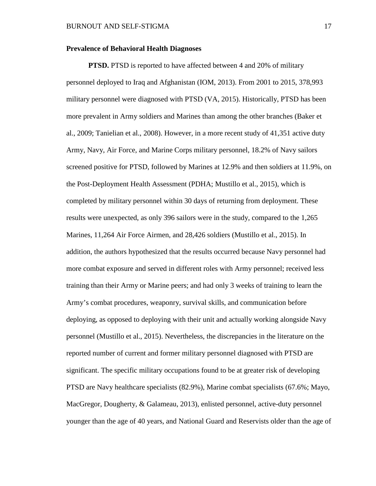#### **Prevalence of Behavioral Health Diagnoses**

**PTSD.** PTSD is reported to have affected between 4 and 20% of military personnel deployed to Iraq and Afghanistan (IOM, 2013). From 2001 to 2015, 378,993 military personnel were diagnosed with PTSD (VA, 2015). Historically, PTSD has been more prevalent in Army soldiers and Marines than among the other branches (Baker et al., 2009; Tanielian et al., 2008). However, in a more recent study of 41,351 active duty Army, Navy, Air Force, and Marine Corps military personnel, 18.2% of Navy sailors screened positive for PTSD, followed by Marines at 12.9% and then soldiers at 11.9%, on the Post-Deployment Health Assessment (PDHA; Mustillo et al., 2015), which is completed by military personnel within 30 days of returning from deployment. These results were unexpected, as only 396 sailors were in the study, compared to the 1,265 Marines, 11,264 Air Force Airmen, and 28,426 soldiers (Mustillo et al., 2015). In addition, the authors hypothesized that the results occurred because Navy personnel had more combat exposure and served in different roles with Army personnel; received less training than their Army or Marine peers; and had only 3 weeks of training to learn the Army's combat procedures, weaponry, survival skills, and communication before deploying, as opposed to deploying with their unit and actually working alongside Navy personnel (Mustillo et al., 2015). Nevertheless, the discrepancies in the literature on the reported number of current and former military personnel diagnosed with PTSD are significant. The specific military occupations found to be at greater risk of developing PTSD are Navy healthcare specialists (82.9%), Marine combat specialists (67.6%; Mayo, MacGregor, Dougherty, & Galameau, 2013), enlisted personnel, active-duty personnel younger than the age of 40 years, and National Guard and Reservists older than the age of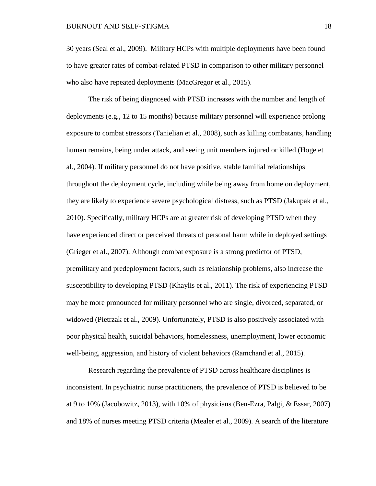30 years (Seal et al., 2009). Military HCPs with multiple deployments have been found to have greater rates of combat-related PTSD in comparison to other military personnel who also have repeated deployments (MacGregor et al., 2015).

The risk of being diagnosed with PTSD increases with the number and length of deployments (e.g., 12 to 15 months) because military personnel will experience prolong exposure to combat stressors (Tanielian et al., 2008), such as killing combatants, handling human remains, being under attack, and seeing unit members injured or killed (Hoge et al., 2004). If military personnel do not have positive, stable familial relationships throughout the deployment cycle, including while being away from home on deployment, they are likely to experience severe psychological distress, such as PTSD (Jakupak et al., 2010). Specifically, military HCPs are at greater risk of developing PTSD when they have experienced direct or perceived threats of personal harm while in deployed settings (Grieger et al., 2007). Although combat exposure is a strong predictor of PTSD, premilitary and predeployment factors, such as relationship problems, also increase the susceptibility to developing PTSD (Khaylis et al., 2011). The risk of experiencing PTSD may be more pronounced for military personnel who are single, divorced, separated, or widowed (Pietrzak et al., 2009). Unfortunately, PTSD is also positively associated with poor physical health, suicidal behaviors, homelessness, unemployment, lower economic well-being, aggression, and history of violent behaviors (Ramchand et al., 2015).

Research regarding the prevalence of PTSD across healthcare disciplines is inconsistent. In psychiatric nurse practitioners, the prevalence of PTSD is believed to be at 9 to 10% (Jacobowitz, 2013), with 10% of physicians (Ben-Ezra, Palgi, & Essar, 2007) and 18% of nurses meeting PTSD criteria (Mealer et al., 2009). A search of the literature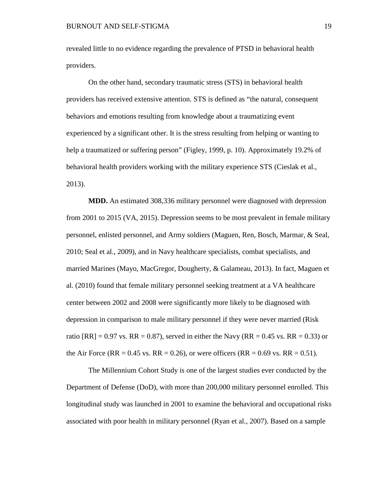revealed little to no evidence regarding the prevalence of PTSD in behavioral health providers.

On the other hand, secondary traumatic stress (STS) in behavioral health providers has received extensive attention. STS is defined as "the natural, consequent behaviors and emotions resulting from knowledge about a traumatizing event experienced by a significant other. It is the stress resulting from helping or wanting to help a traumatized or suffering person" (Figley, 1999, p. 10). Approximately 19.2% of behavioral health providers working with the military experience STS (Cieslak et al., 2013).

**MDD.** An estimated 308,336 military personnel were diagnosed with depression from 2001 to 2015 (VA, 2015). Depression seems to be most prevalent in female military personnel, enlisted personnel, and Army soldiers (Maguen, Ren, Bosch, Marmar, & Seal, 2010; Seal et al., 2009), and in Navy healthcare specialists, combat specialists, and married Marines (Mayo, MacGregor, Dougherty, & Galameau, 2013). In fact, Maguen et al. (2010) found that female military personnel seeking treatment at a VA healthcare center between 2002 and 2008 were significantly more likely to be diagnosed with depression in comparison to male military personnel if they were never married (Risk ratio  $[RR] = 0.97$  vs.  $RR = 0.87$ , served in either the Navy  $(RR = 0.45$  vs.  $RR = 0.33$ ) or the Air Force (RR = 0.45 vs. RR = 0.26), or were officers (RR = 0.69 vs. RR = 0.51).

The Millennium Cohort Study is one of the largest studies ever conducted by the Department of Defense (DoD), with more than 200,000 military personnel enrolled. This longitudinal study was launched in 2001 to examine the behavioral and occupational risks associated with poor health in military personnel (Ryan et al., 2007). Based on a sample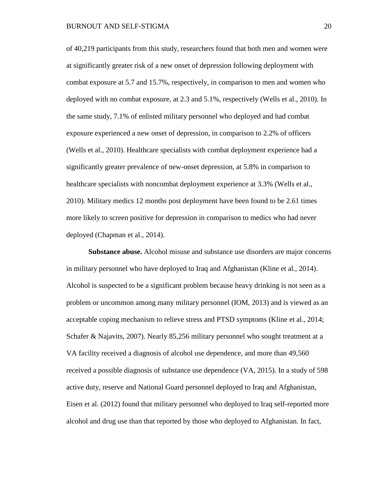of 40,219 participants from this study, researchers found that both men and women were at significantly greater risk of a new onset of depression following deployment with combat exposure at 5.7 and 15.7%, respectively, in comparison to men and women who deployed with no combat exposure, at 2.3 and 5.1%, respectively (Wells et al., 2010). In the same study, 7.1% of enlisted military personnel who deployed and had combat exposure experienced a new onset of depression, in comparison to 2.2% of officers (Wells et al., 2010). Healthcare specialists with combat deployment experience had a significantly greater prevalence of new-onset depression, at 5.8% in comparison to healthcare specialists with noncombat deployment experience at 3.3% (Wells et al., 2010). Military medics 12 months post deployment have been found to be 2.61 times more likely to screen positive for depression in comparison to medics who had never deployed (Chapman et al., 2014).

**Substance abuse.** Alcohol misuse and substance use disorders are major concerns in military personnel who have deployed to Iraq and Afghanistan (Kline et al., 2014). Alcohol is suspected to be a significant problem because heavy drinking is not seen as a problem or uncommon among many military personnel (IOM, 2013) and is viewed as an acceptable coping mechanism to relieve stress and PTSD symptoms (Kline et al., 2014; Schafer & Najavits, 2007). Nearly 85,256 military personnel who sought treatment at a VA facility received a diagnosis of alcohol use dependence, and more than 49,560 received a possible diagnosis of substance use dependence (VA, 2015). In a study of 598 active duty, reserve and National Guard personnel deployed to Iraq and Afghanistan, Eisen et al. (2012) found that military personnel who deployed to Iraq self-reported more alcohol and drug use than that reported by those who deployed to Afghanistan. In fact,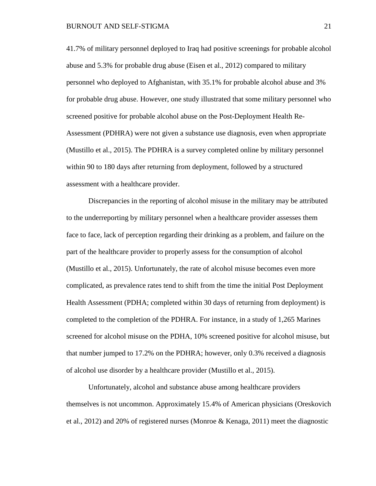41.7% of military personnel deployed to Iraq had positive screenings for probable alcohol abuse and 5.3% for probable drug abuse (Eisen et al., 2012) compared to military personnel who deployed to Afghanistan, with 35.1% for probable alcohol abuse and 3% for probable drug abuse. However, one study illustrated that some military personnel who screened positive for probable alcohol abuse on the Post-Deployment Health Re-Assessment (PDHRA) were not given a substance use diagnosis, even when appropriate (Mustillo et al., 2015). The PDHRA is a survey completed online by military personnel within 90 to 180 days after returning from deployment, followed by a structured assessment with a healthcare provider.

Discrepancies in the reporting of alcohol misuse in the military may be attributed to the underreporting by military personnel when a healthcare provider assesses them face to face, lack of perception regarding their drinking as a problem, and failure on the part of the healthcare provider to properly assess for the consumption of alcohol (Mustillo et al., 2015). Unfortunately, the rate of alcohol misuse becomes even more complicated, as prevalence rates tend to shift from the time the initial Post Deployment Health Assessment (PDHA; completed within 30 days of returning from deployment) is completed to the completion of the PDHRA. For instance, in a study of 1,265 Marines screened for alcohol misuse on the PDHA, 10% screened positive for alcohol misuse, but that number jumped to 17.2% on the PDHRA; however, only 0.3% received a diagnosis of alcohol use disorder by a healthcare provider (Mustillo et al., 2015).

Unfortunately, alcohol and substance abuse among healthcare providers themselves is not uncommon. Approximately 15.4% of American physicians (Oreskovich et al., 2012) and 20% of registered nurses (Monroe & Kenaga, 2011) meet the diagnostic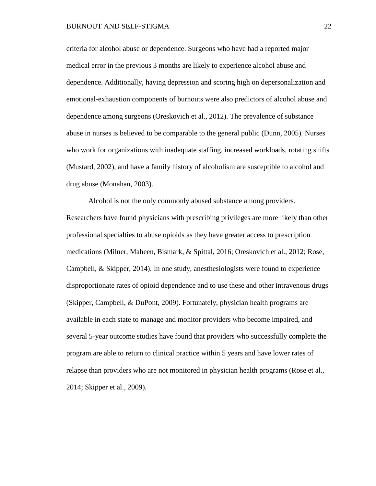criteria for alcohol abuse or dependence. Surgeons who have had a reported major medical error in the previous 3 months are likely to experience alcohol abuse and dependence. Additionally, having depression and scoring high on depersonalization and emotional-exhaustion components of burnouts were also predictors of alcohol abuse and dependence among surgeons (Oreskovich et al., 2012). The prevalence of substance abuse in nurses is believed to be comparable to the general public (Dunn, 2005). Nurses who work for organizations with inadequate staffing, increased workloads, rotating shifts (Mustard, 2002), and have a family history of alcoholism are susceptible to alcohol and drug abuse (Monahan, 2003).

Alcohol is not the only commonly abused substance among providers. Researchers have found physicians with prescribing privileges are more likely than other professional specialties to abuse opioids as they have greater access to prescription medications (Milner, Maheen, Bismark, & Spittal, 2016; Oreskovich et al., 2012; Rose, Campbell, & Skipper, 2014). In one study, anesthesiologists were found to experience disproportionate rates of opioid dependence and to use these and other intravenous drugs (Skipper, Campbell, & DuPont, 2009). Fortunately, physician health programs are available in each state to manage and monitor providers who become impaired, and several 5-year outcome studies have found that providers who successfully complete the program are able to return to clinical practice within 5 years and have lower rates of relapse than providers who are not monitored in physician health programs (Rose et al., 2014; Skipper et al., 2009).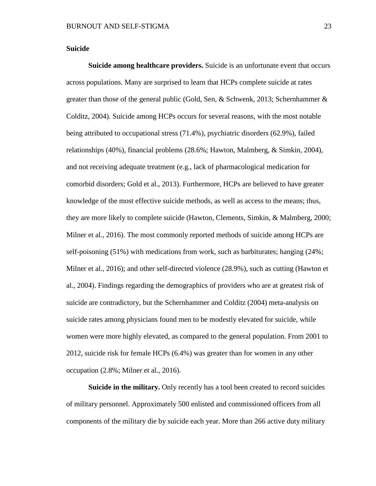#### **Suicide**

**Suicide among healthcare providers.** Suicide is an unfortunate event that occurs across populations. Many are surprised to learn that HCPs complete suicide at rates greater than those of the general public (Gold, Sen, & Schwenk, 2013; Schernhammer  $\&$ Colditz, 2004). Suicide among HCPs occurs for several reasons, with the most notable being attributed to occupational stress (71.4%), psychiatric disorders (62.9%), failed relationships (40%), financial problems (28.6%; Hawton, Malmberg, & Simkin, 2004), and not receiving adequate treatment (e.g., lack of pharmacological medication for comorbid disorders; Gold et al., 2013). Furthermore, HCPs are believed to have greater knowledge of the most effective suicide methods, as well as access to the means; thus, they are more likely to complete suicide (Hawton, Clements, Simkin, & Malmberg, 2000; Milner et al., 2016). The most commonly reported methods of suicide among HCPs are self-poisoning (51%) with medications from work, such as barbiturates; hanging (24%; Milner et al., 2016); and other self-directed violence (28.9%), such as cutting (Hawton et al., 2004). Findings regarding the demographics of providers who are at greatest risk of suicide are contradictory, but the Schernhammer and Colditz (2004) meta-analysis on suicide rates among physicians found men to be modestly elevated for suicide, while women were more highly elevated, as compared to the general population. From 2001 to 2012, suicide risk for female HCPs (6.4%) was greater than for women in any other occupation (2.8%; Milner et al., 2016).

**Suicide in the military.** Only recently has a tool been created to record suicides of military personnel. Approximately 500 enlisted and commissioned officers from all components of the military die by suicide each year. More than 266 active duty military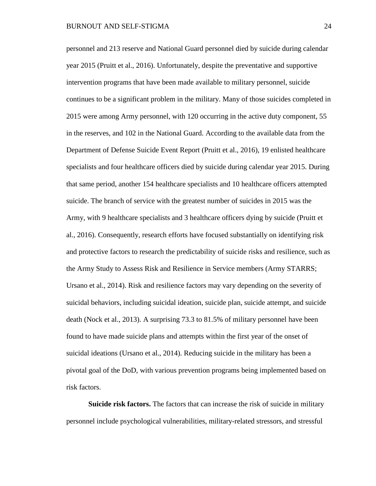personnel and 213 reserve and National Guard personnel died by suicide during calendar year 2015 (Pruitt et al., 2016). Unfortunately, despite the preventative and supportive intervention programs that have been made available to military personnel, suicide continues to be a significant problem in the military. Many of those suicides completed in 2015 were among Army personnel, with 120 occurring in the active duty component, 55 in the reserves, and 102 in the National Guard. According to the available data from the Department of Defense Suicide Event Report (Pruitt et al., 2016), 19 enlisted healthcare specialists and four healthcare officers died by suicide during calendar year 2015. During that same period, another 154 healthcare specialists and 10 healthcare officers attempted suicide. The branch of service with the greatest number of suicides in 2015 was the Army, with 9 healthcare specialists and 3 healthcare officers dying by suicide (Pruitt et al., 2016). Consequently, research efforts have focused substantially on identifying risk and protective factors to research the predictability of suicide risks and resilience, such as the Army Study to Assess Risk and Resilience in Service members (Army STARRS; Ursano et al., 2014). Risk and resilience factors may vary depending on the severity of suicidal behaviors, including suicidal ideation, suicide plan, suicide attempt, and suicide death (Nock et al., 2013). A surprising 73.3 to 81.5% of military personnel have been found to have made suicide plans and attempts within the first year of the onset of suicidal ideations (Ursano et al., 2014). Reducing suicide in the military has been a pivotal goal of the DoD, with various prevention programs being implemented based on risk factors.

**Suicide risk factors.** The factors that can increase the risk of suicide in military personnel include psychological vulnerabilities, military-related stressors, and stressful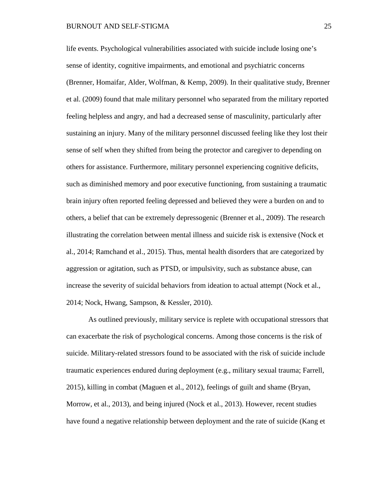#### BURNOUT AND SELF-STIGMA 25

life events. Psychological vulnerabilities associated with suicide include losing one's sense of identity, cognitive impairments, and emotional and psychiatric concerns (Brenner, Homaifar, Alder, Wolfman, & Kemp, 2009). In their qualitative study, Brenner et al. (2009) found that male military personnel who separated from the military reported feeling helpless and angry, and had a decreased sense of masculinity, particularly after sustaining an injury. Many of the military personnel discussed feeling like they lost their sense of self when they shifted from being the protector and caregiver to depending on others for assistance. Furthermore, military personnel experiencing cognitive deficits, such as diminished memory and poor executive functioning, from sustaining a traumatic brain injury often reported feeling depressed and believed they were a burden on and to others, a belief that can be extremely depressogenic (Brenner et al., 2009). The research illustrating the correlation between mental illness and suicide risk is extensive (Nock et al., 2014; Ramchand et al., 2015). Thus, mental health disorders that are categorized by aggression or agitation, such as PTSD, or impulsivity, such as substance abuse, can increase the severity of suicidal behaviors from ideation to actual attempt (Nock et al., 2014; Nock, Hwang, Sampson, & Kessler, 2010).

As outlined previously, military service is replete with occupational stressors that can exacerbate the risk of psychological concerns. Among those concerns is the risk of suicide. Military-related stressors found to be associated with the risk of suicide include traumatic experiences endured during deployment (e.g., military sexual trauma; Farrell, 2015), killing in combat (Maguen et al., 2012), feelings of guilt and shame (Bryan, Morrow, et al., 2013), and being injured (Nock et al., 2013). However, recent studies have found a negative relationship between deployment and the rate of suicide (Kang et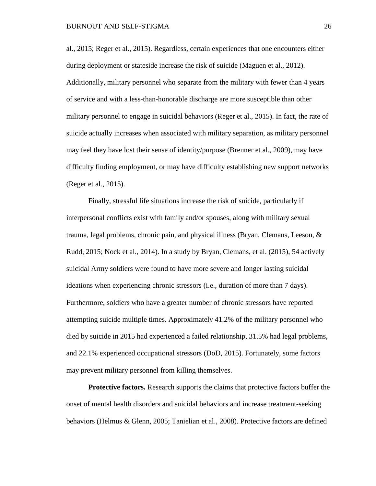al., 2015; Reger et al., 2015). Regardless, certain experiences that one encounters either during deployment or stateside increase the risk of suicide (Maguen et al., 2012). Additionally, military personnel who separate from the military with fewer than 4 years of service and with a less-than-honorable discharge are more susceptible than other military personnel to engage in suicidal behaviors (Reger et al., 2015). In fact, the rate of suicide actually increases when associated with military separation, as military personnel may feel they have lost their sense of identity/purpose (Brenner et al., 2009), may have difficulty finding employment, or may have difficulty establishing new support networks (Reger et al., 2015).

Finally, stressful life situations increase the risk of suicide, particularly if interpersonal conflicts exist with family and/or spouses, along with military sexual trauma, legal problems, chronic pain, and physical illness (Bryan, Clemans, Leeson, & Rudd, 2015; Nock et al., 2014). In a study by Bryan, Clemans, et al. (2015), 54 actively suicidal Army soldiers were found to have more severe and longer lasting suicidal ideations when experiencing chronic stressors (i.e., duration of more than 7 days). Furthermore, soldiers who have a greater number of chronic stressors have reported attempting suicide multiple times. Approximately 41.2% of the military personnel who died by suicide in 2015 had experienced a failed relationship, 31.5% had legal problems, and 22.1% experienced occupational stressors (DoD, 2015). Fortunately, some factors may prevent military personnel from killing themselves.

**Protective factors.** Research supports the claims that protective factors buffer the onset of mental health disorders and suicidal behaviors and increase treatment-seeking behaviors (Helmus & Glenn, 2005; Tanielian et al., 2008). Protective factors are defined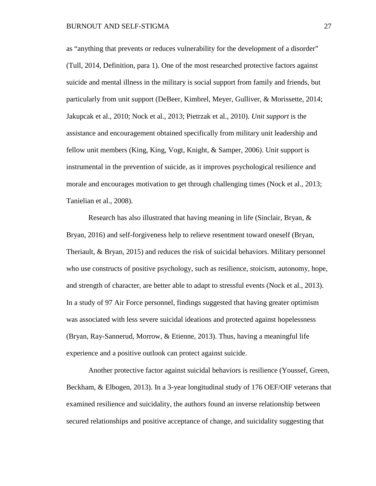as "anything that prevents or reduces vulnerability for the development of a disorder" (Tull, 2014, Definition, para 1). One of the most researched protective factors against suicide and mental illness in the military is social support from family and friends, but particularly from unit support (DeBeer, Kimbrel, Meyer, Gulliver, & Morissette, 2014; Jakupcak et al., 2010; Nock et al., 2013; Pietrzak et al., 2010). *Unit support* is the assistance and encouragement obtained specifically from military unit leadership and fellow unit members (King, King, Vogt, Knight, & Samper, 2006). Unit support is instrumental in the prevention of suicide, as it improves psychological resilience and morale and encourages motivation to get through challenging times (Nock et al., 2013; Tanielian et al., 2008).

Research has also illustrated that having meaning in life (Sinclair, Bryan, & Bryan, 2016) and self-forgiveness help to relieve resentment toward oneself (Bryan, Theriault, & Bryan, 2015) and reduces the risk of suicidal behaviors. Military personnel who use constructs of positive psychology, such as resilience, stoicism, autonomy, hope, and strength of character, are better able to adapt to stressful events (Nock et al., 2013). In a study of 97 Air Force personnel, findings suggested that having greater optimism was associated with less severe suicidal ideations and protected against hopelessness (Bryan, Ray-Sannerud, Morrow, & Etienne, 2013). Thus, having a meaningful life experience and a positive outlook can protect against suicide.

Another protective factor against suicidal behaviors is resilience (Youssef, Green, Beckham, & Elbogen, 2013). In a 3-year longitudinal study of 176 OEF/OIF veterans that examined resilience and suicidality, the authors found an inverse relationship between secured relationships and positive acceptance of change, and suicidality suggesting that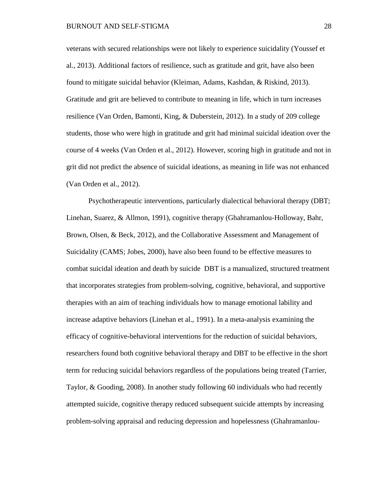veterans with secured relationships were not likely to experience suicidality (Youssef et al., 2013). Additional factors of resilience, such as gratitude and grit, have also been found to mitigate suicidal behavior (Kleiman, Adams, Kashdan, & Riskind, 2013). Gratitude and grit are believed to contribute to meaning in life, which in turn increases resilience (Van Orden, Bamonti, King, & Duberstein, 2012). In a study of 209 college students, those who were high in gratitude and grit had minimal suicidal ideation over the course of 4 weeks (Van Orden et al., 2012). However, scoring high in gratitude and not in grit did not predict the absence of suicidal ideations, as meaning in life was not enhanced (Van Orden et al., 2012).

Psychotherapeutic interventions, particularly dialectical behavioral therapy (DBT; Linehan, Suarez, & Allmon, 1991), cognitive therapy (Ghahramanlou-Holloway, Bahr, Brown, Olsen, & Beck, 2012), and the Collaborative Assessment and Management of Suicidality (CAMS; Jobes, 2000), have also been found to be effective measures to combat suicidal ideation and death by suicide DBT is a manualized, structured treatment that incorporates strategies from problem-solving, cognitive, behavioral, and supportive therapies with an aim of teaching individuals how to manage emotional lability and increase adaptive behaviors (Linehan et al., 1991). In a meta-analysis examining the efficacy of cognitive-behavioral interventions for the reduction of suicidal behaviors, researchers found both cognitive behavioral therapy and DBT to be effective in the short term for reducing suicidal behaviors regardless of the populations being treated (Tarrier, Taylor, & Gooding, 2008). In another study following 60 individuals who had recently attempted suicide, cognitive therapy reduced subsequent suicide attempts by increasing problem-solving appraisal and reducing depression and hopelessness (Ghahramanlou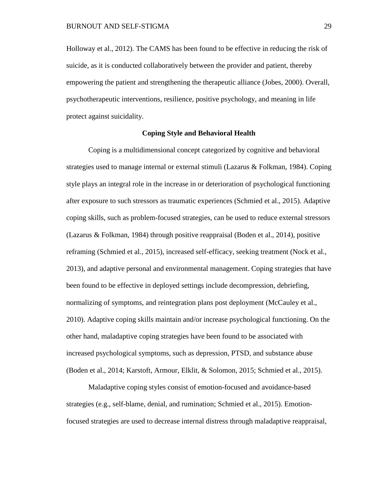Holloway et al., 2012). The CAMS has been found to be effective in reducing the risk of suicide, as it is conducted collaboratively between the provider and patient, thereby empowering the patient and strengthening the therapeutic alliance (Jobes, 2000). Overall, psychotherapeutic interventions, resilience, positive psychology, and meaning in life protect against suicidality.

## **Coping Style and Behavioral Health**

Coping is a multidimensional concept categorized by cognitive and behavioral strategies used to manage internal or external stimuli (Lazarus & Folkman, 1984). Coping style plays an integral role in the increase in or deterioration of psychological functioning after exposure to such stressors as traumatic experiences (Schmied et al., 2015). Adaptive coping skills, such as problem-focused strategies, can be used to reduce external stressors (Lazarus & Folkman, 1984) through positive reappraisal (Boden et al., 2014), positive reframing (Schmied et al., 2015), increased self-efficacy, seeking treatment (Nock et al., 2013), and adaptive personal and environmental management. Coping strategies that have been found to be effective in deployed settings include decompression, debriefing, normalizing of symptoms, and reintegration plans post deployment (McCauley et al., 2010). Adaptive coping skills maintain and/or increase psychological functioning. On the other hand, maladaptive coping strategies have been found to be associated with increased psychological symptoms, such as depression, PTSD, and substance abuse (Boden et al., 2014; Karstoft, Armour, Elklit, & Solomon, 2015; Schmied et al., 2015).

Maladaptive coping styles consist of emotion-focused and avoidance-based strategies (e.g., self-blame, denial, and rumination; Schmied et al., 2015). Emotionfocused strategies are used to decrease internal distress through maladaptive reappraisal,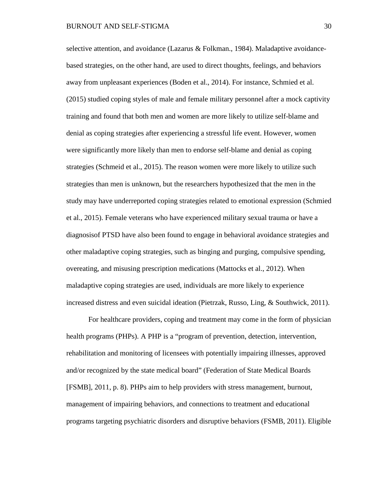selective attention, and avoidance (Lazarus & Folkman., 1984). Maladaptive avoidancebased strategies, on the other hand, are used to direct thoughts, feelings, and behaviors away from unpleasant experiences (Boden et al., 2014). For instance, Schmied et al. (2015) studied coping styles of male and female military personnel after a mock captivity training and found that both men and women are more likely to utilize self-blame and denial as coping strategies after experiencing a stressful life event. However, women were significantly more likely than men to endorse self-blame and denial as coping strategies (Schmeid et al., 2015). The reason women were more likely to utilize such strategies than men is unknown, but the researchers hypothesized that the men in the study may have underreported coping strategies related to emotional expression (Schmied et al., 2015). Female veterans who have experienced military sexual trauma or have a diagnosisof PTSD have also been found to engage in behavioral avoidance strategies and other maladaptive coping strategies, such as binging and purging, compulsive spending, overeating, and misusing prescription medications (Mattocks et al., 2012). When maladaptive coping strategies are used, individuals are more likely to experience increased distress and even suicidal ideation (Pietrzak, Russo, Ling, & Southwick, 2011).

For healthcare providers, coping and treatment may come in the form of physician health programs (PHPs). A PHP is a "program of prevention, detection, intervention, rehabilitation and monitoring of licensees with potentially impairing illnesses, approved and/or recognized by the state medical board" (Federation of State Medical Boards [FSMB], 2011, p. 8). PHPs aim to help providers with stress management, burnout, management of impairing behaviors, and connections to treatment and educational programs targeting psychiatric disorders and disruptive behaviors (FSMB, 2011). Eligible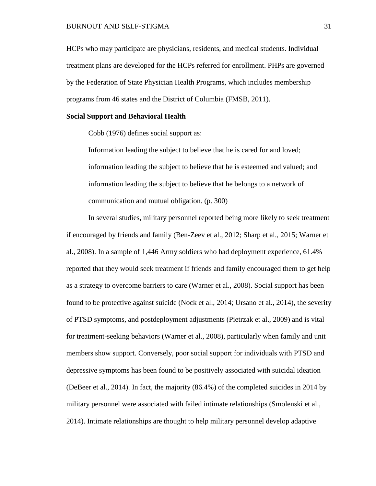HCPs who may participate are physicians, residents, and medical students. Individual treatment plans are developed for the HCPs referred for enrollment. PHPs are governed by the Federation of State Physician Health Programs, which includes membership programs from 46 states and the District of Columbia (FMSB, 2011).

### **Social Support and Behavioral Health**

Cobb (1976) defines social support as:

Information leading the subject to believe that he is cared for and loved; information leading the subject to believe that he is esteemed and valued; and information leading the subject to believe that he belongs to a network of communication and mutual obligation. (p. 300)

In several studies, military personnel reported being more likely to seek treatment if encouraged by friends and family (Ben-Zeev et al., 2012; Sharp et al., 2015; Warner et al., 2008). In a sample of 1,446 Army soldiers who had deployment experience, 61.4% reported that they would seek treatment if friends and family encouraged them to get help as a strategy to overcome barriers to care (Warner et al., 2008). Social support has been found to be protective against suicide (Nock et al., 2014; Ursano et al., 2014), the severity of PTSD symptoms, and postdeployment adjustments (Pietrzak et al., 2009) and is vital for treatment-seeking behaviors (Warner et al., 2008), particularly when family and unit members show support. Conversely, poor social support for individuals with PTSD and depressive symptoms has been found to be positively associated with suicidal ideation (DeBeer et al., 2014). In fact, the majority (86.4%) of the completed suicides in 2014 by military personnel were associated with failed intimate relationships (Smolenski et al., 2014). Intimate relationships are thought to help military personnel develop adaptive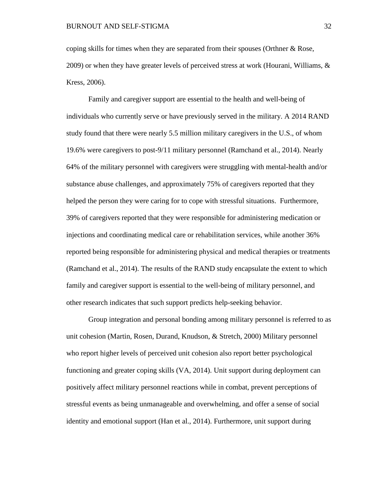coping skills for times when they are separated from their spouses (Orthner & Rose, 2009) or when they have greater levels of perceived stress at work (Hourani, Williams, & Kress, 2006).

Family and caregiver support are essential to the health and well-being of individuals who currently serve or have previously served in the military. A 2014 RAND study found that there were nearly 5.5 million military caregivers in the U.S., of whom 19.6% were caregivers to post-9/11 military personnel (Ramchand et al., 2014). Nearly 64% of the military personnel with caregivers were struggling with mental-health and/or substance abuse challenges, and approximately 75% of caregivers reported that they helped the person they were caring for to cope with stressful situations. Furthermore, 39% of caregivers reported that they were responsible for administering medication or injections and coordinating medical care or rehabilitation services, while another 36% reported being responsible for administering physical and medical therapies or treatments (Ramchand et al., 2014). The results of the RAND study encapsulate the extent to which family and caregiver support is essential to the well-being of military personnel, and other research indicates that such support predicts help-seeking behavior.

Group integration and personal bonding among military personnel is referred to as unit cohesion (Martin, Rosen, Durand, Knudson, & Stretch, 2000) Military personnel who report higher levels of perceived unit cohesion also report better psychological functioning and greater coping skills (VA, 2014). Unit support during deployment can positively affect military personnel reactions while in combat, prevent perceptions of stressful events as being unmanageable and overwhelming, and offer a sense of social identity and emotional support (Han et al., 2014). Furthermore, unit support during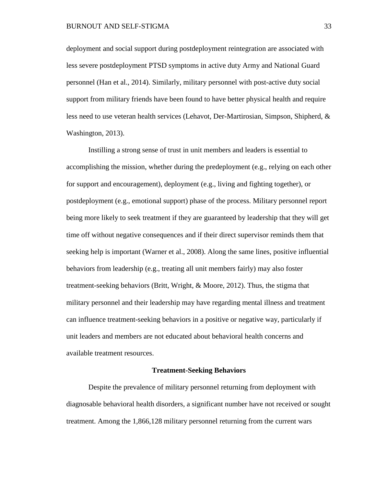deployment and social support during postdeployment reintegration are associated with less severe postdeployment PTSD symptoms in active duty Army and National Guard personnel (Han et al., 2014). Similarly, military personnel with post-active duty social support from military friends have been found to have better physical health and require less need to use veteran health services (Lehavot, Der-Martirosian, Simpson, Shipherd, & Washington, 2013).

Instilling a strong sense of trust in unit members and leaders is essential to accomplishing the mission, whether during the predeployment (e.g., relying on each other for support and encouragement), deployment (e.g., living and fighting together), or postdeployment (e.g., emotional support) phase of the process. Military personnel report being more likely to seek treatment if they are guaranteed by leadership that they will get time off without negative consequences and if their direct supervisor reminds them that seeking help is important (Warner et al., 2008). Along the same lines, positive influential behaviors from leadership (e.g., treating all unit members fairly) may also foster treatment-seeking behaviors (Britt, Wright, & Moore, 2012). Thus, the stigma that military personnel and their leadership may have regarding mental illness and treatment can influence treatment-seeking behaviors in a positive or negative way, particularly if unit leaders and members are not educated about behavioral health concerns and available treatment resources.

### **Treatment-Seeking Behaviors**

Despite the prevalence of military personnel returning from deployment with diagnosable behavioral health disorders, a significant number have not received or sought treatment. Among the 1,866,128 military personnel returning from the current wars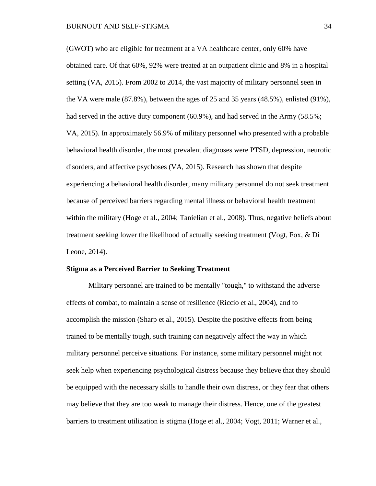(GWOT) who are eligible for treatment at a VA healthcare center, only 60% have obtained care. Of that 60%, 92% were treated at an outpatient clinic and 8% in a hospital setting (VA, 2015). From 2002 to 2014, the vast majority of military personnel seen in the VA were male (87.8%), between the ages of 25 and 35 years (48.5%), enlisted (91%), had served in the active duty component (60.9%), and had served in the Army (58.5%; VA, 2015). In approximately 56.9% of military personnel who presented with a probable behavioral health disorder, the most prevalent diagnoses were PTSD, depression, neurotic disorders, and affective psychoses (VA, 2015). Research has shown that despite experiencing a behavioral health disorder, many military personnel do not seek treatment because of perceived barriers regarding mental illness or behavioral health treatment within the military (Hoge et al., 2004; Tanielian et al., 2008). Thus, negative beliefs about treatment seeking lower the likelihood of actually seeking treatment (Vogt, Fox, & Di Leone, 2014).

#### **Stigma as a Perceived Barrier to Seeking Treatment**

Military personnel are trained to be mentally "tough," to withstand the adverse effects of combat, to maintain a sense of resilience (Riccio et al., 2004), and to accomplish the mission (Sharp et al., 2015). Despite the positive effects from being trained to be mentally tough, such training can negatively affect the way in which military personnel perceive situations. For instance, some military personnel might not seek help when experiencing psychological distress because they believe that they should be equipped with the necessary skills to handle their own distress, or they fear that others may believe that they are too weak to manage their distress. Hence, one of the greatest barriers to treatment utilization is stigma (Hoge et al., 2004; Vogt, 2011; Warner et al.,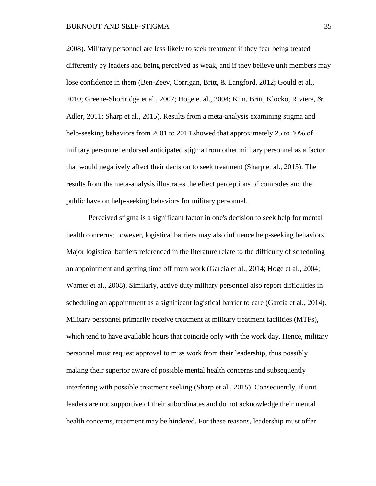### BURNOUT AND SELF-STIGMA 35

2008). Military personnel are less likely to seek treatment if they fear being treated differently by leaders and being perceived as weak, and if they believe unit members may lose confidence in them (Ben-Zeev, Corrigan, Britt, & Langford, 2012; Gould et al., 2010; Greene-Shortridge et al., 2007; Hoge et al., 2004; Kim, Britt, Klocko, Riviere, & Adler, 2011; Sharp et al., 2015). Results from a meta-analysis examining stigma and help-seeking behaviors from 2001 to 2014 showed that approximately 25 to 40% of military personnel endorsed anticipated stigma from other military personnel as a factor that would negatively affect their decision to seek treatment (Sharp et al., 2015). The results from the meta-analysis illustrates the effect perceptions of comrades and the public have on help-seeking behaviors for military personnel.

Perceived stigma is a significant factor in one's decision to seek help for mental health concerns; however, logistical barriers may also influence help-seeking behaviors. Major logistical barriers referenced in the literature relate to the difficulty of scheduling an appointment and getting time off from work (Garcia et al., 2014; Hoge et al., 2004; Warner et al., 2008). Similarly, active duty military personnel also report difficulties in scheduling an appointment as a significant logistical barrier to care (Garcia et al., 2014). Military personnel primarily receive treatment at military treatment facilities (MTFs), which tend to have available hours that coincide only with the work day. Hence, military personnel must request approval to miss work from their leadership, thus possibly making their superior aware of possible mental health concerns and subsequently interfering with possible treatment seeking (Sharp et al., 2015). Consequently, if unit leaders are not supportive of their subordinates and do not acknowledge their mental health concerns, treatment may be hindered. For these reasons, leadership must offer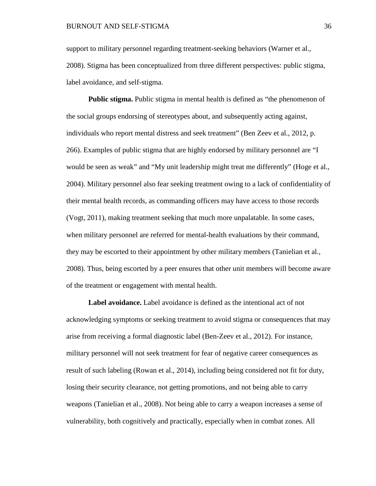## BURNOUT AND SELF-STIGMA 36

support to military personnel regarding treatment-seeking behaviors (Warner et al., 2008). Stigma has been conceptualized from three different perspectives: public stigma, label avoidance, and self-stigma.

**Public stigma.** Public stigma in mental health is defined as "the phenomenon of the social groups endorsing of stereotypes about, and subsequently acting against, individuals who report mental distress and seek treatment" (Ben Zeev et al., 2012, p. 266). Examples of public stigma that are highly endorsed by military personnel are "I would be seen as weak" and "My unit leadership might treat me differently" (Hoge et al., 2004). Military personnel also fear seeking treatment owing to a lack of confidentiality of their mental health records, as commanding officers may have access to those records (Vogt, 2011), making treatment seeking that much more unpalatable. In some cases, when military personnel are referred for mental-health evaluations by their command, they may be escorted to their appointment by other military members (Tanielian et al., 2008). Thus, being escorted by a peer ensures that other unit members will become aware of the treatment or engagement with mental health.

**Label avoidance.** Label avoidance is defined as the intentional act of not acknowledging symptoms or seeking treatment to avoid stigma or consequences that may arise from receiving a formal diagnostic label (Ben-Zeev et al., 2012). For instance, military personnel will not seek treatment for fear of negative career consequences as result of such labeling (Rowan et al., 2014), including being considered not fit for duty, losing their security clearance, not getting promotions, and not being able to carry weapons (Tanielian et al., 2008). Not being able to carry a weapon increases a sense of vulnerability, both cognitively and practically, especially when in combat zones. All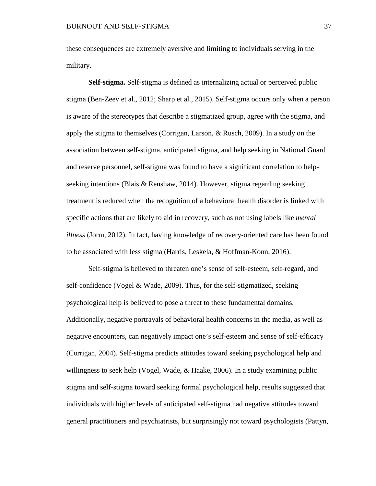these consequences are extremely aversive and limiting to individuals serving in the military.

**Self-stigma.** Self-stigma is defined as internalizing actual or perceived public stigma (Ben-Zeev et al., 2012; Sharp et al., 2015). Self-stigma occurs only when a person is aware of the stereotypes that describe a stigmatized group, agree with the stigma, and apply the stigma to themselves (Corrigan, Larson, & Rusch, 2009). In a study on the association between self-stigma, anticipated stigma, and help seeking in National Guard and reserve personnel, self-stigma was found to have a significant correlation to helpseeking intentions (Blais & Renshaw, 2014). However, stigma regarding seeking treatment is reduced when the recognition of a behavioral health disorder is linked with specific actions that are likely to aid in recovery, such as not using labels like *mental illness* (Jorm, 2012). In fact, having knowledge of recovery-oriented care has been found to be associated with less stigma (Harris, Leskela, & Hoffman-Konn, 2016).

Self-stigma is believed to threaten one's sense of self-esteem, self-regard, and self-confidence (Vogel & Wade, 2009). Thus, for the self-stigmatized, seeking psychological help is believed to pose a threat to these fundamental domains. Additionally, negative portrayals of behavioral health concerns in the media, as well as negative encounters, can negatively impact one's self-esteem and sense of self-efficacy (Corrigan, 2004). Self-stigma predicts attitudes toward seeking psychological help and willingness to seek help (Vogel, Wade, & Haake, 2006). In a study examining public stigma and self-stigma toward seeking formal psychological help, results suggested that individuals with higher levels of anticipated self-stigma had negative attitudes toward general practitioners and psychiatrists, but surprisingly not toward psychologists (Pattyn,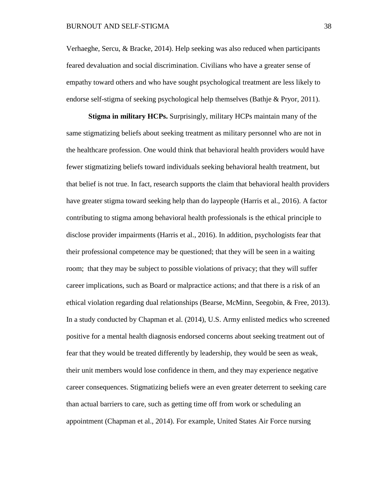Verhaeghe, Sercu, & Bracke, 2014). Help seeking was also reduced when participants feared devaluation and social discrimination. Civilians who have a greater sense of empathy toward others and who have sought psychological treatment are less likely to endorse self-stigma of seeking psychological help themselves (Bathje & Pryor, 2011).

**Stigma in military HCPs.** Surprisingly, military HCPs maintain many of the same stigmatizing beliefs about seeking treatment as military personnel who are not in the healthcare profession. One would think that behavioral health providers would have fewer stigmatizing beliefs toward individuals seeking behavioral health treatment, but that belief is not true. In fact, research supports the claim that behavioral health providers have greater stigma toward seeking help than do laypeople (Harris et al., 2016). A factor contributing to stigma among behavioral health professionals is the ethical principle to disclose provider impairments (Harris et al., 2016). In addition, psychologists fear that their professional competence may be questioned; that they will be seen in a waiting room; that they may be subject to possible violations of privacy; that they will suffer career implications, such as Board or malpractice actions; and that there is a risk of an ethical violation regarding dual relationships (Bearse, McMinn, Seegobin, & Free, 2013). In a study conducted by Chapman et al. (2014), U.S. Army enlisted medics who screened positive for a mental health diagnosis endorsed concerns about seeking treatment out of fear that they would be treated differently by leadership, they would be seen as weak, their unit members would lose confidence in them, and they may experience negative career consequences. Stigmatizing beliefs were an even greater deterrent to seeking care than actual barriers to care, such as getting time off from work or scheduling an appointment (Chapman et al., 2014). For example, United States Air Force nursing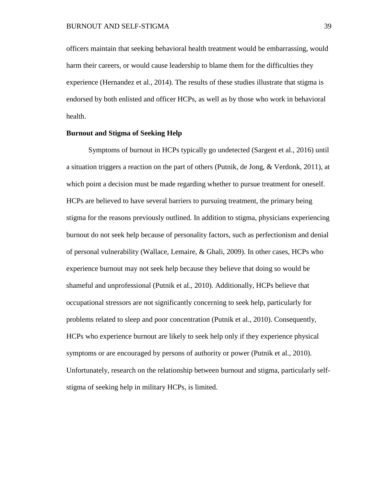officers maintain that seeking behavioral health treatment would be embarrassing, would harm their careers, or would cause leadership to blame them for the difficulties they experience (Hernandez et al., 2014). The results of these studies illustrate that stigma is endorsed by both enlisted and officer HCPs, as well as by those who work in behavioral health.

# **Burnout and Stigma of Seeking Help**

Symptoms of burnout in HCPs typically go undetected (Sargent et al., 2016) until a situation triggers a reaction on the part of others (Putnik, de Jong, & Verdonk, 2011), at which point a decision must be made regarding whether to pursue treatment for oneself. HCPs are believed to have several barriers to pursuing treatment, the primary being stigma for the reasons previously outlined. In addition to stigma, physicians experiencing burnout do not seek help because of personality factors, such as perfectionism and denial of personal vulnerability (Wallace, Lemaire, & Ghali, 2009). In other cases, HCPs who experience burnout may not seek help because they believe that doing so would be shameful and unprofessional (Putnik et al., 2010). Additionally, HCPs believe that occupational stressors are not significantly concerning to seek help, particularly for problems related to sleep and poor concentration (Putnik et al., 2010). Consequently, HCPs who experience burnout are likely to seek help only if they experience physical symptoms or are encouraged by persons of authority or power (Putnik et al., 2010). Unfortunately, research on the relationship between burnout and stigma, particularly selfstigma of seeking help in military HCPs, is limited.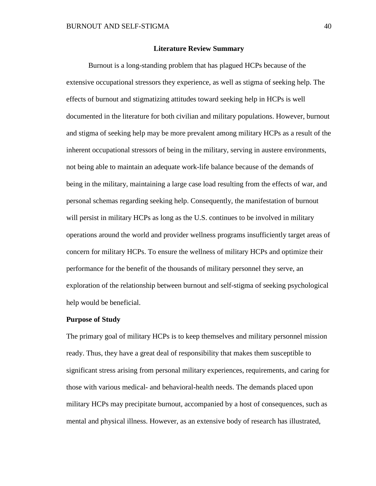### **Literature Review Summary**

Burnout is a long-standing problem that has plagued HCPs because of the extensive occupational stressors they experience, as well as stigma of seeking help. The effects of burnout and stigmatizing attitudes toward seeking help in HCPs is well documented in the literature for both civilian and military populations. However, burnout and stigma of seeking help may be more prevalent among military HCPs as a result of the inherent occupational stressors of being in the military, serving in austere environments, not being able to maintain an adequate work-life balance because of the demands of being in the military, maintaining a large case load resulting from the effects of war, and personal schemas regarding seeking help. Consequently, the manifestation of burnout will persist in military HCPs as long as the U.S. continues to be involved in military operations around the world and provider wellness programs insufficiently target areas of concern for military HCPs. To ensure the wellness of military HCPs and optimize their performance for the benefit of the thousands of military personnel they serve, an exploration of the relationship between burnout and self-stigma of seeking psychological help would be beneficial.

### **Purpose of Study**

The primary goal of military HCPs is to keep themselves and military personnel mission ready. Thus, they have a great deal of responsibility that makes them susceptible to significant stress arising from personal military experiences, requirements, and caring for those with various medical- and behavioral-health needs. The demands placed upon military HCPs may precipitate burnout, accompanied by a host of consequences, such as mental and physical illness. However, as an extensive body of research has illustrated,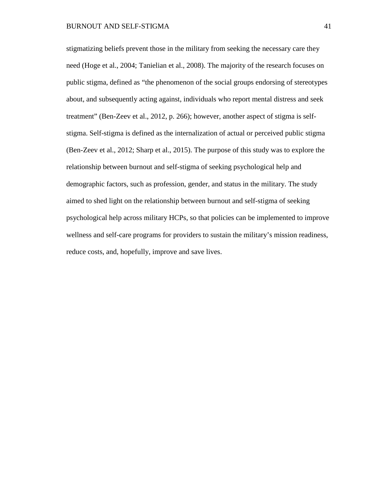stigmatizing beliefs prevent those in the military from seeking the necessary care they need (Hoge et al., 2004; Tanielian et al., 2008). The majority of the research focuses on public stigma, defined as "the phenomenon of the social groups endorsing of stereotypes about, and subsequently acting against, individuals who report mental distress and seek treatment" (Ben-Zeev et al., 2012, p. 266); however, another aspect of stigma is selfstigma. Self-stigma is defined as the internalization of actual or perceived public stigma (Ben-Zeev et al., 2012; Sharp et al., 2015). The purpose of this study was to explore the relationship between burnout and self-stigma of seeking psychological help and demographic factors, such as profession, gender, and status in the military. The study aimed to shed light on the relationship between burnout and self-stigma of seeking psychological help across military HCPs, so that policies can be implemented to improve wellness and self-care programs for providers to sustain the military's mission readiness, reduce costs, and, hopefully, improve and save lives.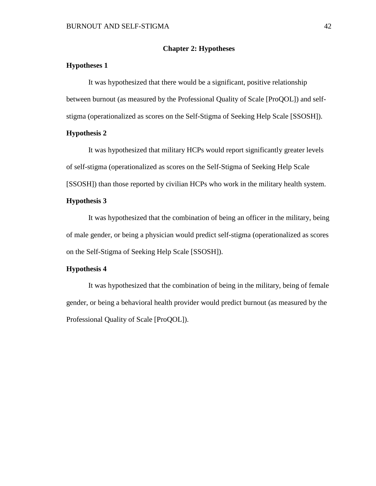## **Chapter 2: Hypotheses**

# **Hypotheses 1**

It was hypothesized that there would be a significant, positive relationship between burnout (as measured by the Professional Quality of Scale [ProQOL]) and selfstigma (operationalized as scores on the Self-Stigma of Seeking Help Scale [SSOSH]).

# **Hypothesis 2**

It was hypothesized that military HCPs would report significantly greater levels of self-stigma (operationalized as scores on the Self-Stigma of Seeking Help Scale [SSOSH]) than those reported by civilian HCPs who work in the military health system.

### **Hypothesis 3**

It was hypothesized that the combination of being an officer in the military, being of male gender, or being a physician would predict self-stigma (operationalized as scores on the Self-Stigma of Seeking Help Scale [SSOSH]).

# **Hypothesis 4**

It was hypothesized that the combination of being in the military, being of female gender, or being a behavioral health provider would predict burnout (as measured by the Professional Quality of Scale [ProQOL]).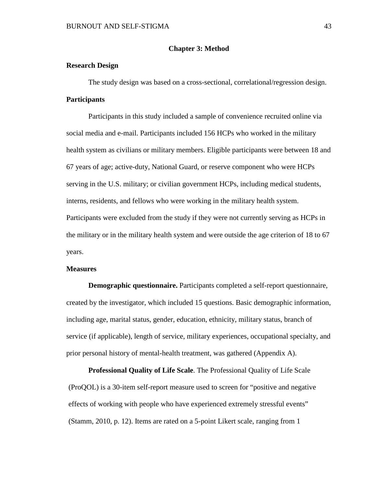# **Chapter 3: Method**

# **Research Design**

The study design was based on a cross-sectional, correlational/regression design. **Participants**

Participants in this study included a sample of convenience recruited online via social media and e-mail. Participants included 156 HCPs who worked in the military health system as civilians or military members. Eligible participants were between 18 and 67 years of age; active-duty, National Guard, or reserve component who were HCPs serving in the U.S. military; or civilian government HCPs, including medical students, interns, residents, and fellows who were working in the military health system. Participants were excluded from the study if they were not currently serving as HCPs in the military or in the military health system and were outside the age criterion of 18 to 67 years.

#### **Measures**

**Demographic questionnaire.** Participants completed a self-report questionnaire, created by the investigator, which included 15 questions. Basic demographic information, including age, marital status, gender, education, ethnicity, military status, branch of service (if applicable), length of service, military experiences, occupational specialty, and prior personal history of mental-health treatment, was gathered (Appendix A).

**Professional Quality of Life Scale**. The Professional Quality of Life Scale (ProQOL) is a 30-item self-report measure used to screen for "positive and negative effects of working with people who have experienced extremely stressful events" (Stamm, 2010, p. 12). Items are rated on a 5-point Likert scale, ranging from 1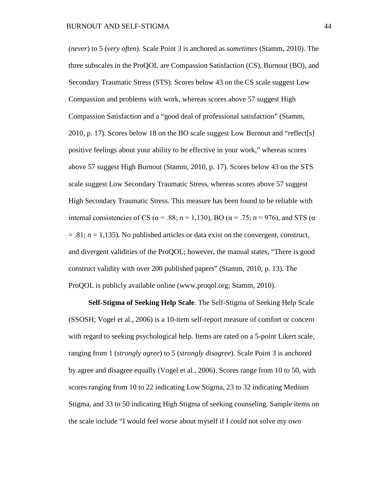(*never*) to 5 (*very often*). Scale Point 3 is anchored as *sometimes* (Stamm, 2010). The three subscales in the ProQOL are Compassion Satisfaction (CS), Burnout (BO), and Secondary Traumatic Stress (STS). Scores below 43 on the CS scale suggest Low Compassion and problems with work, whereas scores above 57 suggest High Compassion Satisfaction and a "good deal of professional satisfaction" (Stamm, 2010, p. 17). Scores below 18 on the BO scale suggest Low Burnout and "reflect[s] positive feelings about your ability to be effective in your work," whereas scores above 57 suggest High Burnout (Stamm, 2010, p. 17). Scores below 43 on the STS scale suggest Low Secondary Traumatic Stress, whereas scores above 57 suggest High Secondary Traumatic Stress. This measure has been found to be reliable with internal consistencies of CS ( $\alpha$  = .88; *n* = 1,130), BO ( $\alpha$  = .75; *n* = 976), and STS ( $\alpha$  $= 0.81$ ;  $n = 1,135$ ). No published articles or data exist on the convergent, construct, and divergent validities of the ProQOL; however, the manual states, "There is good construct validity with over 200 published papers" (Stamm, 2010, p. 13). The ProQOL is publicly available online (www.proqol.org; Stamm, 2010).

**Self-Stigma of Seeking Help Scale**. The Self-Stigma of Seeking Help Scale (SSOSH; Vogel et al., 2006) is a 10-item self-report measure of comfort or concern with regard to seeking psychological help. Items are rated on a 5-point Likert scale, ranging from 1 (*strongly agree*) to 5 (*strongly disagree*). Scale Point 3 is anchored by agree and disagree equally (Vogel et al., 2006). Scores range from 10 to 50, with scores ranging from 10 to 22 indicating Low Stigma, 23 to 32 indicating Medium Stigma, and 33 to 50 indicating High Stigma of seeking counseling. Sample items on the scale include "I would feel worse about myself if I could not solve my own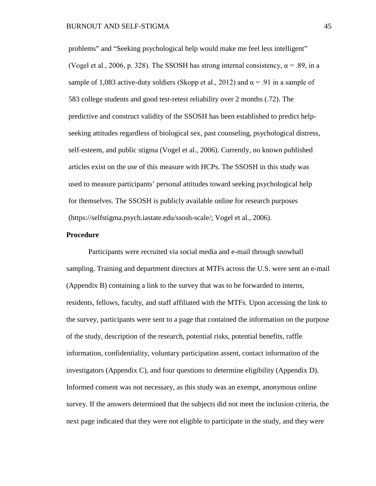problems" and "Seeking psychological help would make me feel less intelligent" (Vogel et al., 2006, p. 328). The SSOSH has strong internal consistency,  $\alpha$  = .89, in a sample of 1,083 active-duty soldiers (Skopp et al., 2012) and  $\alpha = .91$  in a sample of 583 college students and good test-retest reliability over 2 months (.72). The predictive and construct validity of the SSOSH has been established to predict helpseeking attitudes regardless of biological sex, past counseling, psychological distress, self-esteem, and public stigma (Vogel et al., 2006). Currently, no known published articles exist on the use of this measure with HCPs. The SSOSH in this study was used to measure participants' personal attitudes toward seeking psychological help for themselves. The SSOSH is publicly available online for research purposes [\(https://selfstigma.psych.iastate.edu/ssosh-scale/;](https://selfstigma.psych.iastate.edu/ssosh-scale/) Vogel et al., 2006).

## **Procedure**

Participants were recruited via social media and e-mail through snowball sampling. Training and department directors at MTFs across the U.S. were sent an e-mail (Appendix B) containing a link to the survey that was to be forwarded to interns, residents, fellows, faculty, and staff affiliated with the MTFs. Upon accessing the link to the survey, participants were sent to a page that contained the information on the purpose of the study, description of the research, potential risks, potential benefits, raffle information, confidentiality, voluntary participation assent, contact information of the investigators (Appendix C), and four questions to determine eligibility (Appendix D). Informed consent was not necessary, as this study was an exempt, anonymous online survey. If the answers determined that the subjects did not meet the inclusion criteria, the next page indicated that they were not eligible to participate in the study, and they were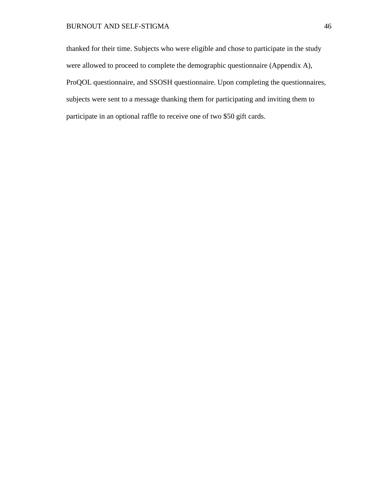# BURNOUT AND SELF-STIGMA 46

thanked for their time. Subjects who were eligible and chose to participate in the study were allowed to proceed to complete the demographic questionnaire (Appendix A), ProQOL questionnaire, and SSOSH questionnaire. Upon completing the questionnaires, subjects were sent to a message thanking them for participating and inviting them to participate in an optional raffle to receive one of two \$50 gift cards.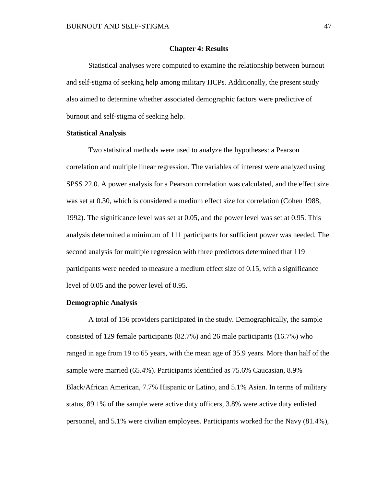### **Chapter 4: Results**

Statistical analyses were computed to examine the relationship between burnout and self-stigma of seeking help among military HCPs. Additionally, the present study also aimed to determine whether associated demographic factors were predictive of burnout and self-stigma of seeking help.

### **Statistical Analysis**

Two statistical methods were used to analyze the hypotheses: a Pearson correlation and multiple linear regression. The variables of interest were analyzed using SPSS 22.0. A power analysis for a Pearson correlation was calculated, and the effect size was set at 0.30, which is considered a medium effect size for correlation (Cohen 1988, 1992). The significance level was set at 0.05, and the power level was set at 0.95. This analysis determined a minimum of 111 participants for sufficient power was needed. The second analysis for multiple regression with three predictors determined that 119 participants were needed to measure a medium effect size of 0.15, with a significance level of 0.05 and the power level of 0.95.

## **Demographic Analysis**

A total of 156 providers participated in the study. Demographically, the sample consisted of 129 female participants (82.7%) and 26 male participants (16.7%) who ranged in age from 19 to 65 years, with the mean age of 35.9 years. More than half of the sample were married (65.4%). Participants identified as 75.6% Caucasian, 8.9% Black/African American, 7.7% Hispanic or Latino, and 5.1% Asian. In terms of military status, 89.1% of the sample were active duty officers, 3.8% were active duty enlisted personnel, and 5.1% were civilian employees. Participants worked for the Navy (81.4%),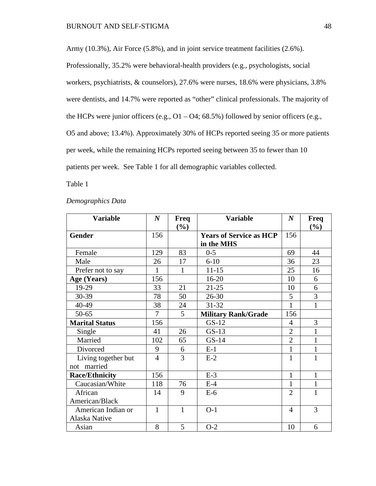Army (10.3%), Air Force (5.8%), and in joint service treatment facilities (2.6%). Professionally, 35.2% were behavioral-health providers (e.g., psychologists, social workers, psychiatrists, & counselors), 27.6% were nurses, 18.6% were physicians, 3.8% were dentists, and 14.7% were reported as "other" clinical professionals. The majority of the HCPs were junior officers (e.g.,  $O1 - O4$ ; 68.5%) followed by senior officers (e.g., O5 and above; 13.4%). Approximately 30% of HCPs reported seeing 35 or more patients per week, while the remaining HCPs reported seeing between 35 to fewer than 10 patients per week. See Table 1 for all demographic variables collected.

Table 1

| <b>Variable</b>                    | $\boldsymbol{N}$ | Freq<br>$(\%)$ | <b>Variable</b>                              | $\boldsymbol{N}$ | Freq<br>(%)  |
|------------------------------------|------------------|----------------|----------------------------------------------|------------------|--------------|
| <b>Gender</b>                      | 156              |                | <b>Years of Service as HCP</b><br>in the MHS | 156              |              |
| Female                             | 129              | 83             | $0 - 5$                                      | 69               | 44           |
| Male                               | 26               | 17             | $6-10$                                       | 36               | 23           |
| Prefer not to say                  | $\mathbf{1}$     | 1              | $11 - 15$                                    | 25               | 16           |
| Age (Years)                        | 156              |                | $16 - 20$                                    | 10               | 6            |
| 19-29                              | 33               | 21             | $21 - 25$                                    | 10               | 6            |
| 30-39                              | 78               | 50             | $26 - 30$                                    | 5                | 3            |
| 40-49                              | 38               | 24             | 31-32                                        | $\mathbf{1}$     | 1            |
| $50 - 65$                          | 7                | 5              | <b>Military Rank/Grade</b>                   | 156              |              |
| <b>Marital Status</b>              | 156              |                | $GS-12$                                      | $\overline{4}$   | 3            |
| Single                             | 41               | 26             | $GS-13$                                      | $\overline{2}$   | $\mathbf{1}$ |
| Married                            | 102              | 65             | $GS-14$                                      | $\overline{2}$   | $\mathbf{1}$ |
| Divorced                           | 9                | 6              | $E-1$                                        | $\mathbf{1}$     | $\mathbf{1}$ |
| Living together but<br>not married | $\overline{4}$   | 3              | $E-2$                                        | $\mathbf{1}$     | $\mathbf{1}$ |
| <b>Race/Ethnicity</b>              | 156              |                | $E-3$                                        | $\mathbf{1}$     | $\mathbf{1}$ |
| Caucasian/White                    | 118              | 76             | $E-4$                                        | 1                | $\mathbf{1}$ |
| African                            | 14               | 9              | $E-6$                                        | $\overline{2}$   | $\mathbf{1}$ |
| American/Black                     |                  |                |                                              |                  |              |
| American Indian or                 | $\mathbf{1}$     | $\mathbf{1}$   | $O-1$                                        | $\overline{4}$   | 3            |
| Alaska Native                      |                  |                |                                              |                  |              |
| Asian                              | 8                | 5              | $O-2$                                        | 10               | 6            |

# *Demographics Data*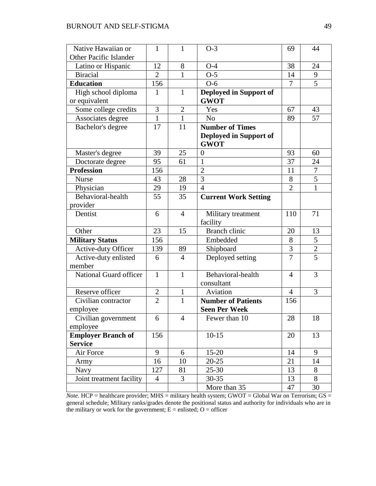| Native Hawaiian or            | 1              | 1              | $O-3$                                 | 69             | 44             |
|-------------------------------|----------------|----------------|---------------------------------------|----------------|----------------|
| <b>Other Pacific Islander</b> |                |                |                                       |                |                |
| Latino or Hispanic            | 12             | 8              | $O-4$                                 | 38             | 24             |
| <b>Biracial</b>               | $\overline{2}$ | $\mathbf{1}$   | $O-5$                                 | 14             | 9              |
| <b>Education</b>              | 156            |                | $O-6$                                 | 7              | 5              |
| High school diploma           | 1              | $\mathbf{1}$   | Deployed in Support of                |                |                |
| or equivalent                 |                |                | <b>GWOT</b>                           |                |                |
| Some college credits          | 3              | $\overline{2}$ | Yes                                   | 67             | 43             |
| Associates degree             | $\mathbf{1}$   | $\mathbf{1}$   | N <sub>o</sub>                        | 89             | 57             |
| Bachelor's degree             | 17             | 11             | <b>Number of Times</b>                |                |                |
|                               |                |                | Deployed in Support of<br><b>GWOT</b> |                |                |
| Master's degree               | 39             | 25             | $\boldsymbol{0}$                      | 93             | 60             |
| Doctorate degree              | 95             | 61             | $\mathbf{1}$                          | 37             | 24             |
| <b>Profession</b>             | 156            |                | $\overline{2}$                        | 11             | $\tau$         |
| <b>Nurse</b>                  | 43             | 28             | 3                                     | 8              | $\overline{5}$ |
| Physician                     | 29             | 19             | $\overline{4}$                        | $\overline{2}$ | $\mathbf{1}$   |
| Behavioral-health             | 55             | 35             | <b>Current Work Setting</b>           |                |                |
| provider                      |                |                |                                       |                |                |
| Dentist                       | 6              | $\overline{4}$ | Military treatment                    | 110            | 71             |
|                               |                |                | facility                              |                |                |
| Other                         | 23             | 15             | Branch clinic                         | 20             | 13             |
| <b>Military Status</b>        | 156            |                | Embedded                              | 8              | 5              |
| <b>Active-duty Officer</b>    | 139            | 89             | Shipboard                             | 3              | $\mathbf{2}$   |
| Active-duty enlisted          | 6              | $\overline{4}$ | Deployed setting                      | $\overline{7}$ | 5              |
| member                        |                |                |                                       |                |                |
| National Guard officer        | $\mathbf{1}$   | $\mathbf{1}$   | Behavioral-health                     | $\overline{4}$ | 3              |
|                               |                |                | consultant                            |                |                |
| Reserve officer               | $\overline{2}$ | $\mathbf{1}$   | Aviation                              | $\overline{4}$ | 3              |
| Civilian contractor           | $\overline{2}$ | $\mathbf{1}$   | <b>Number of Patients</b>             | 156            |                |
| employee                      |                |                | <b>Seen Per Week</b>                  |                |                |
| Civilian government           | 6              | $\overline{4}$ | Fewer than 10                         | 28             | 18             |
| employee                      |                |                |                                       |                |                |
| <b>Employer Branch of</b>     | 156            |                | $10-15$                               | 20             | 13             |
| <b>Service</b>                |                |                |                                       |                |                |
| Air Force                     | 9              | 6              | $15 - 20$                             | 14             | 9              |
| Army                          | 16             | 10             | $20 - 25$                             | 21             | 14             |
| Navy                          | 127            | 81             | $25 - 30$                             | 13             | 8              |
| Joint treatment facility      | $\overline{4}$ | $\overline{3}$ | $30 - 35$                             | 13             | 8              |
|                               |                |                | More than 35                          | 47             | 30             |

 $Note. HCP = healthcare provider; MHS = military health system; GWOT = Global War on Terrorism; GS =$ general schedule; Military ranks/grades denote the positional status and authority for individuals who are in the military or work for the government;  $E =$  enlisted;  $O =$  officer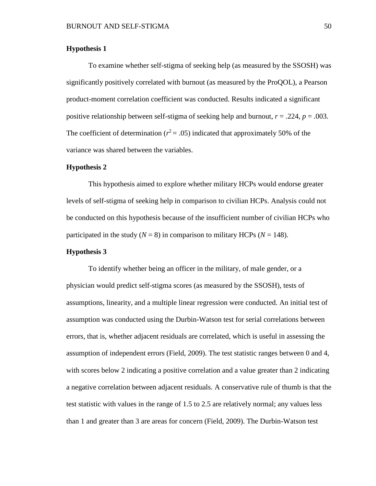# **Hypothesis 1**

To examine whether self-stigma of seeking help (as measured by the SSOSH) was significantly positively correlated with burnout (as measured by the ProQOL), a Pearson product-moment correlation coefficient was conducted. Results indicated a significant positive relationship between self-stigma of seeking help and burnout, *r* = .224, *p* = .003. The coefficient of determination ( $r^2$  = .05) indicated that approximately 50% of the variance was shared between the variables.

#### **Hypothesis 2**

This hypothesis aimed to explore whether military HCPs would endorse greater levels of self-stigma of seeking help in comparison to civilian HCPs. Analysis could not be conducted on this hypothesis because of the insufficient number of civilian HCPs who participated in the study ( $N = 8$ ) in comparison to military HCPs ( $N = 148$ ).

## **Hypothesis 3**

To identify whether being an officer in the military, of male gender, or a physician would predict self-stigma scores (as measured by the SSOSH), tests of assumptions, linearity, and a multiple linear regression were conducted. An initial test of assumption was conducted using the Durbin-Watson test for serial correlations between errors, that is, whether adjacent residuals are correlated, which is useful in assessing the assumption of independent errors (Field, 2009). The test statistic ranges between 0 and 4, with scores below 2 indicating a positive correlation and a value greater than 2 indicating a negative correlation between adjacent residuals. A conservative rule of thumb is that the test statistic with values in the range of 1.5 to 2.5 are relatively normal; any values less than 1 and greater than 3 are areas for concern (Field, 2009). The Durbin-Watson test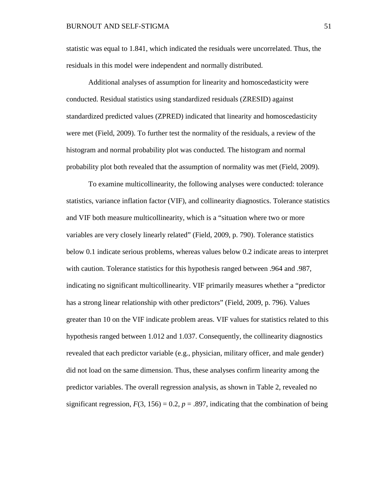statistic was equal to 1.841, which indicated the residuals were uncorrelated. Thus, the residuals in this model were independent and normally distributed.

Additional analyses of assumption for linearity and homoscedasticity were conducted. Residual statistics using standardized residuals (ZRESID) against standardized predicted values (ZPRED) indicated that linearity and homoscedasticity were met (Field, 2009). To further test the normality of the residuals, a review of the histogram and normal probability plot was conducted. The histogram and normal probability plot both revealed that the assumption of normality was met (Field, 2009).

To examine multicollinearity, the following analyses were conducted: tolerance statistics, variance inflation factor (VIF), and collinearity diagnostics. Tolerance statistics and VIF both measure multicollinearity, which is a "situation where two or more variables are very closely linearly related" (Field, 2009, p. 790). Tolerance statistics below 0.1 indicate serious problems, whereas values below 0.2 indicate areas to interpret with caution. Tolerance statistics for this hypothesis ranged between .964 and .987, indicating no significant multicollinearity. VIF primarily measures whether a "predictor has a strong linear relationship with other predictors" (Field, 2009, p. 796). Values greater than 10 on the VIF indicate problem areas. VIF values for statistics related to this hypothesis ranged between 1.012 and 1.037. Consequently, the collinearity diagnostics revealed that each predictor variable (e.g., physician, military officer, and male gender) did not load on the same dimension. Thus, these analyses confirm linearity among the predictor variables. The overall regression analysis, as shown in Table 2, revealed no significant regression,  $F(3, 156) = 0.2$ ,  $p = .897$ , indicating that the combination of being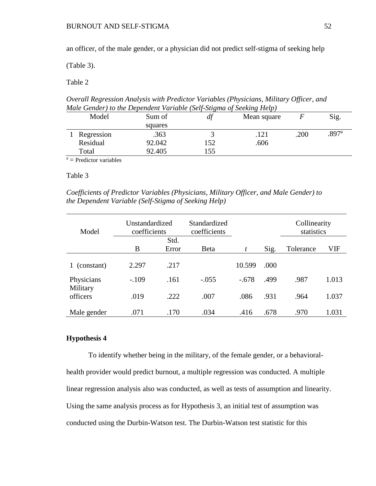an officer, of the male gender, or a physician did not predict self-stigma of seeking help

(Table 3).

Table 2

*Overall Regression Analysis with Predictor Variables (Physicians, Military Officer, and Male Gender) to the Dependent Variable (Self-Stigma of Seeking Help)*

| Model |                                                                                                                 | Sum of  | df  | Mean square |      | Sig.              |
|-------|-----------------------------------------------------------------------------------------------------------------|---------|-----|-------------|------|-------------------|
|       |                                                                                                                 | squares |     |             |      |                   |
|       | Regression                                                                                                      | .363    | ັ   |             | .200 | .897 <sup>a</sup> |
|       | Residual                                                                                                        | 92.042  | 152 | .606        |      |                   |
|       | Total                                                                                                           | 92.405  | 55  |             |      |                   |
|       | the contract of the contract of the contract of the contract of the contract of the contract of the contract of |         |     |             |      |                   |

 $a =$ Predictor variables

# Table 3

*Coefficients of Predictor Variables (Physicians, Military Officer, and Male Gender) to the Dependent Variable (Self-Stigma of Seeking Help)*

| Model                | Unstandardized<br>coefficients |       | Standardized<br>coefficients |         |      | Collinearity<br>statistics |       |
|----------------------|--------------------------------|-------|------------------------------|---------|------|----------------------------|-------|
|                      | Std.                           |       |                              |         |      |                            |       |
|                      | B                              | Error | <b>B</b> eta                 | t       | Sig. | Tolerance                  | VIF   |
|                      |                                |       |                              |         |      |                            |       |
| (constant)           | 2.297                          | .217  |                              | 10.599  | .000 |                            |       |
| Physicians           | $-.109$                        | .161  | $-.055$                      | $-.678$ | .499 | .987                       | 1.013 |
| Military<br>officers | .019                           | .222  | .007                         | .086    | .931 | .964                       | 1.037 |
| Male gender          | .071                           | .170  | .034                         | .416    | .678 | .970                       | 1.031 |

# **Hypothesis 4**

To identify whether being in the military, of the female gender, or a behavioralhealth provider would predict burnout, a multiple regression was conducted. A multiple linear regression analysis also was conducted, as well as tests of assumption and linearity. Using the same analysis process as for Hypothesis 3, an initial test of assumption was conducted using the Durbin-Watson test. The Durbin-Watson test statistic for this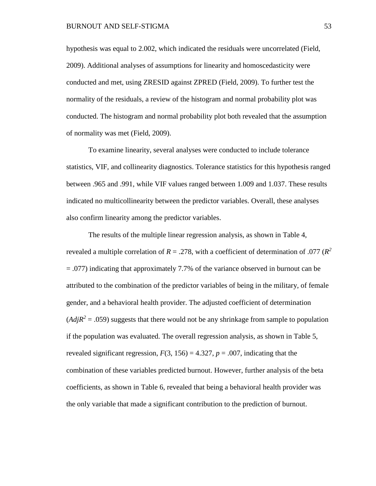hypothesis was equal to 2.002, which indicated the residuals were uncorrelated (Field, 2009). Additional analyses of assumptions for linearity and homoscedasticity were conducted and met, using ZRESID against ZPRED (Field, 2009). To further test the normality of the residuals, a review of the histogram and normal probability plot was conducted. The histogram and normal probability plot both revealed that the assumption of normality was met (Field, 2009).

To examine linearity, several analyses were conducted to include tolerance statistics, VIF, and collinearity diagnostics. Tolerance statistics for this hypothesis ranged between .965 and .991, while VIF values ranged between 1.009 and 1.037. These results indicated no multicollinearity between the predictor variables. Overall, these analyses also confirm linearity among the predictor variables.

The results of the multiple linear regression analysis, as shown in Table 4, revealed a multiple correlation of  $R = .278$ , with a coefficient of determination of .077 ( $R^2$ ) = .077) indicating that approximately 7.7% of the variance observed in burnout can be attributed to the combination of the predictor variables of being in the military, of female gender, and a behavioral health provider. The adjusted coefficient of determination  $(AdjR^2 = .059)$  suggests that there would not be any shrinkage from sample to population if the population was evaluated. The overall regression analysis, as shown in Table 5, revealed significant regression,  $F(3, 156) = 4.327$ ,  $p = .007$ , indicating that the combination of these variables predicted burnout. However, further analysis of the beta coefficients, as shown in Table 6, revealed that being a behavioral health provider was the only variable that made a significant contribution to the prediction of burnout.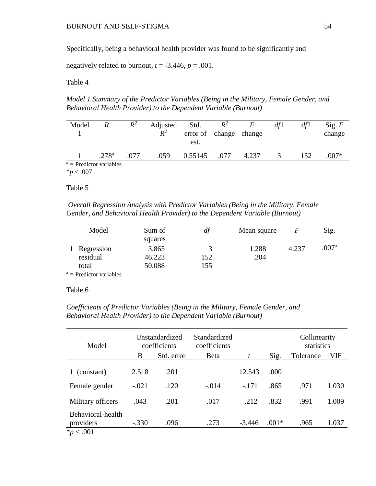Specifically, being a behavioral health provider was found to be significantly and

negatively related to burnout,  $t = -3.446$ ,  $p = .001$ .

Table 4

*Model 1 Summary of the Predictor Variables (Being in the Military, Female Gender, and Behavioral Health Provider) to the Dependent Variable (Burnout)*

| Model                     |                   | $R^2$ | Adjusted<br>$R^2$ | Std.<br>error of change change<br>est. | $R^2$ |       | df1 | df2 | Sig. $F$<br>change |
|---------------------------|-------------------|-------|-------------------|----------------------------------------|-------|-------|-----|-----|--------------------|
|                           | .278 <sup>a</sup> | .077  | .059              | 0.55145                                | .077  | 4.237 |     | 152 | $.007*$            |
| $a =$ Predictor variables |                   |       |                   |                                        |       |       |     |     |                    |

\**p* < .007

Table 5

*Overall Regression Analysis with Predictor Variables (Being in the Military, Female Gender, and Behavioral Health Provider) to the Dependent Variable (Burnout)*

| Model      | Sum of  |     | Mean square |       | Sig.              |
|------------|---------|-----|-------------|-------|-------------------|
|            | squares |     |             |       |                   |
| Regression | 3.865   |     | 1.288       | 4.237 | .007 <sup>a</sup> |
| residual   | 46.223  | 152 | .304        |       |                   |
| total      | 50.088  | 155 |             |       |                   |

 $a =$  Predictor variables

# Table 6

# *Coefficients of Predictor Variables (Being in the Military, Female Gender, and Behavioral Health Provider) to the Dependent Variable (Burnout)*

| Model                                            | Unstandardized<br>coefficients |            | Standardized<br>coefficients |          |         | Collinearity<br>statistics |       |
|--------------------------------------------------|--------------------------------|------------|------------------------------|----------|---------|----------------------------|-------|
|                                                  | В                              | Std. error | <b>B</b> eta                 |          | Sig.    | Tolerance                  | VIF   |
| (constant)                                       | 2.518                          | .201       |                              | 12.543   | .000    |                            |       |
| Female gender                                    | $-.021$                        | .120       | $-.014$                      | $-.171$  | .865    | .971                       | 1.030 |
| Military officers                                | .043                           | .201       | .017                         | .212     | .832    | .991                       | 1.009 |
| Behavioral-health<br>providers<br>$*_{p}$ < .001 | $-.330$                        | .096       | .273                         | $-3.446$ | $.001*$ | .965                       | 1.037 |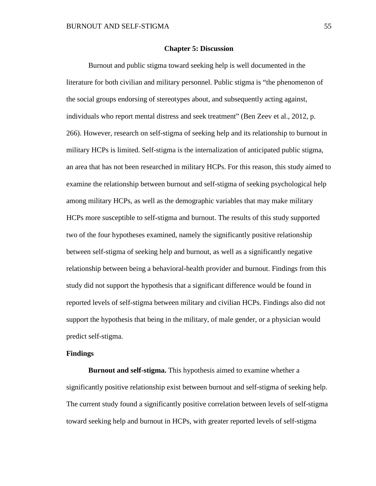### **Chapter 5: Discussion**

Burnout and public stigma toward seeking help is well documented in the literature for both civilian and military personnel. Public stigma is "the phenomenon of the social groups endorsing of stereotypes about, and subsequently acting against, individuals who report mental distress and seek treatment" (Ben Zeev et al., 2012, p. 266). However, research on self-stigma of seeking help and its relationship to burnout in military HCPs is limited. Self-stigma is the internalization of anticipated public stigma, an area that has not been researched in military HCPs. For this reason, this study aimed to examine the relationship between burnout and self-stigma of seeking psychological help among military HCPs, as well as the demographic variables that may make military HCPs more susceptible to self-stigma and burnout. The results of this study supported two of the four hypotheses examined, namely the significantly positive relationship between self-stigma of seeking help and burnout, as well as a significantly negative relationship between being a behavioral-health provider and burnout. Findings from this study did not support the hypothesis that a significant difference would be found in reported levels of self-stigma between military and civilian HCPs. Findings also did not support the hypothesis that being in the military, of male gender, or a physician would predict self-stigma.

### **Findings**

**Burnout and self-stigma.** This hypothesis aimed to examine whether a significantly positive relationship exist between burnout and self-stigma of seeking help. The current study found a significantly positive correlation between levels of self-stigma toward seeking help and burnout in HCPs, with greater reported levels of self-stigma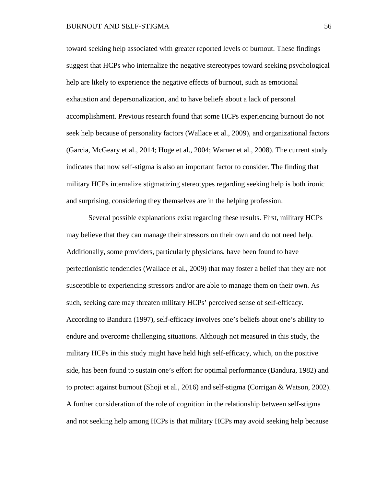toward seeking help associated with greater reported levels of burnout. These findings suggest that HCPs who internalize the negative stereotypes toward seeking psychological help are likely to experience the negative effects of burnout, such as emotional exhaustion and depersonalization, and to have beliefs about a lack of personal accomplishment. Previous research found that some HCPs experiencing burnout do not seek help because of personality factors (Wallace et al., 2009), and organizational factors (Garcia, McGeary et al., 2014; Hoge et al., 2004; Warner et al., 2008). The current study indicates that now self-stigma is also an important factor to consider. The finding that military HCPs internalize stigmatizing stereotypes regarding seeking help is both ironic and surprising, considering they themselves are in the helping profession.

Several possible explanations exist regarding these results. First, military HCPs may believe that they can manage their stressors on their own and do not need help. Additionally, some providers, particularly physicians, have been found to have perfectionistic tendencies (Wallace et al., 2009) that may foster a belief that they are not susceptible to experiencing stressors and/or are able to manage them on their own. As such, seeking care may threaten military HCPs' perceived sense of self-efficacy. According to Bandura (1997), self-efficacy involves one's beliefs about one's ability to endure and overcome challenging situations. Although not measured in this study, the military HCPs in this study might have held high self-efficacy, which, on the positive side, has been found to sustain one's effort for optimal performance (Bandura, 1982) and to protect against burnout (Shoji et al., 2016) and self-stigma (Corrigan & Watson, 2002). A further consideration of the role of cognition in the relationship between self-stigma and not seeking help among HCPs is that military HCPs may avoid seeking help because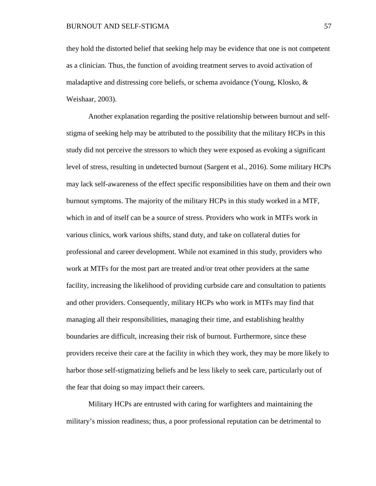they hold the distorted belief that seeking help may be evidence that one is not competent as a clinician. Thus, the function of avoiding treatment serves to avoid activation of maladaptive and distressing core beliefs, or schema avoidance (Young, Klosko, & Weishaar, 2003).

Another explanation regarding the positive relationship between burnout and selfstigma of seeking help may be attributed to the possibility that the military HCPs in this study did not perceive the stressors to which they were exposed as evoking a significant level of stress, resulting in undetected burnout (Sargent et al., 2016). Some military HCPs may lack self-awareness of the effect specific responsibilities have on them and their own burnout symptoms. The majority of the military HCPs in this study worked in a MTF, which in and of itself can be a source of stress. Providers who work in MTFs work in various clinics, work various shifts, stand duty, and take on collateral duties for professional and career development. While not examined in this study, providers who work at MTFs for the most part are treated and/or treat other providers at the same facility, increasing the likelihood of providing curbside care and consultation to patients and other providers. Consequently, military HCPs who work in MTFs may find that managing all their responsibilities, managing their time, and establishing healthy boundaries are difficult, increasing their risk of burnout. Furthermore, since these providers receive their care at the facility in which they work, they may be more likely to harbor those self-stigmatizing beliefs and be less likely to seek care, particularly out of the fear that doing so may impact their careers.

Military HCPs are entrusted with caring for warfighters and maintaining the military's mission readiness; thus, a poor professional reputation can be detrimental to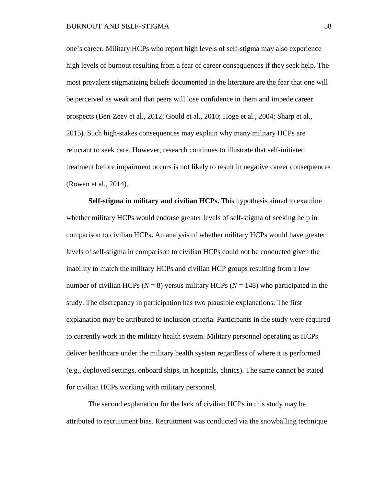one's career. Military HCPs who report high levels of self-stigma may also experience high levels of burnout resulting from a fear of career consequences if they seek help. The most prevalent stigmatizing beliefs documented in the literature are the fear that one will be perceived as weak and that peers will lose confidence in them and impede career prospects (Ben-Zeev et al., 2012; Gould et al., 2010; Hoge et al., 2004; Sharp et al., 2015). Such high-stakes consequences may explain why many military HCPs are reluctant to seek care. However, research continues to illustrate that self-initiated treatment before impairment occurs is not likely to result in negative career consequences (Rowan et al., 2014).

**Self-stigma in military and civilian HCPs.** This hypothesis aimed to examine whether military HCPs would endorse greater levels of self-stigma of seeking help in comparison to civilian HCPs**.** An analysis of whether military HCPs would have greater levels of self-stigma in comparison to civilian HCPs could not be conducted given the inability to match the military HCPs and civilian HCP groups resulting from a low number of civilian HCPs ( $N = 8$ ) versus military HCPs ( $N = 148$ ) who participated in the study. The discrepancy in participation has two plausible explanations. The first explanation may be attributed to inclusion criteria. Participants in the study were required to currently work in the military health system. Military personnel operating as HCPs deliver healthcare under the military health system regardless of where it is performed (e.g., deployed settings, onboard ships, in hospitals, clinics). The same cannot be stated for civilian HCPs working with military personnel.

The second explanation for the lack of civilian HCPs in this study may be attributed to recruitment bias. Recruitment was conducted via the snowballing technique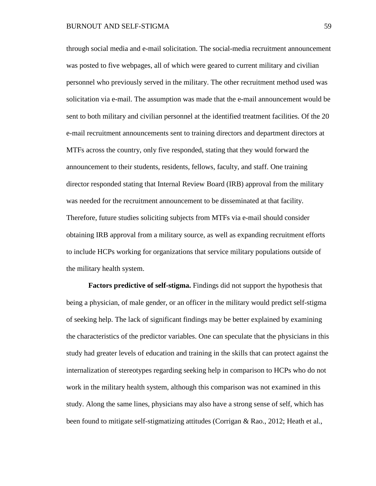through social media and e-mail solicitation. The social-media recruitment announcement was posted to five webpages, all of which were geared to current military and civilian personnel who previously served in the military. The other recruitment method used was solicitation via e-mail. The assumption was made that the e-mail announcement would be sent to both military and civilian personnel at the identified treatment facilities. Of the 20 e-mail recruitment announcements sent to training directors and department directors at MTFs across the country, only five responded, stating that they would forward the announcement to their students, residents, fellows, faculty, and staff. One training director responded stating that Internal Review Board (IRB) approval from the military was needed for the recruitment announcement to be disseminated at that facility. Therefore, future studies soliciting subjects from MTFs via e-mail should consider obtaining IRB approval from a military source, as well as expanding recruitment efforts to include HCPs working for organizations that service military populations outside of the military health system.

**Factors predictive of self-stigma.** Findings did not support the hypothesis that being a physician, of male gender, or an officer in the military would predict self-stigma of seeking help. The lack of significant findings may be better explained by examining the characteristics of the predictor variables. One can speculate that the physicians in this study had greater levels of education and training in the skills that can protect against the internalization of stereotypes regarding seeking help in comparison to HCPs who do not work in the military health system, although this comparison was not examined in this study. Along the same lines, physicians may also have a strong sense of self, which has been found to mitigate self-stigmatizing attitudes (Corrigan & Rao., 2012; Heath et al.,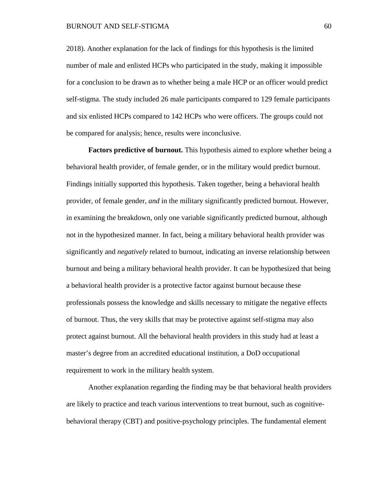### BURNOUT AND SELF-STIGMA 60

2018). Another explanation for the lack of findings for this hypothesis is the limited number of male and enlisted HCPs who participated in the study, making it impossible for a conclusion to be drawn as to whether being a male HCP or an officer would predict self-stigma. The study included 26 male participants compared to 129 female participants and six enlisted HCPs compared to 142 HCPs who were officers. The groups could not be compared for analysis; hence, results were inconclusive.

**Factors predictive of burnout.** This hypothesis aimed to explore whether being a behavioral health provider, of female gender, or in the military would predict burnout. Findings initially supported this hypothesis. Taken together, being a behavioral health provider, of female gender, *and* in the military significantly predicted burnout. However, in examining the breakdown, only one variable significantly predicted burnout, although not in the hypothesized manner. In fact, being a military behavioral health provider was significantly and *negatively* related to burnout, indicating an inverse relationship between burnout and being a military behavioral health provider. It can be hypothesized that being a behavioral health provider is a protective factor against burnout because these professionals possess the knowledge and skills necessary to mitigate the negative effects of burnout. Thus, the very skills that may be protective against self-stigma may also protect against burnout. All the behavioral health providers in this study had at least a master's degree from an accredited educational institution, a DoD occupational requirement to work in the military health system.

Another explanation regarding the finding may be that behavioral health providers are likely to practice and teach various interventions to treat burnout, such as cognitivebehavioral therapy (CBT) and positive-psychology principles. The fundamental element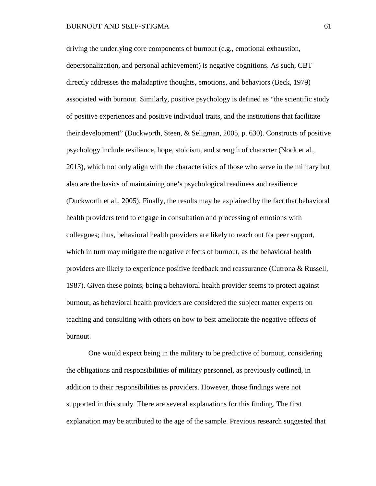driving the underlying core components of burnout (e.g., emotional exhaustion, depersonalization, and personal achievement) is negative cognitions. As such, CBT directly addresses the maladaptive thoughts, emotions, and behaviors (Beck, 1979) associated with burnout. Similarly, positive psychology is defined as "the scientific study of positive experiences and positive individual traits, and the institutions that facilitate their development" (Duckworth, Steen, & Seligman, 2005, p. 630). Constructs of positive psychology include resilience, hope, stoicism, and strength of character (Nock et al., 2013), which not only align with the characteristics of those who serve in the military but also are the basics of maintaining one's psychological readiness and resilience (Duckworth et al., 2005). Finally, the results may be explained by the fact that behavioral health providers tend to engage in consultation and processing of emotions with colleagues; thus, behavioral health providers are likely to reach out for peer support, which in turn may mitigate the negative effects of burnout, as the behavioral health providers are likely to experience positive feedback and reassurance (Cutrona & Russell, 1987). Given these points, being a behavioral health provider seems to protect against burnout, as behavioral health providers are considered the subject matter experts on teaching and consulting with others on how to best ameliorate the negative effects of burnout.

One would expect being in the military to be predictive of burnout, considering the obligations and responsibilities of military personnel, as previously outlined, in addition to their responsibilities as providers. However, those findings were not supported in this study. There are several explanations for this finding. The first explanation may be attributed to the age of the sample. Previous research suggested that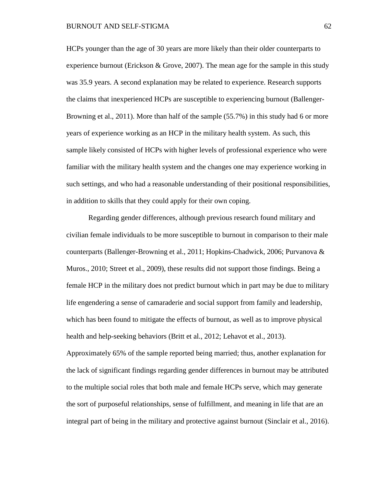HCPs younger than the age of 30 years are more likely than their older counterparts to experience burnout (Erickson & Grove, 2007). The mean age for the sample in this study was 35.9 years. A second explanation may be related to experience. Research supports the claims that inexperienced HCPs are susceptible to experiencing burnout (Ballenger-Browning et al., 2011). More than half of the sample (55.7%) in this study had 6 or more years of experience working as an HCP in the military health system. As such, this sample likely consisted of HCPs with higher levels of professional experience who were familiar with the military health system and the changes one may experience working in such settings, and who had a reasonable understanding of their positional responsibilities, in addition to skills that they could apply for their own coping.

Regarding gender differences, although previous research found military and civilian female individuals to be more susceptible to burnout in comparison to their male counterparts (Ballenger-Browning et al., 2011; Hopkins-Chadwick, 2006; Purvanova & Muros., 2010; Street et al., 2009), these results did not support those findings. Being a female HCP in the military does not predict burnout which in part may be due to military life engendering a sense of camaraderie and social support from family and leadership, which has been found to mitigate the effects of burnout, as well as to improve physical health and help-seeking behaviors (Britt et al., 2012; Lehavot et al., 2013). Approximately 65% of the sample reported being married; thus, another explanation for

the lack of significant findings regarding gender differences in burnout may be attributed to the multiple social roles that both male and female HCPs serve, which may generate the sort of purposeful relationships, sense of fulfillment, and meaning in life that are an integral part of being in the military and protective against burnout (Sinclair et al., 2016).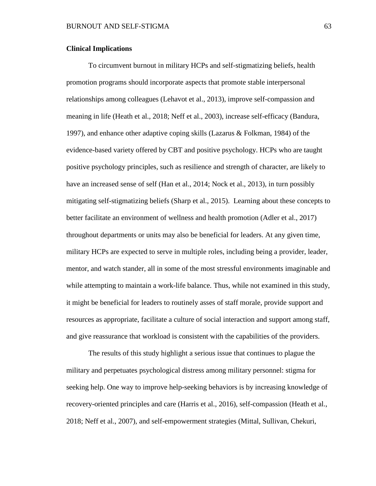## **Clinical Implications**

To circumvent burnout in military HCPs and self-stigmatizing beliefs, health promotion programs should incorporate aspects that promote stable interpersonal relationships among colleagues (Lehavot et al., 2013), improve self-compassion and meaning in life (Heath et al., 2018; Neff et al., 2003), increase self-efficacy (Bandura, 1997), and enhance other adaptive coping skills (Lazarus & Folkman, 1984) of the evidence-based variety offered by CBT and positive psychology. HCPs who are taught positive psychology principles, such as resilience and strength of character, are likely to have an increased sense of self (Han et al., 2014; Nock et al., 2013), in turn possibly mitigating self-stigmatizing beliefs (Sharp et al., 2015). Learning about these concepts to better facilitate an environment of wellness and health promotion (Adler et al., 2017) throughout departments or units may also be beneficial for leaders. At any given time, military HCPs are expected to serve in multiple roles, including being a provider, leader, mentor, and watch stander, all in some of the most stressful environments imaginable and while attempting to maintain a work-life balance. Thus, while not examined in this study, it might be beneficial for leaders to routinely asses of staff morale, provide support and resources as appropriate, facilitate a culture of social interaction and support among staff, and give reassurance that workload is consistent with the capabilities of the providers.

The results of this study highlight a serious issue that continues to plague the military and perpetuates psychological distress among military personnel: stigma for seeking help. One way to improve help-seeking behaviors is by increasing knowledge of recovery-oriented principles and care (Harris et al., 2016), self-compassion (Heath et al., 2018; Neff et al., 2007), and self-empowerment strategies (Mittal, Sullivan, Chekuri,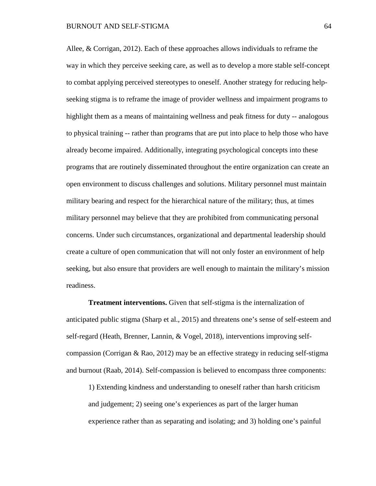Allee, & Corrigan, 2012). Each of these approaches allows individuals to reframe the way in which they perceive seeking care, as well as to develop a more stable self-concept to combat applying perceived stereotypes to oneself. Another strategy for reducing helpseeking stigma is to reframe the image of provider wellness and impairment programs to highlight them as a means of maintaining wellness and peak fitness for duty -- analogous to physical training -- rather than programs that are put into place to help those who have already become impaired. Additionally, integrating psychological concepts into these programs that are routinely disseminated throughout the entire organization can create an open environment to discuss challenges and solutions. Military personnel must maintain military bearing and respect for the hierarchical nature of the military; thus, at times military personnel may believe that they are prohibited from communicating personal concerns. Under such circumstances, organizational and departmental leadership should create a culture of open communication that will not only foster an environment of help seeking, but also ensure that providers are well enough to maintain the military's mission readiness.

**Treatment interventions.** Given that self-stigma is the internalization of anticipated public stigma (Sharp et al., 2015) and threatens one's sense of self-esteem and self-regard (Heath, Brenner, Lannin, & Vogel, 2018), interventions improving selfcompassion (Corrigan & Rao, 2012) may be an effective strategy in reducing self-stigma and burnout (Raab, 2014). Self-compassion is believed to encompass three components:

1) Extending kindness and understanding to oneself rather than harsh criticism and judgement; 2) seeing one's experiences as part of the larger human experience rather than as separating and isolating; and 3) holding one's painful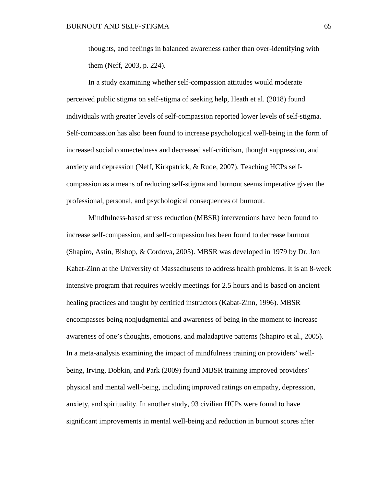thoughts, and feelings in balanced awareness rather than over-identifying with them (Neff, 2003, p. 224).

In a study examining whether self-compassion attitudes would moderate perceived public stigma on self-stigma of seeking help, Heath et al. (2018) found individuals with greater levels of self-compassion reported lower levels of self-stigma. Self-compassion has also been found to increase psychological well-being in the form of increased social connectedness and decreased self-criticism, thought suppression, and anxiety and depression (Neff, Kirkpatrick, & Rude, 2007). Teaching HCPs selfcompassion as a means of reducing self-stigma and burnout seems imperative given the professional, personal, and psychological consequences of burnout.

Mindfulness-based stress reduction (MBSR) interventions have been found to increase self-compassion, and self-compassion has been found to decrease burnout (Shapiro, Astin, Bishop, & Cordova, 2005). MBSR was developed in 1979 by Dr. Jon Kabat-Zinn at the University of Massachusetts to address health problems. It is an 8-week intensive program that requires weekly meetings for 2.5 hours and is based on ancient healing practices and taught by certified instructors (Kabat-Zinn, 1996). MBSR encompasses being nonjudgmental and awareness of being in the moment to increase awareness of one's thoughts, emotions, and maladaptive patterns (Shapiro et al., 2005). In a meta-analysis examining the impact of mindfulness training on providers' wellbeing, Irving, Dobkin, and Park (2009) found MBSR training improved providers' physical and mental well-being, including improved ratings on empathy, depression, anxiety, and spirituality. In another study, 93 civilian HCPs were found to have significant improvements in mental well-being and reduction in burnout scores after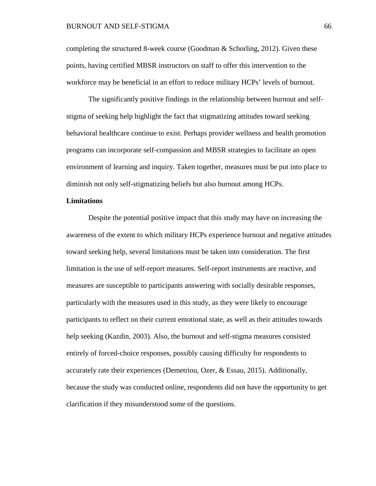## BURNOUT AND SELF-STIGMA 66

completing the structured 8-week course (Goodman & Schorling, 2012). Given these points, having certified MBSR instructors on staff to offer this intervention to the workforce may be beneficial in an effort to reduce military HCPs' levels of burnout.

The significantly positive findings in the relationship between burnout and selfstigma of seeking help highlight the fact that stigmatizing attitudes toward seeking behavioral healthcare continue to exist. Perhaps provider wellness and health promotion programs can incorporate self-compassion and MBSR strategies to facilitate an open environment of learning and inquiry. Taken together, measures must be put into place to diminish not only self-stigmatizing beliefs but also burnout among HCPs.

# **Limitations**

Despite the potential positive impact that this study may have on increasing the awareness of the extent to which military HCPs experience burnout and negative attitudes toward seeking help, several limitations must be taken into consideration. The first limitation is the use of self-report measures. Self-report instruments are reactive, and measures are susceptible to participants answering with socially desirable responses, particularly with the measures used in this study, as they were likely to encourage participants to reflect on their current emotional state, as well as their attitudes towards help seeking (Kazdin, 2003). Also, the burnout and self-stigma measures consisted entirely of forced-choice responses, possibly causing difficulty for respondents to accurately rate their experiences (Demetriou, Ozer, & Essau, 2015). Additionally, because the study was conducted online, respondents did not have the opportunity to get clarification if they misunderstood some of the questions.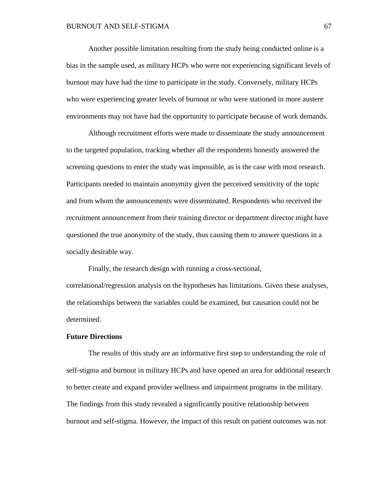Another possible limitation resulting from the study being conducted online is a bias in the sample used, as military HCPs who were not experiencing significant levels of burnout may have had the time to participate in the study. Conversely, military HCPs who were experiencing greater levels of burnout or who were stationed in more austere environments may not have had the opportunity to participate because of work demands.

Although recruitment efforts were made to disseminate the study announcement to the targeted population, tracking whether all the respondents honestly answered the screening questions to enter the study was impossible, as is the case with most research. Participants needed to maintain anonymity given the perceived sensitivity of the topic and from whom the announcements were disseminated. Respondents who received the recruitment announcement from their training director or department director might have questioned the true anonymity of the study, thus causing them to answer questions in a socially desirable way.

Finally, the research design with running a cross-sectional, correlational/regression analysis on the hypotheses has limitations. Given these analyses, the relationships between the variables could be examined, but causation could not be determined.

# **Future Directions**

The results of this study are an informative first step to understanding the role of self-stigma and burnout in military HCPs and have opened an area for additional research to better create and expand provider wellness and impairment programs in the military. The findings from this study revealed a significantly positive relationship between burnout and self-stigma. However, the impact of this result on patient outcomes was not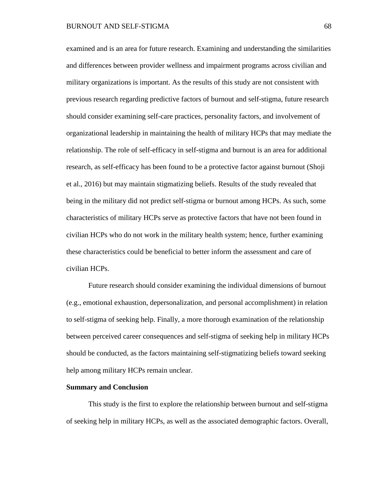examined and is an area for future research. Examining and understanding the similarities and differences between provider wellness and impairment programs across civilian and military organizations is important. As the results of this study are not consistent with previous research regarding predictive factors of burnout and self-stigma, future research should consider examining self-care practices, personality factors, and involvement of organizational leadership in maintaining the health of military HCPs that may mediate the relationship. The role of self-efficacy in self-stigma and burnout is an area for additional research, as self-efficacy has been found to be a protective factor against burnout (Shoji et al., 2016) but may maintain stigmatizing beliefs. Results of the study revealed that being in the military did not predict self-stigma or burnout among HCPs. As such, some characteristics of military HCPs serve as protective factors that have not been found in civilian HCPs who do not work in the military health system; hence, further examining these characteristics could be beneficial to better inform the assessment and care of civilian HCPs.

Future research should consider examining the individual dimensions of burnout (e.g., emotional exhaustion, depersonalization, and personal accomplishment) in relation to self-stigma of seeking help. Finally, a more thorough examination of the relationship between perceived career consequences and self-stigma of seeking help in military HCPs should be conducted, as the factors maintaining self-stigmatizing beliefs toward seeking help among military HCPs remain unclear.

## **Summary and Conclusion**

This study is the first to explore the relationship between burnout and self-stigma of seeking help in military HCPs, as well as the associated demographic factors. Overall,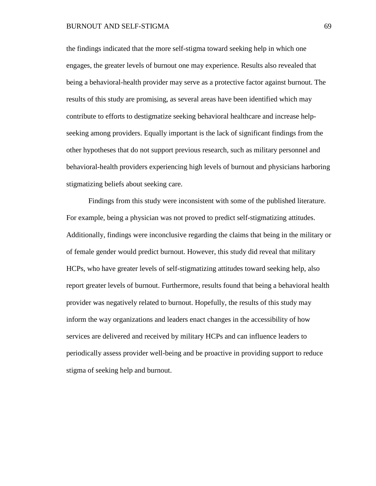## BURNOUT AND SELF-STIGMA 69

the findings indicated that the more self-stigma toward seeking help in which one engages, the greater levels of burnout one may experience. Results also revealed that being a behavioral-health provider may serve as a protective factor against burnout. The results of this study are promising, as several areas have been identified which may contribute to efforts to destigmatize seeking behavioral healthcare and increase helpseeking among providers. Equally important is the lack of significant findings from the other hypotheses that do not support previous research, such as military personnel and behavioral-health providers experiencing high levels of burnout and physicians harboring stigmatizing beliefs about seeking care.

Findings from this study were inconsistent with some of the published literature. For example, being a physician was not proved to predict self-stigmatizing attitudes. Additionally, findings were inconclusive regarding the claims that being in the military or of female gender would predict burnout. However, this study did reveal that military HCPs, who have greater levels of self-stigmatizing attitudes toward seeking help, also report greater levels of burnout. Furthermore, results found that being a behavioral health provider was negatively related to burnout. Hopefully, the results of this study may inform the way organizations and leaders enact changes in the accessibility of how services are delivered and received by military HCPs and can influence leaders to periodically assess provider well-being and be proactive in providing support to reduce stigma of seeking help and burnout.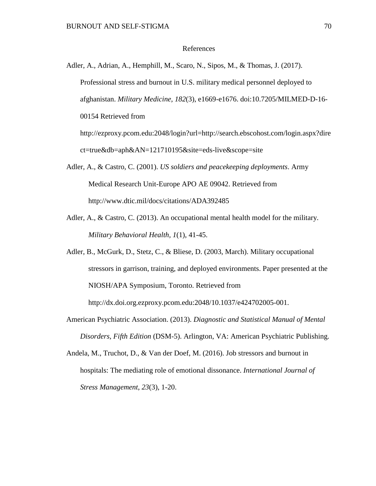## References

Adler, A., Adrian, A., Hemphill, M., Scaro, N., Sipos, M., & Thomas, J. (2017). Professional stress and burnout in U.S. military medical personnel deployed to afghanistan. *Military Medicine, 182*(3), e1669-e1676. doi:10.7205/MILMED-D-16- 00154 Retrieved from [http://ezproxy.pcom.edu:2048/login?url=http://search.ebscohost.com/login.aspx?dire](http://ezproxy.pcom.edu:2048/login?url=http://search.ebscohost.com/login.aspx?direct=true&db=aph&AN=121710195&site=eds-live&scope=site) [ct=true&db=aph&AN=121710195&site=eds-live&scope=site](http://ezproxy.pcom.edu:2048/login?url=http://search.ebscohost.com/login.aspx?direct=true&db=aph&AN=121710195&site=eds-live&scope=site)

- Adler, A., & Castro, C. (2001). *US soldiers and peacekeeping deployments*. Army Medical Research Unit-Europe APO AE 09042. Retrieved from http://www.dtic.mil/docs/citations/ADA392485
- Adler, A., & Castro, C. (2013). An occupational mental health model for the military. *Military Behavioral Health, 1*(1), 41-45.
- Adler, B., McGurk, D., Stetz, C., & Bliese, D. (2003, March). Military occupational stressors in garrison, training, and deployed environments. Paper presented at the NIOSH/APA Symposium, Toronto. Retrieved from [http://dx.doi.org.ezproxy.pcom.edu:2048/10.1037/e424702005-001.](http://dx.doi.org.ezproxy.pcom.edu:2048/10.1037/e424702005-001)
- American Psychiatric Association. (2013). *Diagnostic and Statistical Manual of Mental Disorders, Fifth Edition* (DSM-5). Arlington, VA: American Psychiatric Publishing.
- Andela, M., Truchot, D., & Van der Doef, M. (2016). Job stressors and burnout in hospitals: The mediating role of emotional dissonance. *International Journal of Stress Management*, *23*(3), 1-20.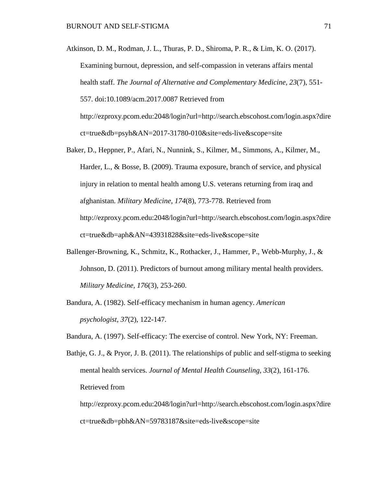Atkinson, D. M., Rodman, J. L., Thuras, P. D., Shiroma, P. R., & Lim, K. O. (2017). Examining burnout, depression, and self-compassion in veterans affairs mental health staff. *The Journal of Alternative and Complementary Medicine, 23*(7), 551- 557. doi:10.1089/acm.2017.0087 Retrieved from [http://ezproxy.pcom.edu:2048/login?url=http://search.ebscohost.com/login.aspx?dire](http://ezproxy.pcom.edu:2048/login?url=http://search.ebscohost.com/login.aspx?direct=true&db=psyh&AN=2017-31780-010&site=eds-live&scope=site) [ct=true&db=psyh&AN=2017-31780-010&site=eds-live&scope=site](http://ezproxy.pcom.edu:2048/login?url=http://search.ebscohost.com/login.aspx?direct=true&db=psyh&AN=2017-31780-010&site=eds-live&scope=site)

- Baker, D., Heppner, P., Afari, N., Nunnink, S., Kilmer, M., Simmons, A., Kilmer, M., Harder, L., & Bosse, B. (2009). Trauma exposure, branch of service, and physical injury in relation to mental health among U.S. veterans returning from iraq and afghanistan. *Military Medicine, 174*(8), 773-778. Retrieved from [http://ezproxy.pcom.edu:2048/login?url=http://search.ebscohost.com/login.aspx?dire](http://ezproxy.pcom.edu:2048/login?url=http://search.ebscohost.com/login.aspx?direct=true&db=aph&AN=43931828&site=eds-live&scope=site) [ct=true&db=aph&AN=43931828&site=eds-live&scope=site](http://ezproxy.pcom.edu:2048/login?url=http://search.ebscohost.com/login.aspx?direct=true&db=aph&AN=43931828&site=eds-live&scope=site)
- Ballenger-Browning, K., Schmitz, K., Rothacker, J., Hammer, P., Webb-Murphy, J., & Johnson, D. (2011). Predictors of burnout among military mental health providers. *Military Medicine, 176*(3), 253-260.
- Bandura, A. (1982). Self-efficacy mechanism in human agency. *American psychologist*, *37*(2), 122-147.

Bandura, A. (1997). Self-efficacy: The exercise of control. New York, NY: Freeman.

Bathje, G. J., & Pryor, J. B. (2011). The relationships of public and self-stigma to seeking mental health services. *Journal of Mental Health Counseling, 33*(2), 161-176. Retrieved from

[http://ezproxy.pcom.edu:2048/login?url=http://search.ebscohost.com/login.aspx?dire](http://ezproxy.pcom.edu:2048/login?url=http://search.ebscohost.com/login.aspx?direct=true&db=pbh&AN=59783187&site=eds-live&scope=site) [ct=true&db=pbh&AN=59783187&site=eds-live&scope=site](http://ezproxy.pcom.edu:2048/login?url=http://search.ebscohost.com/login.aspx?direct=true&db=pbh&AN=59783187&site=eds-live&scope=site)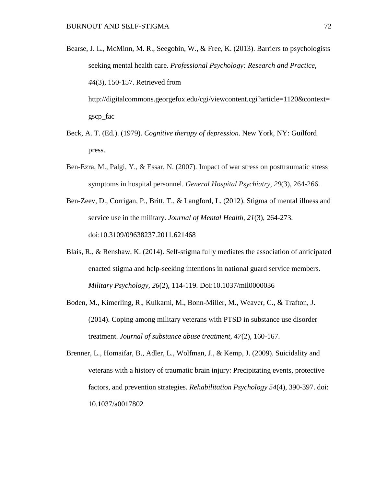Bearse, J. L., McMinn, M. R., Seegobin, W., & Free, K. (2013). Barriers to psychologists seeking mental health care. *Professional Psychology: Research and Practice, 44*(3), 150-157. Retrieved from

[http://digitalcommons.georgefox.edu/cgi/viewcontent.cgi?article=1120&context=](http://digitalcommons.georgefox.edu/cgi/viewcontent.cgi?article=1120&context=gscp_fac) [gscp\\_fac](http://digitalcommons.georgefox.edu/cgi/viewcontent.cgi?article=1120&context=gscp_fac)

- Beck, A. T. (Ed.). (1979). *Cognitive therapy of depression*. New York, NY: Guilford press.
- Ben-Ezra, M., Palgi, Y., & Essar, N. (2007). Impact of war stress on posttraumatic stress symptoms in hospital personnel. *General Hospital Psychiatry*, *29*(3), 264-266.
- Ben-Zeev, D., Corrigan, P., Britt, T., & Langford, L. (2012). Stigma of mental illness and service use in the military. *Journal of Mental Health, 21*(3), 264-273. doi:10.3109/09638237.2011.621468
- Blais, R., & Renshaw, K. (2014). Self-stigma fully mediates the association of anticipated enacted stigma and help-seeking intentions in national guard service members. *Military Psychology, 26*(2), 114-119. Doi:10.1037/mil0000036
- Boden, M., Kimerling, R., Kulkarni, M., Bonn-Miller, M., Weaver, C., & Trafton, J. (2014). Coping among military veterans with PTSD in substance use disorder treatment. *Journal of substance abuse treatment, 47*(2), 160-167.
- Brenner, L., Homaifar, B., Adler, L., Wolfman, J., & Kemp, J. (2009). Suicidality and veterans with a history of traumatic brain injury: Precipitating events, protective factors, and prevention strategies. *Rehabilitation Psychology 54*(4), 390-397. doi: 10.1037/a0017802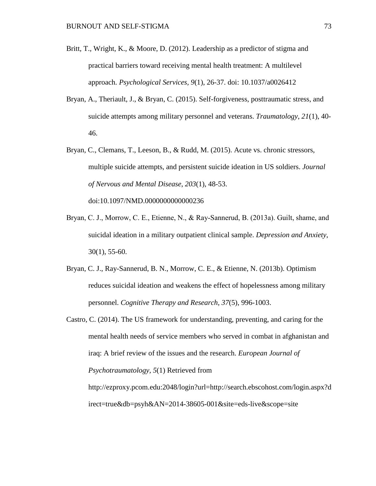- Britt, T., Wright, K., & Moore, D. (2012). Leadership as a predictor of stigma and practical barriers toward receiving mental health treatment: A multilevel approach. *Psychological Services, 9*(1), 26-37. doi: 10.1037/a0026412
- Bryan, A., Theriault, J., & Bryan, C. (2015). Self-forgiveness, posttraumatic stress, and suicide attempts among military personnel and veterans. *Traumatology*, *21*(1), 40- 46.
- Bryan, C., Clemans, T., Leeson, B., & Rudd, M. (2015). Acute vs. chronic stressors, multiple suicide attempts, and persistent suicide ideation in US soldiers. *Journal of Nervous and Mental Disease*, *203*(1), 48-53.

doi:10.1097/NMD.0000000000000236

- Bryan, C. J., Morrow, C. E., Etienne, N., & Ray‐Sannerud, B. (2013a). Guilt, shame, and suicidal ideation in a military outpatient clinical sample. *Depression and Anxiety*, 30(1), 55-60.
- Bryan, C. J., Ray-Sannerud, B. N., Morrow, C. E., & Etienne, N. (2013b). Optimism reduces suicidal ideation and weakens the effect of hopelessness among military personnel. *Cognitive Therapy and Research*, *37*(5), 996-1003.
- Castro, C. (2014). The US framework for understanding, preventing, and caring for the mental health needs of service members who served in combat in afghanistan and iraq: A brief review of the issues and the research. *European Journal of Psychotraumatology, 5*(1) Retrieved from [http://ezproxy.pcom.edu:2048/login?url=http://search.ebscohost.com/login.aspx?d](http://ezproxy.pcom.edu:2048/login?url=http://search.ebscohost.com/login.aspx?direct=true&db=psyh&AN=2014-38605-001&site=eds-live&scope=site) [irect=true&db=psyh&AN=2014-38605-001&site=eds-live&scope=site](http://ezproxy.pcom.edu:2048/login?url=http://search.ebscohost.com/login.aspx?direct=true&db=psyh&AN=2014-38605-001&site=eds-live&scope=site)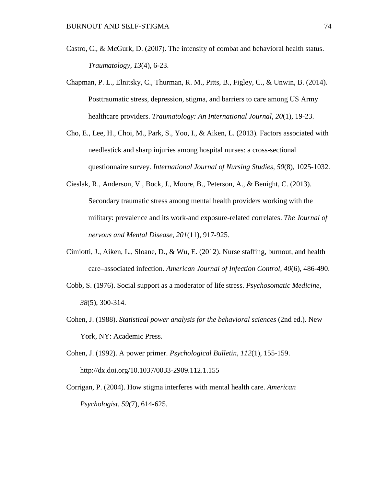- Castro, C., & McGurk, D. (2007). The intensity of combat and behavioral health status. *Traumatology, 13*(4), 6-23.
- Chapman, P. L., Elnitsky, C., Thurman, R. M., Pitts, B., Figley, C., & Unwin, B. (2014). Posttraumatic stress, depression, stigma, and barriers to care among US Army healthcare providers. *Traumatology: An International Journal, 20*(1), 19-23.
- Cho, E., Lee, H., Choi, M., Park, S., Yoo, I., & Aiken, L. (2013). Factors associated with needlestick and sharp injuries among hospital nurses: a cross-sectional questionnaire survey. *International Journal of Nursing Studies, 50*(8), 1025-1032.
- Cieslak, R., Anderson, V., Bock, J., Moore, B., Peterson, A., & Benight, C. (2013). Secondary traumatic stress among mental health providers working with the military: prevalence and its work-and exposure-related correlates. *The Journal of nervous and Mental Disease*, *201*(11), 917-925.
- Cimiotti, J., Aiken, L., Sloane, D., & Wu, E. (2012). Nurse staffing, burnout, and health care–associated infection. *American Journal of Infection Control, 40*(6), 486-490.
- Cobb, S. (1976). Social support as a moderator of life stress. *Psychosomatic Medicine*, *38*(5), 300-314.
- Cohen, J. (1988). *Statistical power analysis for the behavioral sciences* (2nd ed.). New York, NY: Academic Press.
- Cohen, J. (1992). A power primer. *Psychological Bulletin, 112*(1), 155-159. http://dx.doi.org/10.1037/0033-2909.112.1.155
- Corrigan, P. (2004). How stigma interferes with mental health care. *American Psychologist, 59(*7), 614-625.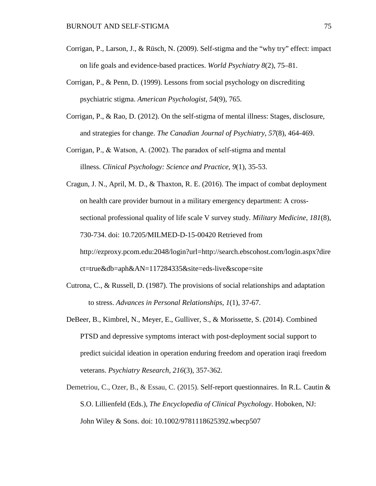- Corrigan, P., Larson, J., & Rüsch, N. (2009). Self-stigma and the "why try" effect: impact on life goals and evidence-based practices. *World Psychiatry 8*(2), 75–81.
- Corrigan, P., & Penn, D. (1999). Lessons from social psychology on discrediting psychiatric stigma. *American Psychologist, 54*(9), 765.
- Corrigan, P., & Rao, D. (2012). On the self-stigma of mental illness: Stages, disclosure, and strategies for change. *The Canadian Journal of Psychiatry*, *57*(8), 464-469.
- Corrigan, P., & Watson, A. (2002). The paradox of self‐stigma and mental illness. *Clinical Psychology: Science and Practice*, *9*(1), 35-53.
- Cragun, J. N., April, M. D., & Thaxton, R. E. (2016). The impact of combat deployment on health care provider burnout in a military emergency department: A crosssectional professional quality of life scale V survey study. *Military Medicine, 181*(8), 730-734. doi: 10.7205/MILMED-D-15-00420 Retrieved from [http://ezproxy.pcom.edu:2048/login?url=http://search.ebscohost.com/login.aspx?dire](http://ezproxy.pcom.edu:2048/login?url=http://search.ebscohost.com/login.aspx?direct=true&db=aph&AN=117284335&site=eds-live&scope=site) [ct=true&db=aph&AN=117284335&site=eds-live&scope=site](http://ezproxy.pcom.edu:2048/login?url=http://search.ebscohost.com/login.aspx?direct=true&db=aph&AN=117284335&site=eds-live&scope=site)
- Cutrona, C., & Russell, D. (1987). The provisions of social relationships and adaptation to stress. *Advances in Personal Relationships*, *1*(1), 37-67.
- DeBeer, B., Kimbrel, N., Meyer, E., Gulliver, S., & Morissette, S. (2014). Combined PTSD and depressive symptoms interact with post-deployment social support to predict suicidal ideation in operation enduring freedom and operation iraqi freedom veterans. *Psychiatry Research*, *216*(3), 357-362.
- Demetriou, C., Ozer, B., & Essau, C. (2015). Self-report questionnaires. In R.L. Cautin & S.O. Lillienfeld (Eds.), *The Encyclopedia of Clinical Psychology*. Hoboken, NJ: John Wiley & Sons. doi: 10.1002/9781118625392.wbecp507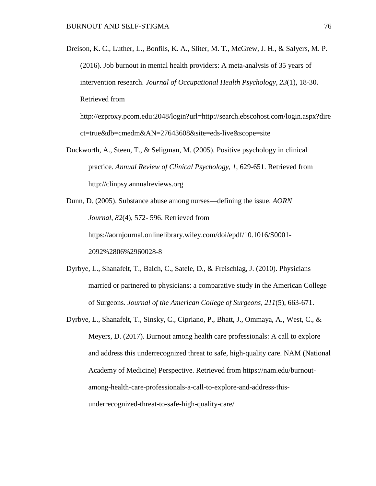Dreison, K. C., Luther, L., Bonfils, K. A., Sliter, M. T., McGrew, J. H., & Salyers, M. P. (2016). Job burnout in mental health providers: A meta-analysis of 35 years of intervention research. *Journal of Occupational Health Psychology, 23*(1), 18-30. Retrieved from

[http://ezproxy.pcom.edu:2048/login?url=http://search.ebscohost.com/login.aspx?dire](http://ezproxy.pcom.edu:2048/login?url=http://search.ebscohost.com/login.aspx?direct=true&db=cmedm&AN=27643608&site=eds-live&scope=site) [ct=true&db=cmedm&AN=27643608&site=eds-live&scope=site](http://ezproxy.pcom.edu:2048/login?url=http://search.ebscohost.com/login.aspx?direct=true&db=cmedm&AN=27643608&site=eds-live&scope=site)

- Duckworth, A., Steen, T., & Seligman, M. (2005). Positive psychology in clinical practice. *Annual Review of Clinical Psychology*, *1*, 629-651. Retrieved from http://clinpsy.annualreviews.org
- Dunn, D. (2005). Substance abuse among nurses—defining the issue. *AORN Journal*, *82*(4), 572- 596. Retrieved from <https://aornjournal.onlinelibrary.wiley.com/doi/epdf/10.1016/S0001-> 2092%2806%2960028-8
- Dyrbye, L., Shanafelt, T., Balch, C., Satele, D., & Freischlag, J. (2010). Physicians married or partnered to physicians: a comparative study in the American College of Surgeons. *Journal of the American College of Surgeons, 211*(5), 663-671.
- Dyrbye, L., Shanafelt, T., Sinsky, C., Cipriano, P., Bhatt, J., Ommaya, A., West, C., & Meyers, D. (2017). Burnout among health care professionals: A call to explore and address this underrecognized threat to safe, high-quality care. NAM (National Academy of Medicine) Perspective. Retrieved from [https://nam.edu/burnout](https://nam.edu/burnout-among-health-care-professionals-a-call-to-explore-and-address-this-underrecognized-threat-to-safe-high-quality-care/)[among-health-care-professionals-a-call-to-explore-and-address-this](https://nam.edu/burnout-among-health-care-professionals-a-call-to-explore-and-address-this-underrecognized-threat-to-safe-high-quality-care/)[underrecognized-threat-to-safe-high-quality-care/](https://nam.edu/burnout-among-health-care-professionals-a-call-to-explore-and-address-this-underrecognized-threat-to-safe-high-quality-care/)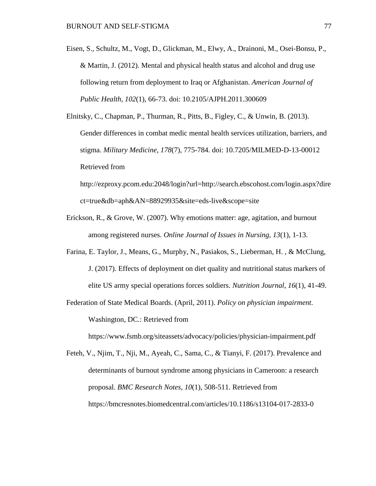Eisen, S., Schultz, M., Vogt, D., Glickman, M., Elwy, A., Drainoni, M., Osei-Bonsu, P., & Martin, J. (2012). Mental and physical health status and alcohol and drug use following return from deployment to Iraq or Afghanistan. *American Journal of Public Health*, *102*(1), 66-73. doi: 10.2105/AJPH.2011.300609

Elnitsky, C., Chapman, P., Thurman, R., Pitts, B., Figley, C., & Unwin, B. (2013). Gender differences in combat medic mental health services utilization, barriers, and stigma. *Military Medicine, 178*(7), 775-784. doi: 10.7205/MILMED-D-13-00012 Retrieved from [http://ezproxy.pcom.edu:2048/login?url=http://search.ebscohost.com/login.aspx?dire](http://ezproxy.pcom.edu:2048/login?url=http://search.ebscohost.com/login.aspx?direct=true&db=aph&AN=88929935&site=eds-live&scope=site)

[ct=true&db=aph&AN=88929935&site=eds-live&scope=site](http://ezproxy.pcom.edu:2048/login?url=http://search.ebscohost.com/login.aspx?direct=true&db=aph&AN=88929935&site=eds-live&scope=site)

- Erickson, R., & Grove, W. (2007). Why emotions matter: age, agitation, and burnout among registered nurses. *Online Journal of Issues in Nursing*, *13*(1), 1-13.
- Farina, E. Taylor, J., Means, G., Murphy, N., Pasiakos, S., Lieberman, H. , & McClung, J. (2017). Effects of deployment on diet quality and nutritional status markers of elite US army special operations forces soldiers. *Nutrition Journal*, *16*(1), 41-49.
- Federation of State Medical Boards. (April, 2011). *Policy on physician impairment*. Washington, DC.: Retrieved from

https://www.fsmb.org/siteassets/advocacy/policies/physician-impairment.pdf

Feteh, V., Njim, T., Nji, M., Ayeah, C., Sama, C., & Tianyi, F. (2017). Prevalence and determinants of burnout syndrome among physicians in Cameroon: a research proposal. *BMC Research Notes, 10*(1), 508-511. Retrieved from https://bmcresnotes.biomedcentral.com/articles/10.1186/s13104-017-2833-0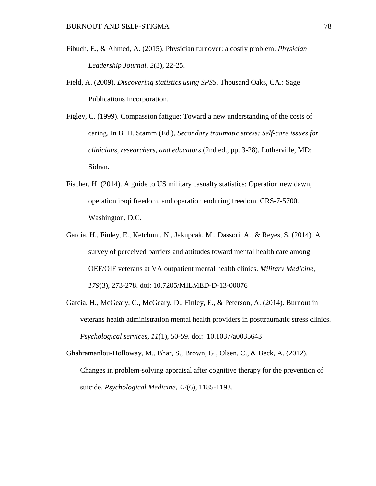- Fibuch, E., & Ahmed, A. (2015). Physician turnover: a costly problem. *Physician Leadership Journal*, *2*(3), 22-25.
- Field, A. (2009). *Discovering statistics using SPSS*. Thousand Oaks, CA.: Sage Publications Incorporation.
- Figley, C. (1999). Compassion fatigue: Toward a new understanding of the costs of caring. In B. H. Stamm (Ed.), *Secondary traumatic stress: Self-care issues for clinicians, researchers, and educators* (2nd ed., pp. 3-28). Lutherville, MD: Sidran.
- Fischer, H. (2014). A guide to US military casualty statistics: Operation new dawn, operation iraqi freedom, and operation enduring freedom. CRS-7-5700. Washington, D.C.
- Garcia, H., Finley, E., Ketchum, N., Jakupcak, M., Dassori, A., & Reyes, S. (2014). A survey of perceived barriers and attitudes toward mental health care among OEF/OIF veterans at VA outpatient mental health clinics. *Military Medicine, 179*(3), 273-278. doi: 10.7205/MILMED-D-13-00076
- Garcia, H., McGeary, C., McGeary, D., Finley, E., & Peterson, A. (2014). Burnout in veterans health administration mental health providers in posttraumatic stress clinics. *Psychological services, 11*(1), 50-59. doi: 10.1037/a0035643

Ghahramanlou-Holloway, M., Bhar, S., Brown, G., Olsen, C., & Beck, A. (2012). Changes in problem-solving appraisal after cognitive therapy for the prevention of suicide. *Psychological Medicine*, *42*(6), 1185-1193.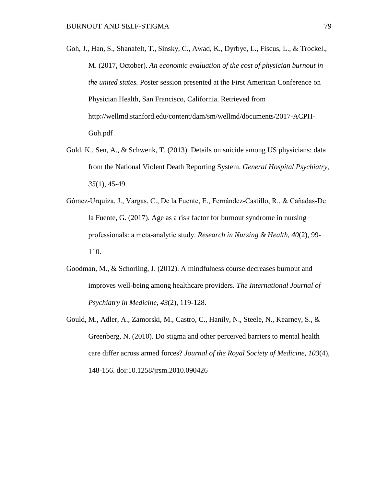- Goh, J., Han, S., Shanafelt, T., Sinsky, C., Awad, K., Dyrbye, L., Fiscus, L., & Trockel., M. (2017, October). *An economic evaluation of the cost of physician burnout in the united states.* Poster session presented at the First American Conference on Physician Health, San Francisco, California. Retrieved from http://wellmd.stanford.edu/content/dam/sm/wellmd/documents/2017-ACPH-Goh.pdf
- Gold, K., Sen, A., & Schwenk, T. (2013). Details on suicide among US physicians: data from the National Violent Death Reporting System. *General Hospital Psychiatry, 35*(1), 45-49.
- Gómez‐Urquiza, J., Vargas, C., De la Fuente, E., Fernández‐Castillo, R., & Cañadas‐De la Fuente, G. (2017). Age as a risk factor for burnout syndrome in nursing professionals: a meta‐analytic study. *Research in Nursing & Health*, *40*(2), 99- 110.
- Goodman, M., & Schorling, J. (2012). A mindfulness course decreases burnout and improves well-being among healthcare providers. *The International Journal of Psychiatry in Medicine*, *43*(2), 119-128.
- Gould, M., Adler, A., Zamorski, M., Castro, C., Hanily, N., Steele, N., Kearney, S., & Greenberg, N. (2010). Do stigma and other perceived barriers to mental health care differ across armed forces? *Journal of the Royal Society of Medicine, 103*(4), 148-156. doi:10.1258/jrsm.2010.090426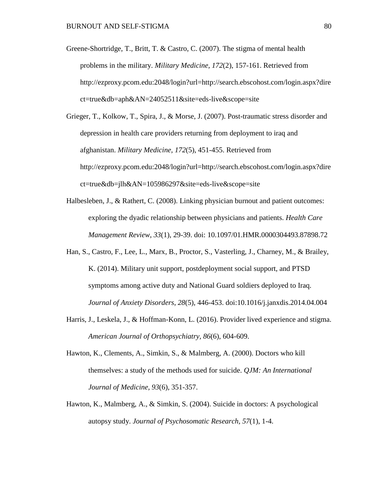- Greene-Shortridge, T., Britt, T. & Castro, C. (2007). The stigma of mental health problems in the military. *Military Medicine, 172*(2), 157-161. Retrieved from [http://ezproxy.pcom.edu:2048/login?url=http://search.ebscohost.com/login.aspx?dire](http://ezproxy.pcom.edu:2048/login?url=http://search.ebscohost.com/login.aspx?direct=true&db=aph&AN=24052511&site=eds-live&scope=site) [ct=true&db=aph&AN=24052511&site=eds-live&scope=site](http://ezproxy.pcom.edu:2048/login?url=http://search.ebscohost.com/login.aspx?direct=true&db=aph&AN=24052511&site=eds-live&scope=site)
- Grieger, T., Kolkow, T., Spira, J., & Morse, J. (2007). Post-traumatic stress disorder and depression in health care providers returning from deployment to iraq and afghanistan. *Military Medicine, 172*(5), 451-455. Retrieved from [http://ezproxy.pcom.edu:2048/login?url=http://search.ebscohost.com/login.aspx?dire](http://ezproxy.pcom.edu:2048/login?url=http://search.ebscohost.com/login.aspx?direct=true&db=jlh&AN=105986297&site=eds-live&scope=site) [ct=true&db=jlh&AN=105986297&site=eds-live&scope=site](http://ezproxy.pcom.edu:2048/login?url=http://search.ebscohost.com/login.aspx?direct=true&db=jlh&AN=105986297&site=eds-live&scope=site)
- Halbesleben, J., & Rathert, C. (2008). Linking physician burnout and patient outcomes: exploring the dyadic relationship between physicians and patients. *Health Care Management Review*, *33*(1), 29-39. doi: 10.1097/01.HMR.0000304493.87898.72
- Han, S., Castro, F., Lee, L., Marx, B., Proctor, S., Vasterling, J., Charney, M., & Brailey, K. (2014). Military unit support, postdeployment social support, and PTSD symptoms among active duty and National Guard soldiers deployed to Iraq. *Journal of Anxiety Disorders*, *28*(5), 446-453. doi:10.1016/j.janxdis.2014.04.004
- Harris, J., Leskela, J., & Hoffman-Konn, L. (2016). Provider lived experience and stigma. *American Journal of Orthopsychiatry, 86*(6), 604-609.
- Hawton, K., Clements, A., Simkin, S., & Malmberg, A. (2000). Doctors who kill themselves: a study of the methods used for suicide. *QJM: An International Journal of Medicine, 93*(6), 351-357.
- Hawton, K., Malmberg, A., & Simkin, S. (2004). Suicide in doctors: A psychological autopsy study. *Journal of Psychosomatic Research, 57*(1), 1-4.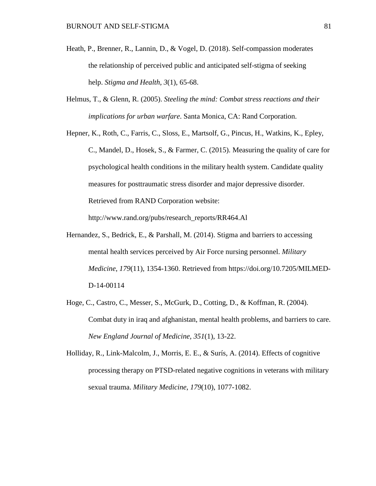- Heath, P., Brenner, R., Lannin, D., & Vogel, D. (2018). Self-compassion moderates the relationship of perceived public and anticipated self-stigma of seeking help. *Stigma and Health*, *3*(1), 65-68.
- Helmus, T., & Glenn, R. (2005). *Steeling the mind: Combat stress reactions and their implications for urban warfare*. Santa Monica, CA: Rand Corporation.
- Hepner, K., Roth, C., Farris, C., Sloss, E., Martsolf, G., Pincus, H., Watkins, K., Epley, C., Mandel, D., Hosek, S., & Farmer, C. (2015). Measuring the quality of care for psychological health conditions in the military health system. Candidate quality measures for posttraumatic stress disorder and major depressive disorder. Retrieved from RAND Corporation website:

http://www.rand.org/pubs/research\_reports/RR464.Al

- Hernandez, S., Bedrick, E., & Parshall, M. (2014). Stigma and barriers to accessing mental health services perceived by Air Force nursing personnel. *Military Medicine*, *179*(11), 1354-1360. Retrieved from [https://doi.org/10.7205/MILMED-](https://doi.org/10.7205/MILMED-D-14-00114)[D-14-00114](https://doi.org/10.7205/MILMED-D-14-00114)
- Hoge, C., Castro, C., Messer, S., McGurk, D., Cotting, D., & Koffman, R. (2004). Combat duty in iraq and afghanistan, mental health problems, and barriers to care. *New England Journal of Medicine, 351*(1), 13-22.
- Holliday, R., Link-Malcolm, J., Morris, E. E., & Surís, A. (2014). Effects of cognitive processing therapy on PTSD-related negative cognitions in veterans with military sexual trauma. *Military Medicine*, *179*(10), 1077-1082.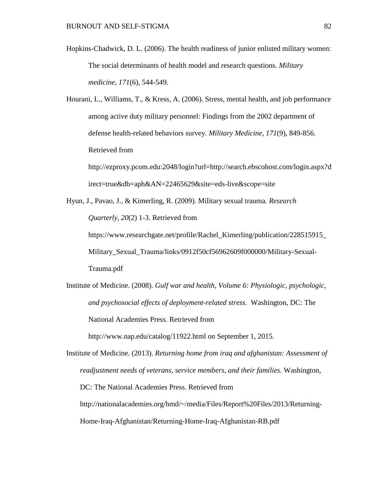Hopkins-Chadwick, D. L. (2006). The health readiness of junior enlisted military women: The social determinants of health model and research questions. *Military medicine*, *171*(6), 544-549.

Hourani, L., Williams, T., & Kress, A. (2006). Stress, mental health, and job performance among active duty military personnel: Findings from the 2002 department of defense health-related behaviors survey. *Military Medicine, 171*(9), 849-856. Retrieved from

[http://ezproxy.pcom.edu:2048/login?url=http://search.ebscohost.com/login.aspx?d](http://ezproxy.pcom.edu:2048/login?url=http://search.ebscohost.com/login.aspx?direct=true&db=aph&AN=22465629&site=eds-live&scope=site) [irect=true&db=aph&AN=22465629&site=eds-live&scope=site](http://ezproxy.pcom.edu:2048/login?url=http://search.ebscohost.com/login.aspx?direct=true&db=aph&AN=22465629&site=eds-live&scope=site)

Hyun, J., Pavao, J., & Kimerling, R. (2009). Military sexual trauma. *Research Quarterly*, *20*(2) 1-3. Retrieved from https://www.researchgate.net/profile/Rachel\_Kimerling/publication/228515915\_ Military\_Sexual\_Trauma/links/0912f50cf56962609f000000/Military-Sexual-

Trauma.pdf

Institute of Medicine. (2008). *Gulf war and health, Volume 6: Physiologic, psychologic, and psychosocial effects of deployment-related stress.* Washington, DC: The National Academies Press. Retrieved from

<http://www.nap.edu/catalog/11922.html> on September 1, 2015.

Institute of Medicine. (2013). *Returning home from iraq and afghanistan: Assessment of readjustment needs of veterans, service members, and their families*. Washington, DC: The National Academies Press. Retrieved from [http://nationalacademies.org/hmd/~/media/Files/Report%20Files/2013/Returning-](http://nationalacademies.org/hmd/%7E/media/Files/Report%20Files/2013/Returning-Home-Iraq-Afghanistan/Returning-Home-Iraq-Afghanistan-RB.pdf)[Home-Iraq-Afghanistan/Returning-Home-Iraq-Afghanistan-RB.pdf](http://nationalacademies.org/hmd/%7E/media/Files/Report%20Files/2013/Returning-Home-Iraq-Afghanistan/Returning-Home-Iraq-Afghanistan-RB.pdf)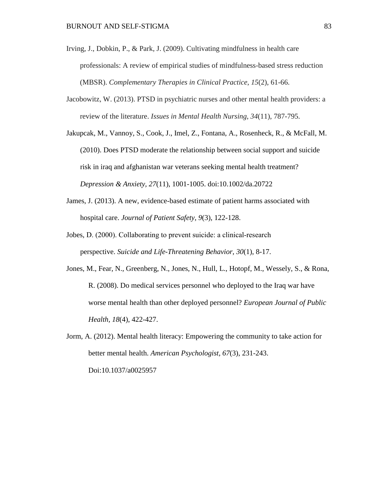- Irving, J., Dobkin, P., & Park, J. (2009). Cultivating mindfulness in health care professionals: A review of empirical studies of mindfulness-based stress reduction (MBSR). *Complementary Therapies in Clinical Practice*, *15*(2), 61-66.
- Jacobowitz, W. (2013). PTSD in psychiatric nurses and other mental health providers: a review of the literature. *Issues in Mental Health Nursing*, *34*(11), 787-795.
- Jakupcak, M., Vannoy, S., Cook, J., Imel, Z., Fontana, A., Rosenheck, R., & McFall, M. (2010). Does PTSD moderate the relationship between social support and suicide risk in iraq and afghanistan war veterans seeking mental health treatment? *Depression & Anxiety, 27*(11), 1001-1005. doi:10.1002/da.20722
- James, J. (2013). A new, evidence-based estimate of patient harms associated with hospital care. *Journal of Patient Safety*, *9*(3), 122-128.
- Jobes, D. (2000). Collaborating to prevent suicide: a clinical‐research perspective. *Suicide and Life-Threatening Behavior*, *30*(1), 8-17.
- Jones, M., Fear, N., Greenberg, N., Jones, N., Hull, L., Hotopf, M., Wessely, S., & Rona, R. (2008). Do medical services personnel who deployed to the Iraq war have worse mental health than other deployed personnel? *European Journal of Public Health, 18*(4), 422-427.
- Jorm, A. (2012). Mental health literacy: Empowering the community to take action for better mental health. *American Psychologist, 67*(3), 231-243. Doi:10.1037/a0025957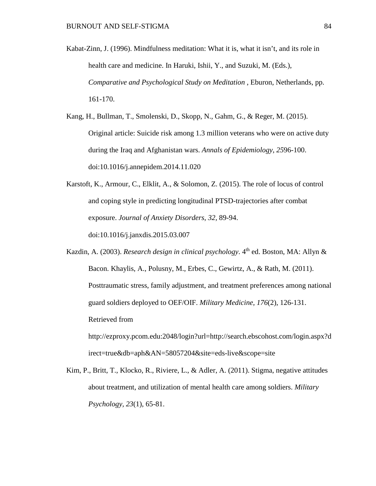- Kabat-Zinn, J. (1996). Mindfulness meditation: What it is, what it isn't, and its role in health care and medicine. In Haruki, Ishii, Y., and Suzuki, M. (Eds.), *Comparative and Psychological Study on Meditation* , Eburon, Netherlands, pp. 161-170.
- Kang, H., Bullman, T., Smolenski, D., Skopp, N., Gahm, G., & Reger, M. (2015). Original article: Suicide risk among 1.3 million veterans who were on active duty during the Iraq and Afghanistan wars. *Annals of Epidemiology*, *25*96-100. doi:10.1016/j.annepidem.2014.11.020
- Karstoft, K., Armour, C., Elklit, A., & Solomon, Z. (2015). The role of locus of control and coping style in predicting longitudinal PTSD-trajectories after combat exposure. *Journal of Anxiety Disorders*, *32,* 89-94. doi:10.1016/j.janxdis.2015.03.007

Kazdin, A. (2003). *Research design in clinical psychology*. 4<sup>th</sup> ed. Boston, MA: Allyn & Bacon. Khaylis, A., Polusny, M., Erbes, C., Gewirtz, A., & Rath, M. (2011). Posttraumatic stress, family adjustment, and treatment preferences among national guard soldiers deployed to OEF/OIF. *Military Medicine, 176*(2), 126-131. Retrieved from [http://ezproxy.pcom.edu:2048/login?url=http://search.ebscohost.com/login.aspx?d](http://ezproxy.pcom.edu:2048/login?url=http://search.ebscohost.com/login.aspx?direct=true&db=aph&AN=58057204&site=eds-live&scope=site) [irect=true&db=aph&AN=58057204&site=eds-live&scope=site](http://ezproxy.pcom.edu:2048/login?url=http://search.ebscohost.com/login.aspx?direct=true&db=aph&AN=58057204&site=eds-live&scope=site)

Kim, P., Britt, T., Klocko, R., Riviere, L., & Adler, A. (2011). Stigma, negative attitudes about treatment, and utilization of mental health care among soldiers. *Military Psychology, 23*(1), 65-81.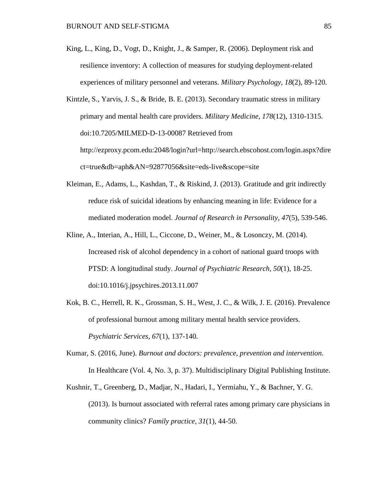King, L., King, D., Vogt, D., Knight, J., & Samper, R. (2006). Deployment risk and resilience inventory: A collection of measures for studying deployment-related experiences of military personnel and veterans. *Military Psychology*, *18*(2), 89-120.

Kintzle, S., Yarvis, J. S., & Bride, B. E. (2013). Secondary traumatic stress in military primary and mental health care providers. *Military Medicine, 178*(12), 1310-1315. doi:10.7205/MILMED-D-13-00087 Retrieved from [http://ezproxy.pcom.edu:2048/login?url=http://search.ebscohost.com/login.aspx?dire](http://ezproxy.pcom.edu:2048/login?url=http://search.ebscohost.com/login.aspx?direct=true&db=aph&AN=92877056&site=eds-live&scope=site) [ct=true&db=aph&AN=92877056&site=eds-live&scope=site](http://ezproxy.pcom.edu:2048/login?url=http://search.ebscohost.com/login.aspx?direct=true&db=aph&AN=92877056&site=eds-live&scope=site)

- Kleiman, E., Adams, L., Kashdan, T., & Riskind, J. (2013). Gratitude and grit indirectly reduce risk of suicidal ideations by enhancing meaning in life: Evidence for a mediated moderation model. *Journal of Research in Personality*, *47*(5), 539-546.
- Kline, A., Interian, A., Hill, L., Ciccone, D., Weiner, M., & Losonczy, M. (2014). Increased risk of alcohol dependency in a cohort of national guard troops with PTSD: A longitudinal study. *Journal of Psychiatric Research, 50*(1), 18-25. doi:10.1016/j.jpsychires.2013.11.007
- Kok, B. C., Herrell, R. K., Grossman, S. H., West, J. C., & Wilk, J. E. (2016). Prevalence of professional burnout among military mental health service providers. *Psychiatric Services*, *67*(1), 137-140.
- Kumar, S. (2016, June). *Burnout and doctors: prevalence, prevention and intervention*. In Healthcare (Vol. 4, No. 3, p. 37). Multidisciplinary Digital Publishing Institute.
- Kushnir, T., Greenberg, D., Madjar, N., Hadari, I., Yermiahu, Y., & Bachner, Y. G. (2013). Is burnout associated with referral rates among primary care physicians in community clinics? *Family practice, 31*(1), 44-50.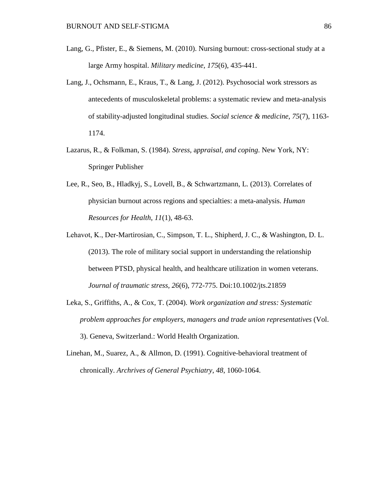- Lang, G., Pfister, E., & Siemens, M. (2010). Nursing burnout: cross-sectional study at a large Army hospital. *Military medicine, 175*(6), 435-441.
- Lang, J., Ochsmann, E., Kraus, T., & Lang, J. (2012). Psychosocial work stressors as antecedents of musculoskeletal problems: a systematic review and meta-analysis of stability-adjusted longitudinal studies. *Social science & medicine*, *75*(7), 1163- 1174.
- Lazarus, R., & Folkman, S. (1984). *Stress,* a*ppraisal, and coping*. New York, NY: Springer Publisher
- Lee, R., Seo, B., Hladkyj, S., Lovell, B., & Schwartzmann, L. (2013). Correlates of physician burnout across regions and specialties: a meta-analysis. *Human Resources for Health*, *11*(1), 48-63.
- Lehavot, K., Der‐Martirosian, C., Simpson, T. L., Shipherd, J. C., & Washington, D. L. (2013). The role of military social support in understanding the relationship between PTSD, physical health, and healthcare utilization in women veterans. *Journal of traumatic stress*, *26*(6), 772-775. Doi:10.1002/jts.21859
- Leka, S., Griffiths, A., & Cox, T. (2004). *Work organization and stress: Systematic problem approaches for employers, managers and trade union representatives* (Vol. 3). Geneva, Switzerland.: World Health Organization.
- Linehan, M., Suarez, A., & Allmon, D. (1991). Cognitive-behavioral treatment of chronically. *Archrives of General Psychiatry*, *48*, 1060-1064.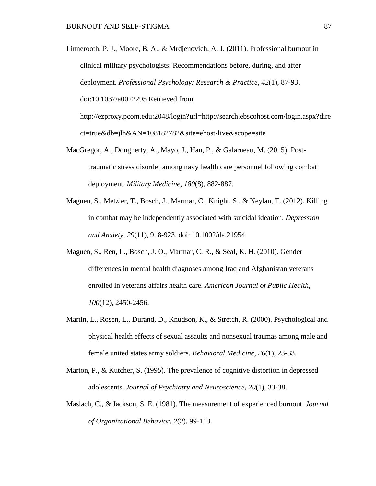Linnerooth, P. J., Moore, B. A., & Mrdjenovich, A. J. (2011). Professional burnout in clinical military psychologists: Recommendations before, during, and after deployment. *Professional Psychology: Research & Practice, 42*(1), 87-93. doi:10.1037/a0022295 Retrieved from

[http://ezproxy.pcom.edu:2048/login?url=http://search.ebscohost.com/login.aspx?dire](http://ezproxy.pcom.edu:2048/login?url=http://search.ebscohost.com/login.aspx?direct=true&db=jlh&AN=108182782&site=ehost-live&scope=site) [ct=true&db=jlh&AN=108182782&site=ehost-live&scope=site](http://ezproxy.pcom.edu:2048/login?url=http://search.ebscohost.com/login.aspx?direct=true&db=jlh&AN=108182782&site=ehost-live&scope=site)

- MacGregor, A., Dougherty, A., Mayo, J., Han, P., & Galarneau, M. (2015). Posttraumatic stress disorder among navy health care personnel following combat deployment. *Military Medicine, 180*(8), 882-887.
- Maguen, S., Metzler, T., Bosch, J., Marmar, C., Knight, S., & Neylan, T. (2012). Killing in combat may be independently associated with suicidal ideation. *Depression and Anxiety*, *29*(11), 918-923. doi: 10.1002/da.21954
- Maguen, S., Ren, L., Bosch, J. O., Marmar, C. R., & Seal, K. H. (2010). Gender differences in mental health diagnoses among Iraq and Afghanistan veterans enrolled in veterans affairs health care. *American Journal of Public Health*, *100*(12), 2450-2456.
- Martin, L., Rosen, L., Durand, D., Knudson, K., & Stretch, R. (2000). Psychological and physical health effects of sexual assaults and nonsexual traumas among male and female united states army soldiers. *Behavioral Medicine, 26*(1), 23-33.
- Marton, P., & Kutcher, S. (1995). The prevalence of cognitive distortion in depressed adolescents. *Journal of Psychiatry and Neuroscience*, *20*(1), 33-38.
- Maslach, C., & Jackson, S. E. (1981). The measurement of experienced burnout. *Journal of Organizational Behavior, 2*(2), 99-113.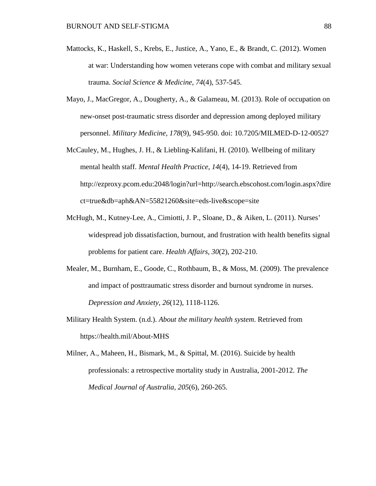- Mattocks, K., Haskell, S., Krebs, E., Justice, A., Yano, E., & Brandt, C. (2012). Women at war: Understanding how women veterans cope with combat and military sexual trauma. *Social Science & Medicine, 74*(4), 537-545.
- Mayo, J., MacGregor, A., Dougherty, A., & Galameau, M. (2013). Role of occupation on new-onset post-traumatic stress disorder and depression among deployed military personnel. *Military Medicine, 178*(9), 945-950. doi: 10.7205/MILMED-D-12-00527
- McCauley, M., Hughes, J. H., & Liebling-Kalifani, H. (2010). Wellbeing of military mental health staff. *Mental Health Practice, 14*(4), 14-19. Retrieved from [http://ezproxy.pcom.edu:2048/login?url=http://search.ebscohost.com/login.aspx?dire](http://ezproxy.pcom.edu:2048/login?url=http://search.ebscohost.com/login.aspx?direct=true&db=aph&AN=55821260&site=eds-live&scope=site) [ct=true&db=aph&AN=55821260&site=eds-live&scope=site](http://ezproxy.pcom.edu:2048/login?url=http://search.ebscohost.com/login.aspx?direct=true&db=aph&AN=55821260&site=eds-live&scope=site)
- McHugh, M., Kutney-Lee, A., Cimiotti, J. P., Sloane, D., & Aiken, L. (2011). Nurses' widespread job dissatisfaction, burnout, and frustration with health benefits signal problems for patient care. *Health Affairs, 30*(2), 202-210.
- Mealer, M., Burnham, E., Goode, C., Rothbaum, B., & Moss, M. (2009). The prevalence and impact of posttraumatic stress disorder and burnout syndrome in nurses. *Depression and Anxiety, 26*(12), 1118-1126.
- Military Health System. (n.d.). *About the military health system*. Retrieved from https://health.mil/About-MHS
- Milner, A., Maheen, H., Bismark, M., & Spittal, M. (2016). Suicide by health professionals: a retrospective mortality study in Australia, 2001-2012. *The Medical Journal of Australia, 205*(6), 260-265.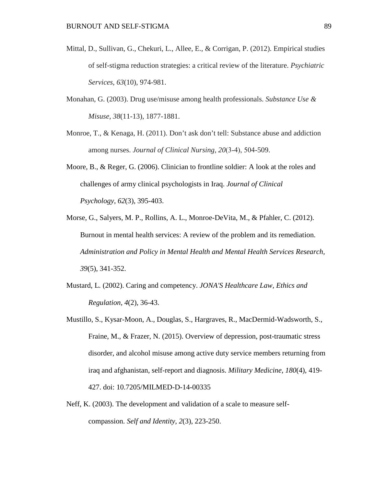- Mittal, D., Sullivan, G., Chekuri, L., Allee, E., & Corrigan, P. (2012). Empirical studies of self-stigma reduction strategies: a critical review of the literature. *Psychiatric Services*, *63*(10), 974-981.
- Monahan, G. (2003). Drug use/misuse among health professionals. *Substance Use & Misuse*, *38*(11-13), 1877-1881.
- Monroe, T., & Kenaga, H. (2011). Don't ask don't tell: Substance abuse and addiction among nurses. *Journal of Clinical Nursing*, *20*(3‐4), 504-509.
- Moore, B., & Reger, G. (2006). Clinician to frontline soldier: A look at the roles and challenges of army clinical psychologists in Iraq. *Journal of Clinical Psychology*, *62*(3), 395-403.
- Morse, G., Salyers, M. P., Rollins, A. L., Monroe-DeVita, M., & Pfahler, C. (2012). Burnout in mental health services: A review of the problem and its remediation. *Administration and Policy in Mental Health and Mental Health Services Research, 39*(5), 341-352.
- Mustard, L. (2002). Caring and competency. *JONA'S Healthcare Law, Ethics and Regulation*, *4*(2), 36-43.
- Mustillo, S., Kysar-Moon, A., Douglas, S., Hargraves, R., MacDermid-Wadsworth, S., Fraine, M., & Frazer, N. (2015). Overview of depression, post-traumatic stress disorder, and alcohol misuse among active duty service members returning from iraq and afghanistan, self-report and diagnosis. *Military Medicine, 180*(4), 419- 427. doi: 10.7205/MILMED-D-14-00335
- Neff, K. (2003). The development and validation of a scale to measure selfcompassion. *Self and Identity*, *2*(3), 223-250.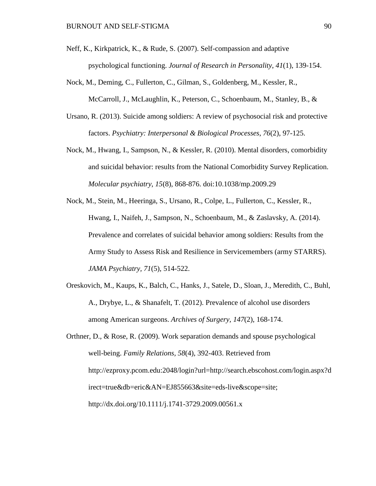- Neff, K., Kirkpatrick, K., & Rude, S. (2007). Self-compassion and adaptive psychological functioning. *Journal of Research in Personality*, *41*(1), 139-154.
- Nock, M., Deming, C., Fullerton, C., Gilman, S., Goldenberg, M., Kessler, R., McCarroll, J., McLaughlin, K., Peterson, C., Schoenbaum, M., Stanley, B., &
- Ursano, R. (2013). Suicide among soldiers: A review of psychosocial risk and protective factors. *Psychiatry: Interpersonal & Biological Processes*, *76*(2), 97-125.
- Nock, M., Hwang, I., Sampson, N., & Kessler, R. (2010). Mental disorders, comorbidity and suicidal behavior: results from the National Comorbidity Survey Replication. *Molecular psychiatry*, *15*(8), 868-876. doi:10.1038/mp.2009.29
- Nock, M., Stein, M., Heeringa, S., Ursano, R., Colpe, L., Fullerton, C., Kessler, R., Hwang, I., Naifeh, J., Sampson, N., Schoenbaum, M., & Zaslavsky, A. (2014). Prevalence and correlates of suicidal behavior among soldiers: Results from the Army Study to Assess Risk and Resilience in Servicemembers (army STARRS). *JAMA Psychiatry, 71*(5), 514-522.
- Oreskovich, M., Kaups, K., Balch, C., Hanks, J., Satele, D., Sloan, J., Meredith, C., Buhl, A., Drybye, L., & Shanafelt, T. (2012). Prevalence of alcohol use disorders among American surgeons. *Archives of Surgery, 147*(2), 168-174.
- Orthner, D., & Rose, R. (2009). Work separation demands and spouse psychological well-being. *Family Relations, 58*(4), 392-403. Retrieved from [http://ezproxy.pcom.edu:2048/login?url=http://search.ebscohost.com/login.aspx?d](http://ezproxy.pcom.edu:2048/login?url=http://search.ebscohost.com/login.aspx?direct=true&db=eric&AN=EJ855663&site=eds-live&scope=site;) [irect=true&db=eric&AN=EJ855663&site=eds-live&scope=site;](http://ezproxy.pcom.edu:2048/login?url=http://search.ebscohost.com/login.aspx?direct=true&db=eric&AN=EJ855663&site=eds-live&scope=site;) <http://dx.doi.org/10.1111/j.1741-3729.2009.00561.x>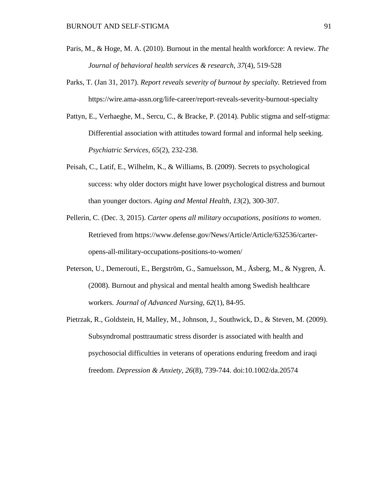- Paris, M., & Hoge, M. A. (2010). Burnout in the mental health workforce: A review. *The Journal of behavioral health services & research, 37*(4), 519-528
- Parks, T. (Jan 31, 2017). *Report reveals severity of burnout by specialty.* Retrieved from https://wire.ama-assn.org/life-career/report-reveals-severity-burnout-specialty
- Pattyn, E., Verhaeghe, M., Sercu, C., & Bracke, P. (2014). Public stigma and self-stigma: Differential association with attitudes toward formal and informal help seeking. *Psychiatric Services, 65*(2), 232-238.
- Peisah, C., Latif, E., Wilhelm, K., & Williams, B. (2009). Secrets to psychological success: why older doctors might have lower psychological distress and burnout than younger doctors. *Aging and Mental Health*, *13*(2), 300-307.
- Pellerin, C. (Dec. 3, 2015). *Carter opens all military occupations, positions to women*. Retrieved from [https://www.defense.gov/News/Article/Article/632536/carter](https://www.defense.gov/News/Article/Article/632536/carter-opens-all-military-occupations-positions-to-women/)[opens-all-military-occupations-positions-to-women/](https://www.defense.gov/News/Article/Article/632536/carter-opens-all-military-occupations-positions-to-women/)
- Peterson, U., Demerouti, E., Bergström, G., Samuelsson, M., Åsberg, M., & Nygren, Å. (2008). Burnout and physical and mental health among Swedish healthcare workers. *Journal of Advanced Nursing, 62*(1), 84-95.
- Pietrzak, R., Goldstein, H, Malley, M., Johnson, J., Southwick, D., & Steven, M. (2009). Subsyndromal posttraumatic stress disorder is associated with health and psychosocial difficulties in veterans of operations enduring freedom and iraqi freedom. *Depression & Anxiety, 26*(8), 739-744. doi:10.1002/da.20574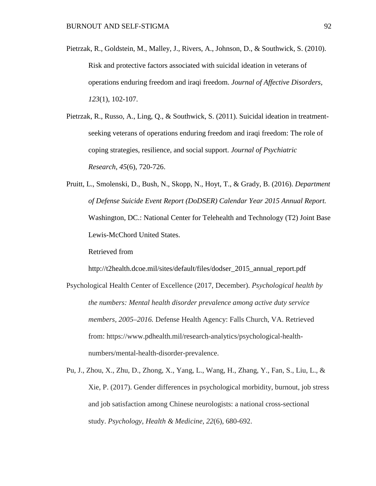Pietrzak, R., Goldstein, M., Malley, J., Rivers, A., Johnson, D., & Southwick, S. (2010). Risk and protective factors associated with suicidal ideation in veterans of operations enduring freedom and iraqi freedom. *Journal of Affective Disorders, 123*(1), 102-107.

Pietrzak, R., Russo, A., Ling, Q., & Southwick, S. (2011). Suicidal ideation in treatmentseeking veterans of operations enduring freedom and iraqi freedom: The role of coping strategies, resilience, and social support. *Journal of Psychiatric Research*, *45*(6), 720-726.

Pruitt, L., Smolenski, D., Bush, N., Skopp, N., Hoyt, T., & Grady, B. (2016). *Department of Defense Suicide Event Report (DoDSER) Calendar Year 2015 Annual Report.* Washington, DC.: National Center for Telehealth and Technology (T2) Joint Base Lewis-McChord United States.

Retrieved from

http://t2health.dcoe.mil/sites/default/files/dodser 2015 annual report.pdf

- Psychological Health Center of Excellence (2017, December). *Psychological health by the numbers: Mental health disorder prevalence among active duty service members, 2005–2016.* Defense Health Agency: Falls Church, VA. Retrieved from: https://www.pdhealth.mil/research-analytics/psychological-healthnumbers/mental-health-disorder-prevalence.
- Pu, J., Zhou, X., Zhu, D., Zhong, X., Yang, L., Wang, H., Zhang, Y., Fan, S., Liu, L., & Xie, P. (2017). Gender differences in psychological morbidity, burnout, job stress and job satisfaction among Chinese neurologists: a national cross-sectional study. *Psychology, Health & Medicine*, *22*(6), 680-692.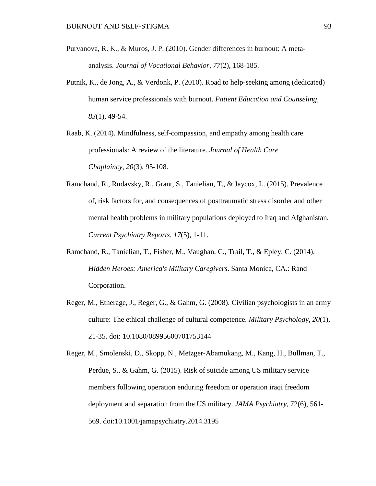- Purvanova, R. K., & Muros, J. P. (2010). Gender differences in burnout: A metaanalysis. *Journal of Vocational Behavior*, *77*(2), 168-185.
- Putnik, K., de Jong, A., & Verdonk, P. (2010). Road to help-seeking among (dedicated) human service professionals with burnout. *Patient Education and Counseling, 83*(1), 49-54.
- Raab, K. (2014). Mindfulness, self-compassion, and empathy among health care professionals: A review of the literature. *Journal of Health Care Chaplaincy*, *20*(3), 95-108.
- Ramchand, R., Rudavsky, R., Grant, S., Tanielian, T., & Jaycox, L. (2015). Prevalence of, risk factors for, and consequences of posttraumatic stress disorder and other mental health problems in military populations deployed to Iraq and Afghanistan. *Current Psychiatry Reports, 17*(5), 1-11.
- Ramchand, R., Tanielian, T., Fisher, M., Vaughan, C., Trail, T., & Epley, C. (2014). *Hidden Heroes: America's Military Caregivers*. Santa Monica, CA.: Rand Corporation.
- Reger, M., Etherage, J., Reger, G., & Gahm, G. (2008). Civilian psychologists in an army culture: The ethical challenge of cultural competence. *Military Psychology, 20*(1), 21-35. doi: 10.1080/08995600701753144

Reger, M., Smolenski, D., Skopp, N., Metzger-Abamukang, M., Kang, H., Bullman, T., Perdue, S., & Gahm, G. (2015). Risk of suicide among US military service members following operation enduring freedom or operation iraqi freedom deployment and separation from the US military. *JAMA Psychiatry,* 72(6), 561- 569. doi:10.1001/jamapsychiatry.2014.3195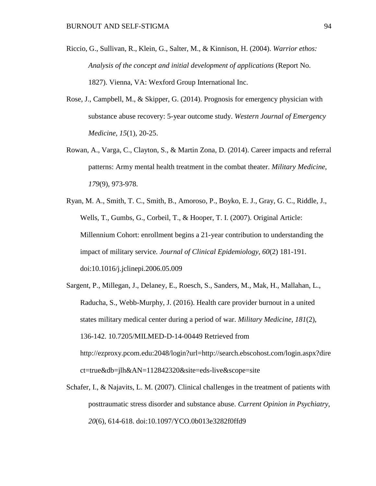- Riccio, G., Sullivan, R., Klein, G., Salter, M., & Kinnison, H. (2004). *Warrior ethos: Analysis of the concept and initial development of applications* (Report No. 1827). Vienna, VA: Wexford Group International Inc.
- Rose, J., Campbell, M., & Skipper, G. (2014). Prognosis for emergency physician with substance abuse recovery: 5-year outcome study. *Western Journal of Emergency Medicine, 15*(1), 20-25.
- Rowan, A., Varga, C., Clayton, S., & Martin Zona, D. (2014). Career impacts and referral patterns: Army mental health treatment in the combat theater. *Military Medicine, 179*(9), 973-978.
- Ryan, M. A., Smith, T. C., Smith, B., Amoroso, P., Boyko, E. J., Gray, G. C., Riddle, J., Wells, T., Gumbs, G., Corbeil, T., & Hooper, T. I. (2007). Original Article: Millennium Cohort: enrollment begins a 21-year contribution to understanding the impact of military service*. Journal of Clinical Epidemiology*, *60*(2) 181-191. doi:10.1016/j.jclinepi.2006.05.009
- Sargent, P., Millegan, J., Delaney, E., Roesch, S., Sanders, M., Mak, H., Mallahan, L., Raducha, S., Webb-Murphy, J. (2016). Health care provider burnout in a united states military medical center during a period of war. *Military Medicine, 181*(2), 136-142. 10.7205/MILMED-D-14-00449 Retrieved from [http://ezproxy.pcom.edu:2048/login?url=http://search.ebscohost.com/login.aspx?dire](http://ezproxy.pcom.edu:2048/login?url=http://search.ebscohost.com/login.aspx?direct=true&db=jlh&AN=112842320&site=eds-live&scope=site) [ct=true&db=jlh&AN=112842320&site=eds-live&scope=site](http://ezproxy.pcom.edu:2048/login?url=http://search.ebscohost.com/login.aspx?direct=true&db=jlh&AN=112842320&site=eds-live&scope=site)
- Schafer, I., & Najavits, L. M. (2007). Clinical challenges in the treatment of patients with posttraumatic stress disorder and substance abuse. *Current Opinion in Psychiatry*, *20*(6), 614-618. doi:10.1097/YCO.0b013e3282f0ffd9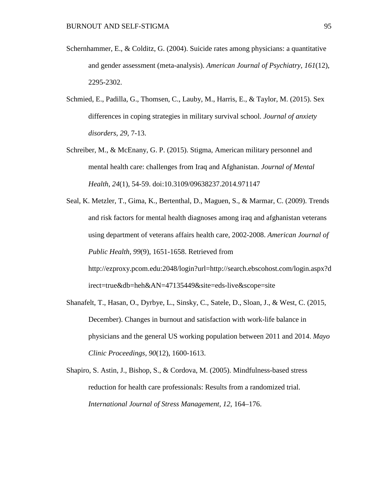- Schernhammer, E., & Colditz, G. (2004). Suicide rates among physicians: a quantitative and gender assessment (meta-analysis). *American Journal of Psychiatry, 161*(12), 2295-2302.
- Schmied, E., Padilla, G., Thomsen, C., Lauby, M., Harris, E., & Taylor, M. (2015). Sex differences in coping strategies in military survival school. *Journal of anxiety disorders, 29*, 7-13.
- Schreiber, M., & McEnany, G. P. (2015). Stigma, American military personnel and mental health care: challenges from Iraq and Afghanistan. *Journal of Mental Health*, *24*(1), 54-59. doi:10.3109/09638237.2014.971147
- Seal, K. Metzler, T., Gima, K., Bertenthal, D., Maguen, S., & Marmar, C. (2009). Trends and risk factors for mental health diagnoses among iraq and afghanistan veterans using department of veterans affairs health care, 2002-2008. *American Journal of Public Health, 99*(9), 1651-1658. Retrieved from [http://ezproxy.pcom.edu:2048/login?url=http://search.ebscohost.com/login.aspx?d](http://ezproxy.pcom.edu:2048/login?url=http://search.ebscohost.com/login.aspx?direct=true&db=heh&AN=47135449&site=eds-live&scope=site) [irect=true&db=heh&AN=47135449&site=eds-live&scope=site](http://ezproxy.pcom.edu:2048/login?url=http://search.ebscohost.com/login.aspx?direct=true&db=heh&AN=47135449&site=eds-live&scope=site)
- Shanafelt, T., Hasan, O., Dyrbye, L., Sinsky, C., Satele, D., Sloan, J., & West, C. (2015, December). Changes in burnout and satisfaction with work-life balance in physicians and the general US working population between 2011 and 2014. *Mayo Clinic Proceedings, 90*(12), 1600-1613.
- Shapiro, S. Astin, J., Bishop, S., & Cordova, M. (2005). Mindfulness-based stress reduction for health care professionals: Results from a randomized trial. *International Journal of Stress Management, 12*, 164–176.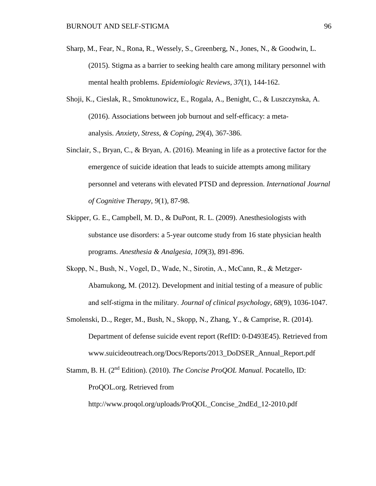- Sharp, M., Fear, N., Rona, R., Wessely, S., Greenberg, N., Jones, N., & Goodwin, L. (2015). Stigma as a barrier to seeking health care among military personnel with mental health problems. *Epidemiologic Reviews, 37*(1), 144-162.
- Shoji, K., Cieslak, R., Smoktunowicz, E., Rogala, A., Benight, C., & Luszczynska, A. (2016). Associations between job burnout and self-efficacy: a metaanalysis. *Anxiety, Stress, & Coping*, *29*(4), 367-386.
- Sinclair, S., Bryan, C., & Bryan, A. (2016). Meaning in life as a protective factor for the emergence of suicide ideation that leads to suicide attempts among military personnel and veterans with elevated PTSD and depression. *International Journal of Cognitive Therapy*, *9*(1), 87-98.
- Skipper, G. E., Campbell, M. D., & DuPont, R. L. (2009). Anesthesiologists with substance use disorders: a 5-year outcome study from 16 state physician health programs. *Anesthesia & Analgesia, 109*(3), 891-896.
- Skopp, N., Bush, N., Vogel, D., Wade, N., Sirotin, A., McCann, R., & Metzger‐ Abamukong, M. (2012). Development and initial testing of a measure of public and self‐stigma in the military. *Journal of clinical psychology*, *68*(9), 1036-1047.
- Smolenski, D.., Reger, M., Bush, N., Skopp, N., Zhang, Y., & Camprise, R. (2014). Department of defense suicide event report (RefID: 0-D493E45). Retrieved from [www.suicideoutreach.org/Docs/Reports/2013\\_DoDSER\\_Annual\\_Report.pdf](http://www.suicideoutreach.org/Docs/Reports/2013_DoDSER_Annual_Report.pdf)
- Stamm, B. H. (2nd Edition). (2010). *The Concise ProQOL Manual.* Pocatello, ID: ProQOL.org. Retrieved from

[http://www.proqol.org/uploads/ProQOL\\_Concise\\_2ndEd\\_12-2010.pdf](http://www.proqol.org/uploads/ProQOL_Concise_2ndEd_12-2010.pdf)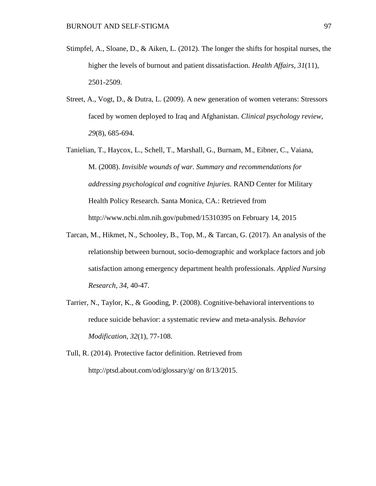- Stimpfel, A., Sloane, D., & Aiken, L. (2012). The longer the shifts for hospital nurses, the higher the levels of burnout and patient dissatisfaction. *Health Affairs*, *31*(11), 2501-2509.
- Street, A., Vogt, D., & Dutra, L. (2009). A new generation of women veterans: Stressors faced by women deployed to Iraq and Afghanistan. *Clinical psychology review*, *29*(8), 685-694.
- Tanielian, T., Haycox, L., Schell, T., Marshall, G., Burnam, M., Eibner, C., Vaiana, M. (2008). *Invisible wounds of war. Summary and recommendations for addressing psychological and cognitive Injuries.* RAND Center for Military Health Policy Research. Santa Monica, CA.: Retrieved from [http://www.ncbi.nlm.nih.gov/pubmed/15310395 on February 14,](http://www.ncbi.nlm.nih.gov/pubmed/15310395%20on%20February%2014) 2015
- Tarcan, M., Hikmet, N., Schooley, B., Top, M., & Tarcan, G. (2017). An analysis of the relationship between burnout, socio-demographic and workplace factors and job satisfaction among emergency department health professionals. *Applied Nursing Research, 34*, 40-47.
- Tarrier, N., Taylor, K., & Gooding, P. (2008). Cognitive-behavioral interventions to reduce suicide behavior: a systematic review and meta-analysis. *Behavior Modification*, *32*(1), 77-108.
- Tull, R. (2014). Protective factor definition. Retrieved from <http://ptsd.about.com/od/glossary/g/> on 8/13/2015.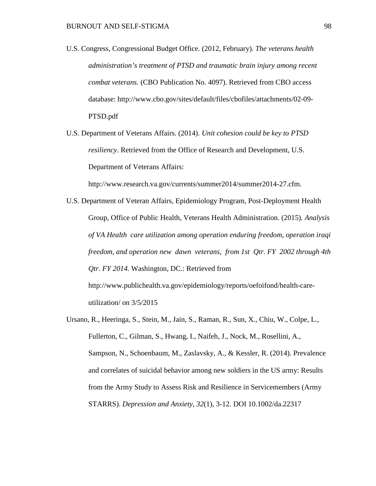- U.S. Congress, Congressional Budget Office. (2012, February). *The veterans health administration's treatment of PTSD and traumatic brain injury among recent combat veterans.* (CBO Publication No. 4097). Retrieved from CBO access database: [http://www.cbo.gov/sites/default/files/cbofiles/attachments/02-09-](http://www.cbo.gov/sites/default/files/cbofiles/attachments/02-09-PTSD.pdf) [PTSD.pdf](http://www.cbo.gov/sites/default/files/cbofiles/attachments/02-09-PTSD.pdf)
- U.S. Department of Veterans Affairs. (2014). *Unit cohesion could be key to PTSD resiliency*. Retrieved from the Office of Research and Development, U.S. Department of Veterans Affairs:

[http://www.research.va.gov/currents/summer2014/summer2014-27.cfm.](http://www.research.va.gov/currents/summer2014/summer2014-27.cfm)

- U.S. Department of Veteran Affairs, Epidemiology Program, Post-Deployment Health Group, Office of Public Health, Veterans Health Administration. (2015)*. Analysis of VA Health care utilization among operation enduring freedom, operation iraqi freedom, and operation new dawn veterans, from 1st Qtr. FY 2002 through 4th Qtr. FY 2014.* Washington, DC.: Retrieved from [http://www.publichealth.va.gov/epidemiology/reports/oefoifond/health-care](http://www.publichealth.va.gov/epidemiology/reports/oefoifond/health-care-utilization/)[utilization/](http://www.publichealth.va.gov/epidemiology/reports/oefoifond/health-care-utilization/) on 3/5/2015
- Ursano, R., Heeringa, S., Stein, M., Jain, S., Raman, R., Sun, X., Chiu, W., Colpe, L., Fullerton, C., Gilman, S., Hwang, I., Naifeh, J., Nock, M., Rosellini, A., Sampson, N., Schoenbaum, M., Zaslavsky, A., & Kessler, R. (2014). Prevalence and correlates of suicidal behavior among new soldiers in the US army: Results from the Army Study to Assess Risk and Resilience in Servicemembers (Army STARRS). *Depression and Anxiety, 32*(1), 3-12. DOI 10.1002/da.22317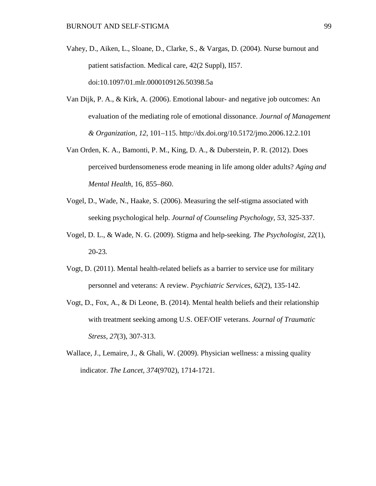- Vahey, D., Aiken, L., Sloane, D., Clarke, S., & Vargas, D. (2004). Nurse burnout and patient satisfaction. Medical care, 42(2 Suppl), II57. doi:10.1097/01.mlr.0000109126.50398.5a
- Van Dijk, P. A., & Kirk, A. (2006). Emotional labour- and negative job outcomes: An evaluation of the mediating role of emotional dissonance. *Journal of Management & Organization, 12*, 101–115. http://dx.doi.org/10.5172/jmo.2006.12.2.101
- Van Orden, K. A., Bamonti, P. M., King, D. A., & Duberstein, P. R. (2012). Does perceived burdensomeness erode meaning in life among older adults? *Aging and Mental Health*, 16, 855–860.
- Vogel, D., Wade, N., Haake, S. (2006). Measuring the self-stigma associated with seeking psychological help. *Journal of Counseling Psychology, 53*, 325-337.
- Vogel, D. L., & Wade, N. G. (2009). Stigma and help-seeking. *The Psychologist, 22*(1), 20-23*.*
- Vogt, D. (2011). Mental health-related beliefs as a barrier to service use for military personnel and veterans: A review. *Psychiatric Services, 62*(2), 135-142.
- Vogt, D., Fox, A., & Di Leone, B. (2014). Mental health beliefs and their relationship with treatment seeking among U.S. OEF/OIF veterans. *Journal of Traumatic Stress, 27*(3), 307-313.
- Wallace, J., Lemaire, J., & Ghali, W. (2009). Physician wellness: a missing quality indicator. *The Lancet*, *374*(9702), 1714-1721.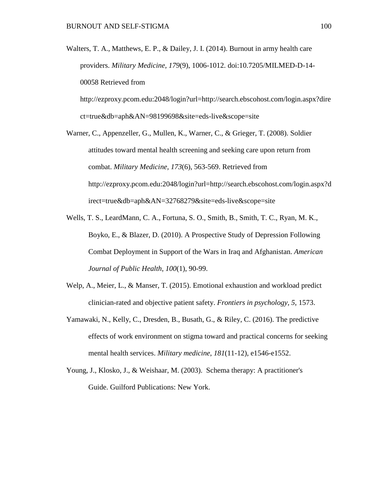Walters, T. A., Matthews, E. P., & Dailey, J. I. (2014). Burnout in army health care providers. *Military Medicine, 179*(9), 1006-1012. doi:10.7205/MILMED-D-14- 00058 Retrieved from

[http://ezproxy.pcom.edu:2048/login?url=http://search.ebscohost.com/login.aspx?dire](http://ezproxy.pcom.edu:2048/login?url=http://search.ebscohost.com/login.aspx?direct=true&db=aph&AN=98199698&site=eds-live&scope=site) [ct=true&db=aph&AN=98199698&site=eds-live&scope=site](http://ezproxy.pcom.edu:2048/login?url=http://search.ebscohost.com/login.aspx?direct=true&db=aph&AN=98199698&site=eds-live&scope=site)

- Warner, C., Appenzeller, G., Mullen, K., Warner, C., & Grieger, T. (2008). Soldier attitudes toward mental health screening and seeking care upon return from combat. *Military Medicine, 173*(6), 563-569. Retrieved from [http://ezproxy.pcom.edu:2048/login?url=http://search.ebscohost.com/login.aspx?d](http://ezproxy.pcom.edu:2048/login?url=http://search.ebscohost.com/login.aspx?direct=true&db=aph&AN=32768279&site=eds-live&scope=site) [irect=true&db=aph&AN=32768279&site=eds-live&scope=site](http://ezproxy.pcom.edu:2048/login?url=http://search.ebscohost.com/login.aspx?direct=true&db=aph&AN=32768279&site=eds-live&scope=site)
- Wells, T. S., LeardMann, C. A., Fortuna, S. O., Smith, B., Smith, T. C., Ryan, M. K., Boyko, E., & Blazer, D. (2010). A Prospective Study of Depression Following Combat Deployment in Support of the Wars in Iraq and Afghanistan. *American Journal of Public Health*, *100*(1), 90-99.
- Welp, A., Meier, L., & Manser, T. (2015). Emotional exhaustion and workload predict clinician-rated and objective patient safety. *Frontiers in psychology, 5*, 1573.
- Yamawaki, N., Kelly, C., Dresden, B., Busath, G., & Riley, C. (2016). The predictive effects of work environment on stigma toward and practical concerns for seeking mental health services. *Military medicine*, *181*(11-12), e1546-e1552.
- Young, J., Klosko, J., & Weishaar, M. (2003). Schema therapy: A practitioner's Guide. Guilford Publications: New York.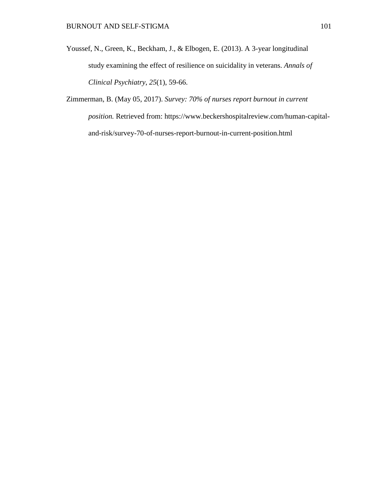- Youssef, N., Green, K., Beckham, J., & Elbogen, E. (2013). A 3-year longitudinal study examining the effect of resilience on suicidality in veterans. *Annals of Clinical Psychiatry*, *25*(1), 59-66.
- Zimmerman, B. (May 05, 2017). *Survey: 70% of nurses report burnout in current position.* Retrieved from: [https://www.beckershospitalreview.com/human-capital](https://www.beckershospitalreview.com/human-capital-and-risk/survey-)[and-risk/survey-7](https://www.beckershospitalreview.com/human-capital-and-risk/survey-)0-of-nurses-report-burnout-in-current-position.html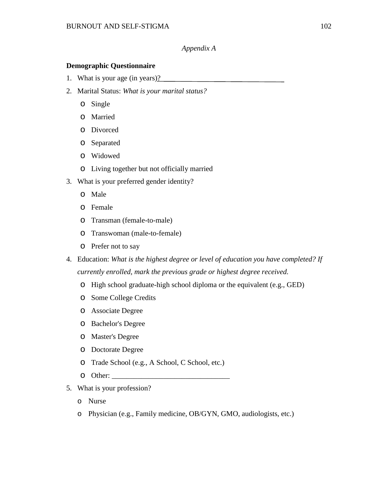### *Appendix A*

#### **Demographic Questionnaire**

- 1. What is your age (in years)?
- 2. Marital Status: *What is your marital status?*
	- o Single
	- o Married
	- o Divorced
	- o Separated
	- o Widowed
	- o Living together but not officially married
- 3. What is your preferred gender identity?
	- o Male
	- o Female
	- o Transman (female-to-male)
	- o Transwoman (male-to-female)
	- o Prefer not to say
- 4. Education: *What is the highest degree or level of education you have completed? If currently enrolled, mark the previous grade or highest degree received.*
	- o High school graduate-high school diploma or the equivalent (e.g., GED)
	- o Some College Credits
	- o Associate Degree
	- o Bachelor's Degree
	- o Master's Degree
	- o Doctorate Degree
	- o Trade School (e.g., A School, C School, etc.)
	- $\circ$  Other:
- 5. What is your profession?
	- o Nurse
	- o Physician (e.g., Family medicine, OB/GYN, GMO, audiologists, etc.)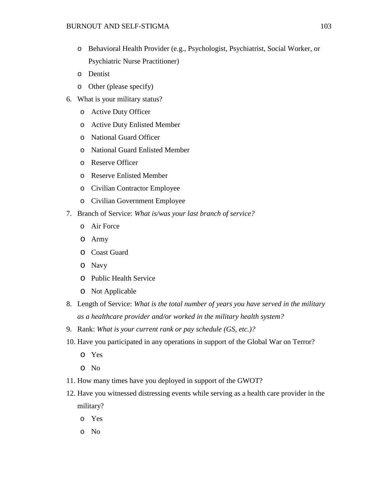- o Behavioral Health Provider (e.g., Psychologist, Psychiatrist, Social Worker, or Psychiatric Nurse Practitioner)
- o Dentist
- o Other (please specify)
- 6. What is your military status?
	- o Active Duty Officer
	- o Active Duty Enlisted Member
	- o National Guard Officer
	- o National Guard Enlisted Member
	- o Reserve Officer
	- o Reserve Enlisted Member
	- o Civilian Contractor Employee
	- o Civilian Government Employee
- 7. Branch of Service: *What is/was your last branch of service?*
	- o Air Force
	- o Army
	- o Coast Guard
	- o Navy
	- o Public Health Service
	- o Not Applicable
- 8. Length of Service: *What is the total number of years you have served in the military as a healthcare provider and/or worked in the military health system?*
- 9. Rank: *What is your current rank or pay schedule (GS, etc.)?*
- 10. Have you participated in any operations in support of the Global War on Terror?
	- o Yes
	- o No
- 11. How many times have you deployed in support of the GWOT?
- 12. Have you witnessed distressing events while serving as a health care provider in the military?
	- o Yes
	- o No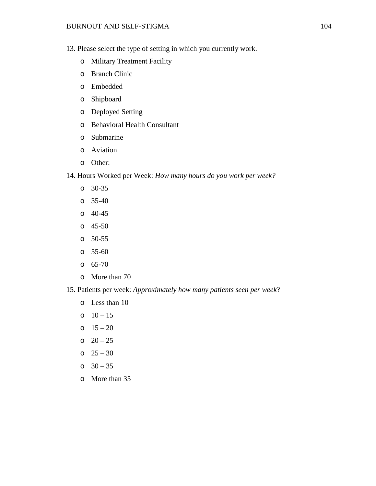#### BURNOUT AND SELF-STIGMA 104

- 13. Please select the type of setting in which you currently work.
	- o Military Treatment Facility
	- o Branch Clinic
	- o Embedded
	- o Shipboard
	- o Deployed Setting
	- o Behavioral Health Consultant
	- o Submarine
	- o Aviation
	- o Other:
- 14. Hours Worked per Week: *How many hours do you work per week?*
	- o 30-35
	- o 35-40
	- o 40-45
	- o 45-50
	- o 50-55
	- o 55-60
	- o 65-70
	- o More than 70
- 15. Patients per week: *Approximately how many patients seen per week*?
	- o Less than 10
	- $0 15$
	- $0 \t 15 20$
	- $0 \quad 20 25$
	- o  $25 30$
	- o  $30 35$
	- o More than 35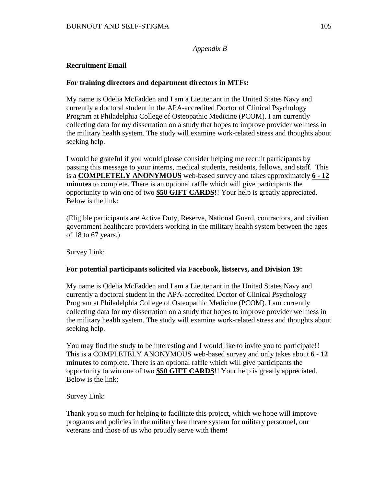*Appendix B*

### **Recruitment Email**

#### **For training directors and department directors in MTFs:**

My name is Odelia McFadden and I am a Lieutenant in the United States Navy and currently a doctoral student in the APA-accredited Doctor of Clinical Psychology Program at Philadelphia College of Osteopathic Medicine (PCOM). I am currently collecting data for my dissertation on a study that hopes to improve provider wellness in the military health system. The study will examine work-related stress and thoughts about seeking help.

I would be grateful if you would please consider helping me recruit participants by passing this message to your interns, medical students, residents, fellows, and staff. This is a **COMPLETELY ANONYMOUS** web-based survey and takes approximately **6 - 12 minutes** to complete. There is an optional raffle which will give participants the opportunity to win one of two **\$50 GIFT CARDS**!! Your help is greatly appreciated. Below is the link:

(Eligible participants are Active Duty, Reserve, National Guard, contractors, and civilian government healthcare providers working in the military health system between the ages of 18 to 67 years.)

Survey Link:

#### **For potential participants solicited via Facebook, listservs, and Division 19:**

My name is Odelia McFadden and I am a Lieutenant in the United States Navy and currently a doctoral student in the APA-accredited Doctor of Clinical Psychology Program at Philadelphia College of Osteopathic Medicine (PCOM). I am currently collecting data for my dissertation on a study that hopes to improve provider wellness in the military health system. The study will examine work-related stress and thoughts about seeking help.

You may find the study to be interesting and I would like to invite you to participate!! This is a COMPLETELY ANONYMOUS web-based survey and only takes about **6 - 12 minutes** to complete. There is an optional raffle which will give participants the opportunity to win one of two **\$50 GIFT CARDS**!! Your help is greatly appreciated. Below is the link:

Survey Link:

Thank you so much for helping to facilitate this project, which we hope will improve programs and policies in the military healthcare system for military personnel, our veterans and those of us who proudly serve with them!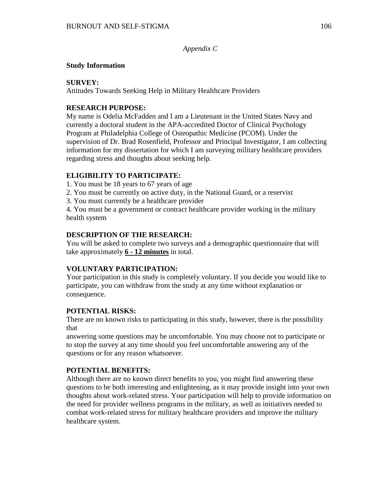*Appendix C*

#### **Study Information**

### **SURVEY:**

Attitudes Towards Seeking Help in Military Healthcare Providers

# **RESEARCH PURPOSE:**

My name is Odelia McFadden and I am a Lieutenant in the United States Navy and currently a doctoral student in the APA-accredited Doctor of Clinical Psychology Program at Philadelphia College of Osteopathic Medicine (PCOM). Under the supervision of Dr. Brad Rosenfield, Professor and Principal Investigator, I am collecting information for my dissertation for which I am surveying military healthcare providers regarding stress and thoughts about seeking help.

### **ELIGIBILITY TO PARTICIPATE:**

- 1. You must be 18 years to 67 years of age
- 2. You must be currently on active duty, in the National Guard, or a reservist
- 3. You must currently be a healthcare provider

4. You must be a government or contract healthcare provider working in the military health system

### **DESCRIPTION OF THE RESEARCH:**

You will be asked to complete two surveys and a demographic questionnaire that will take approximately **6 - 12 minutes** in total.

# **VOLUNTARY PARTICIPATION:**

Your participation in this study is completely voluntary. If you decide you would like to participate, you can withdraw from the study at any time without explanation or consequence.

# **POTENTIAL RISKS:**

There are no known risks to participating in this study, however, there is the possibility that

answering some questions may be uncomfortable. You may choose not to participate or to stop the survey at any time should you feel uncomfortable answering any of the questions or for any reason whatsoever.

# **POTENTIAL BENEFITS:**

Although there are no known direct benefits to you, you might find answering these questions to be both interesting and enlightening, as it may provide insight into your own thoughts about work-related stress. Your participation will help to provide information on the need for provider wellness programs in the military, as well as initiatives needed to combat work-related stress for military healthcare providers and improve the military healthcare system.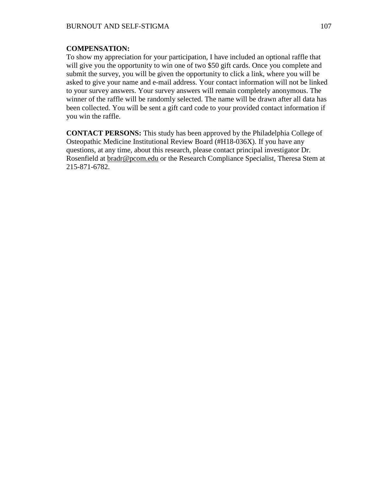#### **COMPENSATION:**

To show my appreciation for your participation, I have included an optional raffle that will give you the opportunity to win one of two \$50 gift cards. Once you complete and submit the survey, you will be given the opportunity to click a link, where you will be asked to give your name and e-mail address. Your contact information will not be linked to your survey answers. Your survey answers will remain completely anonymous. The winner of the raffle will be randomly selected. The name will be drawn after all data has been collected. You will be sent a gift card code to your provided contact information if you win the raffle.

**CONTACT PERSONS:** This study has been approved by the Philadelphia College of Osteopathic Medicine Institutional Review Board (#H18-036X). If you have any questions, at any time, about this research, please contact principal investigator Dr. Rosenfield at [bradr@pcom.edu](mailto:bradr@pcom.edu) or the Research Compliance Specialist, Theresa Stem at 215-871-6782.